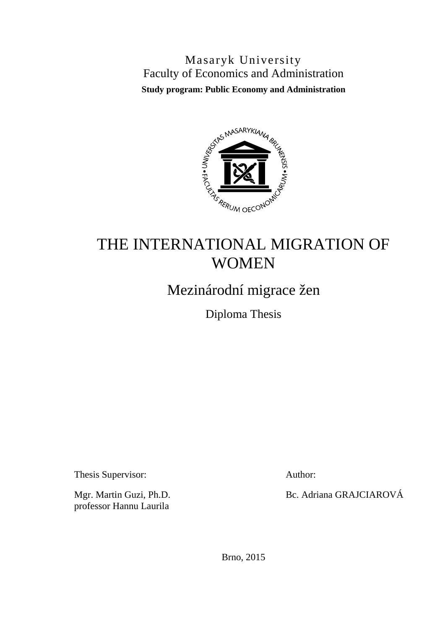Masaryk University Faculty of Economics and Administration **Study program: Public Economy and Administration**



# THE INTERNATIONAL MIGRATION OF WOMEN

Mezinárodní migrace žen

Diploma Thesis

Thesis Supervisor: Author:

professor Hannu Laurila

Mgr. Martin Guzi, Ph.D. Bc. Adriana GRAJCIAROVÁ

Brno, 2015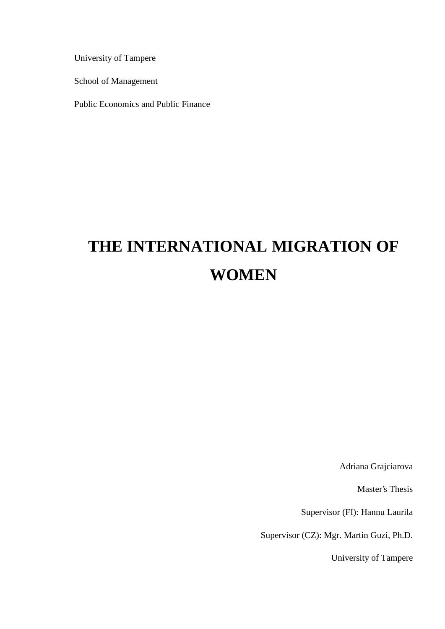University of Tampere

School of Management

Public Economics and Public Finance

# **THE INTERNATIONAL MIGRATION OF WOMEN**

Adriana Grajciarova

Master's Thesis

Supervisor (FI): Hannu Laurila

Supervisor (CZ): Mgr. Martin Guzi, Ph.D.

University of Tampere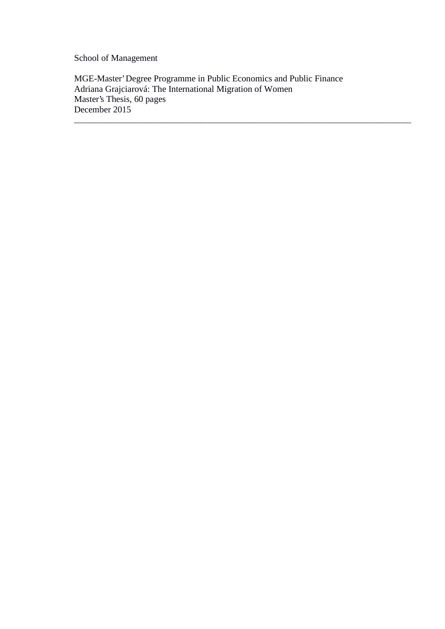School of Management

MGE-Master' Degree Programme in Public Economics and Public Finance Adriana Grajciarová: The International Migration of Women Master's Thesis, 60 pages December 2015

\_\_\_\_\_\_\_\_\_\_\_\_\_\_\_\_\_\_\_\_\_\_\_\_\_\_\_\_\_\_\_\_\_\_\_\_\_\_\_\_\_\_\_\_\_\_\_\_\_\_\_\_\_\_\_\_\_\_\_\_\_\_\_\_\_\_\_\_\_\_\_\_\_\_\_\_\_\_\_\_\_\_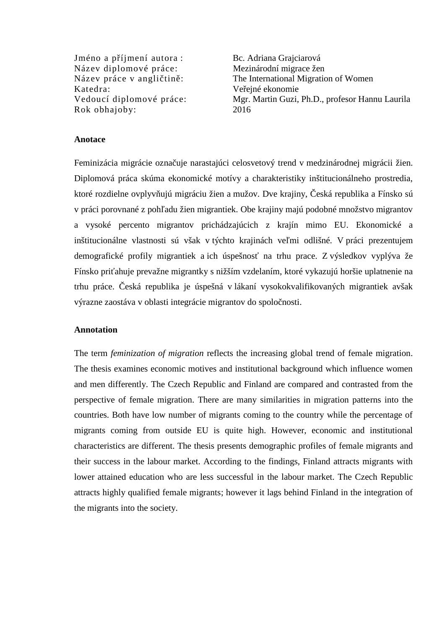Jméno a píjmení autora : Bc. Adriana Grajciarová Název diplomové práce: Mezinárodní migrace žen Katedra: Ve $\epsilon$ iné ekonomie Rok obhajoby: 2016

Název práce v angli<sup>tin</sup>: The International Migration of Women Vedoucí diplomové práce: Mgr. Martin Guzi, Ph.D., profesor Hannu Laurila

### **Anotace**

Feminizácia migrácie ozna uje narastajúci celosvetový trend v medzinárodnej migrácii žien. Diplomová práca skúma ekonomické motívy a charakteristiky inštitucionálneho prostredia, ktoré rozdielne ovplyv ujú migráciu žien a mužov. Dve krajiny, eská republika a Fínsko sú v práci porovnané z poh adu žien migrantiek. Obe krajiny majú podobné množstvo migrantov a vysoké percento migrantov prichádzajúcich z krajín mimo EU. Ekonomické a inštitucionálne vlastnosti sú však v týchto krajinách ve mi odlišné. V práci prezentujem demografické profily migrantiek a ich úspešnos na trhu prace. Z výsledkov vyplýva že Fínsko pri ahuje prevažne migrantky s nižším vzdelaním, ktoré vykazujú horšie uplatnenie na trhu práce. eská republika je úspešná v lákaní vysokokvalifikovaných migrantiek avšak výrazne zaostáva v oblasti integrácie migrantov do spolo nosti.

#### **Annotation**

The term *feminization of migration* reflects the increasing global trend of female migration. The thesis examines economic motives and institutional background which influence women and men differently. The Czech Republic and Finland are compared and contrasted from the perspective of female migration. There are many similarities in migration patterns into the countries. Both have low number of migrants coming to the country while the percentage of migrants coming from outside EU is quite high. However, economic and institutional characteristics are different. The thesis presents demographic profiles of female migrants and their success in the labour market. According to the findings, Finland attracts migrants with lower attained education who are less successful in the labour market. The Czech Republic attracts highly qualified female migrants; however it lags behind Finland in the integration of the migrants into the society.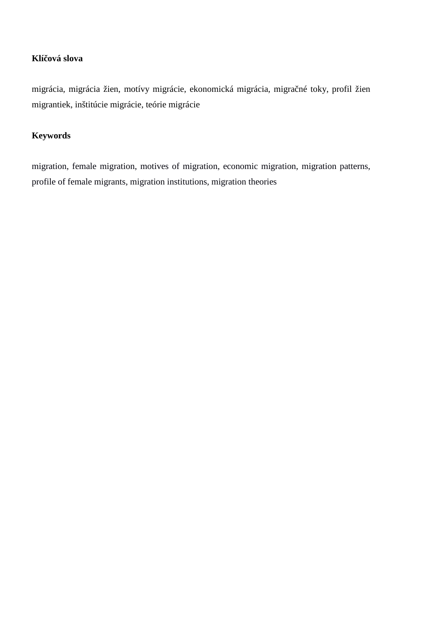### **Klíčová slova**

migrácia, migrácia žien, motívy migrácie, ekonomická migrácia, migra né toky, profil žien migrantiek, inštitúcie migrácie, teórie migrácie

### **Keywords**

migration, female migration, motives of migration, economic migration, migration patterns, profile of female migrants, migration institutions, migration theories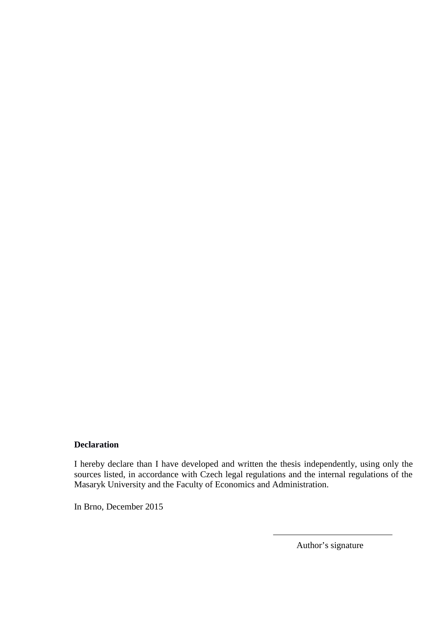### **Declaration**

I hereby declare than I have developed and written the thesis independently, using only the sources listed, in accordance with Czech legal regulations and the internal regulations of the Masaryk University and the Faculty of Economics and Administration.

In Brno, December 2015

Author's signature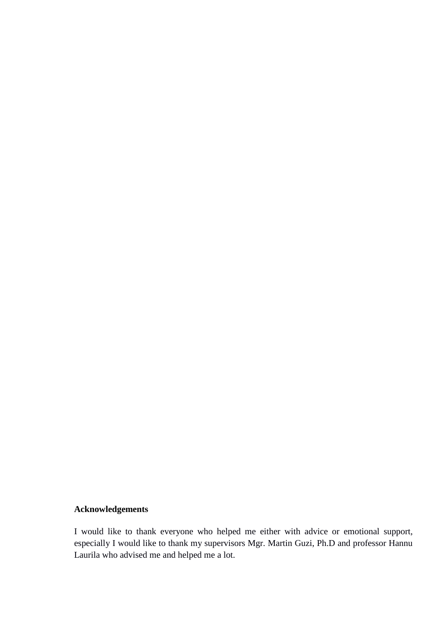# **Acknowledgements**

I would like to thank everyone who helped me either with advice or emotional support, especially I would like to thank my supervisors Mgr. Martin Guzi, Ph.D and professor Hannu Laurila who advised me and helped me a lot.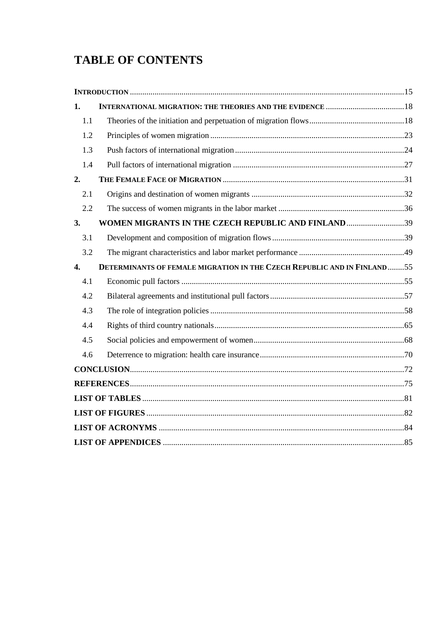# **TABLE OF CONTENTS**

| 1.  |                                                                          |  |
|-----|--------------------------------------------------------------------------|--|
| 1.1 |                                                                          |  |
| 1.2 |                                                                          |  |
| 1.3 |                                                                          |  |
| 1.4 |                                                                          |  |
| 2.  |                                                                          |  |
| 2.1 |                                                                          |  |
| 2.2 |                                                                          |  |
| 3.  | WOMEN MIGRANTS IN THE CZECH REPUBLIC AND FINLAND 39                      |  |
| 3.1 |                                                                          |  |
| 3.2 |                                                                          |  |
| 4.  | DETERMINANTS OF FEMALE MIGRATION IN THE CZECH REPUBLIC AND IN FINLAND 55 |  |
| 4.1 |                                                                          |  |
| 4.2 |                                                                          |  |
| 4.3 |                                                                          |  |
| 4.4 |                                                                          |  |
| 4.5 |                                                                          |  |
| 4.6 |                                                                          |  |
|     |                                                                          |  |
|     |                                                                          |  |
|     |                                                                          |  |
|     |                                                                          |  |
|     |                                                                          |  |
|     |                                                                          |  |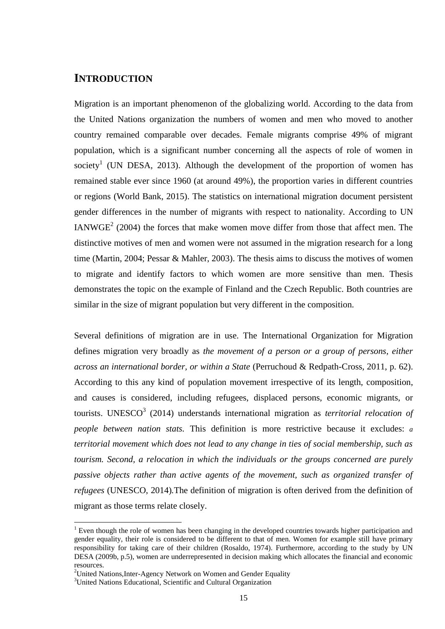# **INTRODUCTION**

Migration is an important phenomenon of the globalizing world. According to the data from the United Nations organization the numbers of women and men who moved to another country remained comparable over decades. Female migrants comprise 49% of migrant population, which is a significant number concerning all the aspects of role of women in society<sup>1</sup> (UN DESA, 2013). Although the development of the proportion of women has remained stable ever since 1960 (at around 49%), the proportion varies in different countries or regions (World Bank, 2015). The statistics on international migration document persistent gender differences in the number of migrants with respect to nationality. According to UN IANWGE<sup>2</sup> (2004) the forces that make women move differ from those that affect men. The distinctive motives of men and women were not assumed in the migration research for a long time (Martin, 2004; Pessar & Mahler, 2003). The thesis aims to discuss the motives of women to migrate and identify factors to which women are more sensitive than men. Thesis demonstrates the topic on the example of Finland and the Czech Republic. Both countries are similar in the size of migrant population but very different in the composition.

Several definitions of migration are in use. The International Organization for Migration defines migration very broadly as *the movement of a person or a group of persons, either across an international border, or within a State* (Perruchoud & Redpath-Cross, 2011, p. 62). According to this any kind of population movement irrespective of its length, composition, and causes is considered, including refugees, displaced persons, economic migrants, or tourists. UNESCO<sup>3</sup> (2014) understands international migration as *territorial relocation of people between nation stats.* This definition is more restrictive because it excludes: *a territorial movement which does not lead to any change in ties of social membership, such as tourism. Second, a relocation in which the individuals or the groups concerned are purely passive objects rather than active agents of the movement, such as organized transfer of refugees* (UNESCO, 2014)*.*The definition of migration is often derived from the definition of migrant as those terms relate closely.

<sup>&</sup>lt;sup>1</sup> Even though the role of women has been changing in the developed countries towards higher participation and gender equality, their role is considered to be different to that of men. Women for example still have primary responsibility for taking care of their children (Rosaldo, 1974). Furthermore, according to the study by UN DESA (2009b, p.5), women are underrepresented in decision making which allocates the financial and economic

<sup>&</sup>lt;sup>2</sup>United Nations, Inter-Agency Network on Women and Gender Equality

<sup>3</sup>United Nations Educational, Scientific and Cultural Organization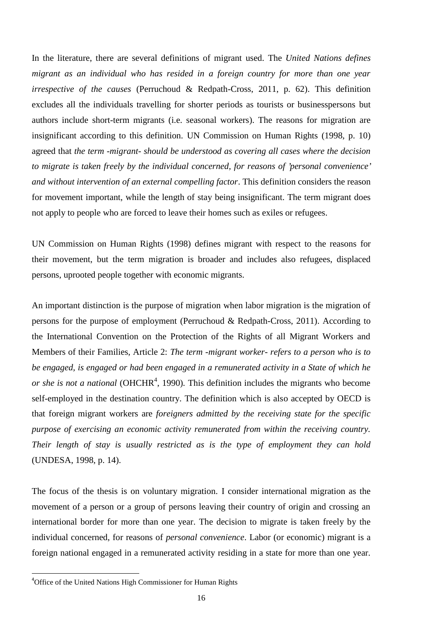In the literature, there are several definitions of migrant used. The *United Nations defines migrant as an individual who has resided in a foreign country for more than one year irrespective of the causes* (Perruchoud & Redpath-Cross, 2011, p. 62). This definition excludes all the individuals travelling for shorter periods as tourists or businesspersons but authors include short-term migrants (i.e. seasonal workers). The reasons for migration are insignificant according to this definition. UN Commission on Human Rights (1998, p. 10) agreed that *the term -migrant- should be understood as covering all cases where the decision to migrate is taken freely by the individual concerned, for reasons of 'personal convenience' and without intervention of an external compelling factor*. This definition considers the reason for movement important, while the length of stay being insignificant. The term migrant does not apply to people who are forced to leave their homes such as exiles or refugees.

UN Commission on Human Rights (1998) defines migrant with respect to the reasons for their movement, but the term migration is broader and includes also refugees, displaced persons, uprooted people together with economic migrants.

An important distinction is the purpose of migration when labor migration is the migration of persons for the purpose of employment (Perruchoud & Redpath-Cross, 2011). According to the International Convention on the Protection of the Rights of all Migrant Workers and Members of their Families, Article 2: *The term -migrant worker- refers to a person who is to be engaged, is engaged or had been engaged in a remunerated activity in a State of which he or she is not a national* (OHCHR<sup>4</sup>, 1990). This definition includes the migrants who become self-employed in the destination country. The definition which is also accepted by OECD is that foreign migrant workers are *foreigners admitted by the receiving state for the specific purpose of exercising an economic activity remunerated from within the receiving country. Their length of stay is usually restricted as is the type of employment they can hold* (UNDESA, 1998, p. 14).

The focus of the thesis is on voluntary migration. I consider international migration as the movement of a person or a group of persons leaving their country of origin and crossing an international border for more than one year. The decision to migrate is taken freely by the individual concerned, for reasons of *personal convenience*. Labor (or economic) migrant is a foreign national engaged in a remunerated activity residing in a state for more than one year.

<sup>4</sup>Office of the United Nations High Commissioner for Human Rights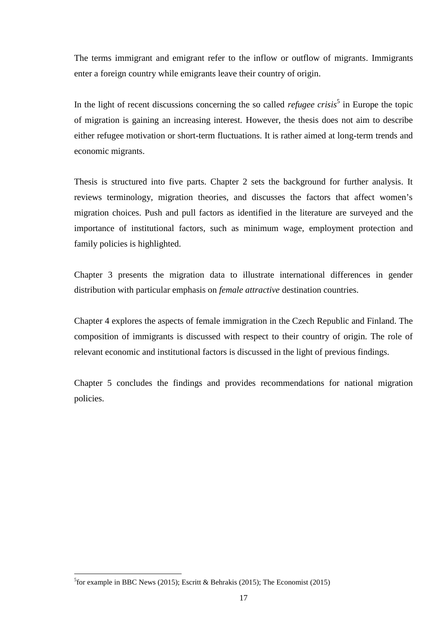The terms immigrant and emigrant refer to the inflow or outflow of migrants. Immigrants enter a foreign country while emigrants leave their country of origin.

In the light of recent discussions concerning the so called *refugee crisis*<sup>5</sup> in Europe the topic of migration is gaining an increasing interest. However, the thesis does not aim to describe either refugee motivation or short-term fluctuations. It is rather aimed at long-term trends and economic migrants.

Thesis is structured into five parts. Chapter 2 sets the background for further analysis. It reviews terminology, migration theories, and discusses the factors that affect women's migration choices. Push and pull factors as identified in the literature are surveyed and the importance of institutional factors, such as minimum wage, employment protection and family policies is highlighted.

Chapter 3 presents the migration data to illustrate international differences in gender distribution with particular emphasis on *female attractive* destination countries.

Chapter 4 explores the aspects of female immigration in the Czech Republic and Finland. The composition of immigrants is discussed with respect to their country of origin. The role of relevant economic and institutional factors is discussed in the light of previous findings.

Chapter 5 concludes the findings and provides recommendations for national migration policies.

<sup>&</sup>lt;sup>5</sup>for example in BBC News (2015); Escritt & Behrakis (2015); The Economist (2015)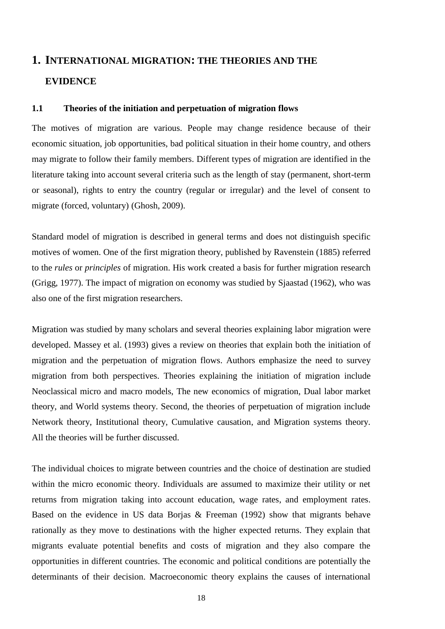# **1. INTERNATIONAL MIGRATION: THE THEORIES AND THE EVIDENCE**

### **1.1 Theories of the initiation and perpetuation of migration flows**

The motives of migration are various. People may change residence because of their economic situation, job opportunities, bad political situation in their home country, and others may migrate to follow their family members. Different types of migration are identified in the literature taking into account several criteria such as the length of stay (permanent, short-term or seasonal), rights to entry the country (regular or irregular) and the level of consent to migrate (forced, voluntary) (Ghosh, 2009).

Standard model of migration is described in general terms and does not distinguish specific motives of women. One of the first migration theory, published by Ravenstein (1885) referred to the *rules* or *principles* of migration. His work created a basis for further migration research (Grigg, 1977). The impact of migration on economy was studied by Sjaastad (1962), who was also one of the first migration researchers.

Migration was studied by many scholars and several theories explaining labor migration were developed. Massey et al. (1993) gives a review on theories that explain both the initiation of migration and the perpetuation of migration flows. Authors emphasize the need to survey migration from both perspectives. Theories explaining the initiation of migration include Neoclassical micro and macro models, The new economics of migration, Dual labor market theory, and World systems theory. Second, the theories of perpetuation of migration include Network theory, Institutional theory, Cumulative causation, and Migration systems theory. All the theories will be further discussed.

The individual choices to migrate between countries and the choice of destination are studied within the micro economic theory. Individuals are assumed to maximize their utility or net returns from migration taking into account education, wage rates, and employment rates. Based on the evidence in US data Borjas & Freeman (1992) show that migrants behave rationally as they move to destinations with the higher expected returns. They explain that migrants evaluate potential benefits and costs of migration and they also compare the opportunities in different countries. The economic and political conditions are potentially the determinants of their decision. Macroeconomic theory explains the causes of international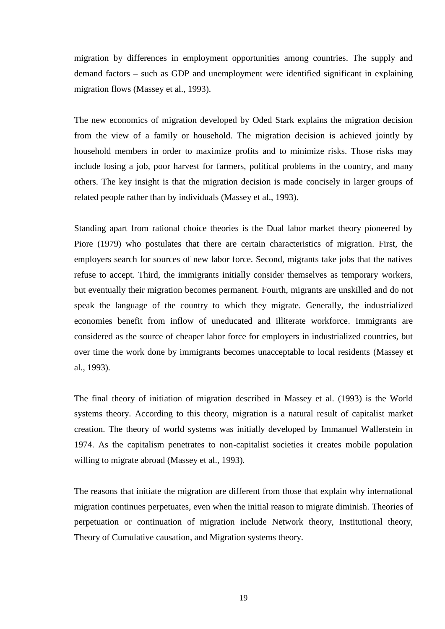migration by differences in employment opportunities among countries. The supply and demand factors – such as GDP and unemployment were identified significant in explaining migration flows (Massey et al., 1993).

The new economics of migration developed by Oded Stark explains the migration decision from the view of a family or household. The migration decision is achieved jointly by household members in order to maximize profits and to minimize risks. Those risks may include losing a job, poor harvest for farmers, political problems in the country, and many others. The key insight is that the migration decision is made concisely in larger groups of related people rather than by individuals (Massey et al., 1993).

Standing apart from rational choice theories is the Dual labor market theory pioneered by Piore (1979) who postulates that there are certain characteristics of migration. First, the employers search for sources of new labor force. Second, migrants take jobs that the natives refuse to accept. Third, the immigrants initially consider themselves as temporary workers, but eventually their migration becomes permanent. Fourth, migrants are unskilled and do not speak the language of the country to which they migrate. Generally, the industrialized economies benefit from inflow of uneducated and illiterate workforce. Immigrants are considered as the source of cheaper labor force for employers in industrialized countries, but over time the work done by immigrants becomes unacceptable to local residents (Massey et al., 1993)*.*

The final theory of initiation of migration described in Massey et al. (1993) is the World systems theory. According to this theory, migration is a natural result of capitalist market creation. The theory of world systems was initially developed by Immanuel Wallerstein in 1974. As the capitalism penetrates to non-capitalist societies it creates mobile population willing to migrate abroad (Massey et al., 1993)*.*

The reasons that initiate the migration are different from those that explain why international migration continues perpetuates, even when the initial reason to migrate diminish. Theories of perpetuation or continuation of migration include Network theory, Institutional theory, Theory of Cumulative causation, and Migration systems theory.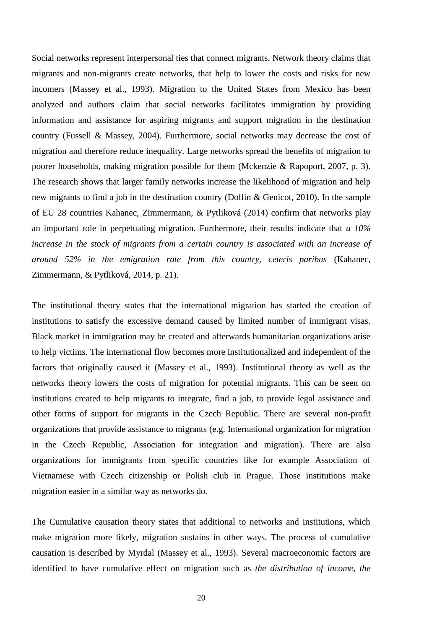Social networks represent interpersonal ties that connect migrants. Network theory claims that migrants and non-migrants create networks, that help to lower the costs and risks for new incomers (Massey et al., 1993). Migration to the United States from Mexico has been analyzed and authors claim that social networks facilitates immigration by providing information and assistance for aspiring migrants and support migration in the destination country (Fussell & Massey, 2004)*.* Furthermore, social networks may decrease the cost of migration and therefore reduce inequality. Large networks spread the benefits of migration to poorer households, making migration possible for them (Mckenzie & Rapoport, 2007, p. 3). The research shows that larger family networks increase the likelihood of migration and help new migrants to find a job in the destination country (Dolfin & Genicot, 2010). In the sample of EU 28 countries Kahanec, Zimmermann, & Pytliková (2014) confirm that networks play an important role in perpetuating migration. Furthermore, their results indicate that *a 10% increase in the stock of migrants from a certain country is associated with an increase of around 52% in the emigration rate from this country, ceteris paribus* (Kahanec, Zimmermann, & Pytliková, 2014, p. 21)*.*

The institutional theory states that the international migration has started the creation of institutions to satisfy the excessive demand caused by limited number of immigrant visas. Black market in immigration may be created and afterwards humanitarian organizations arise to help victims. The international flow becomes more institutionalized and independent of the factors that originally caused it (Massey et al., 1993). Institutional theory as well as the networks theory lowers the costs of migration for potential migrants. This can be seen on institutions created to help migrants to integrate, find a job, to provide legal assistance and other forms of support for migrants in the Czech Republic. There are several non-profit organizations that provide assistance to migrants (e.g. International organization for migration in the Czech Republic, Association for integration and migration). There are also organizations for immigrants from specific countries like for example Association of Vietnamese with Czech citizenship or Polish club in Prague. Those institutions make migration easier in a similar way as networks do.

The Cumulative causation theory states that additional to networks and institutions, which make migration more likely, migration sustains in other ways. The process of cumulative causation is described by Myrdal (Massey et al., 1993). Several macroeconomic factors are identified to have cumulative effect on migration such as *the distribution of income, the*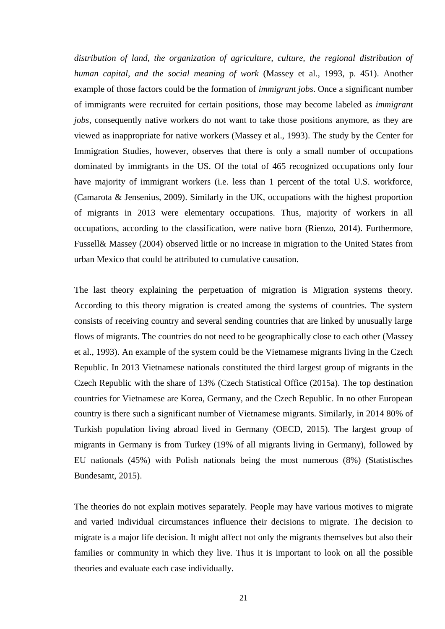*distribution of land, the organization of agriculture, culture, the regional distribution of human capital, and the social meaning of work* (Massey et al., 1993, p. 451). Another example of those factors could be the formation of *immigrant jobs*. Once a significant number of immigrants were recruited for certain positions, those may become labeled as *immigrant jobs,* consequently native workers do not want to take those positions anymore, as they are viewed as inappropriate for native workers (Massey et al., 1993). The study by the Center for Immigration Studies, however, observes that there is only a small number of occupations dominated by immigrants in the US. Of the total of 465 recognized occupations only four have majority of immigrant workers (i.e. less than 1 percent of the total U.S. workforce, (Camarota & Jensenius, 2009). Similarly in the UK, occupations with the highest proportion of migrants in 2013 were elementary occupations. Thus, majority of workers in all occupations, according to the classification, were native born (Rienzo, 2014). Furthermore, Fussell& Massey (2004) observed little or no increase in migration to the United States from urban Mexico that could be attributed to cumulative causation.

The last theory explaining the perpetuation of migration is Migration systems theory. According to this theory migration is created among the systems of countries. The system consists of receiving country and several sending countries that are linked by unusually large flows of migrants. The countries do not need to be geographically close to each other (Massey et al., 1993). An example of the system could be the Vietnamese migrants living in the Czech Republic. In 2013 Vietnamese nationals constituted the third largest group of migrants in the Czech Republic with the share of 13% (Czech Statistical Office (2015a). The top destination countries for Vietnamese are Korea, Germany, and the Czech Republic. In no other European country is there such a significant number of Vietnamese migrants. Similarly, in 2014 80% of Turkish population living abroad lived in Germany (OECD, 2015). The largest group of migrants in Germany is from Turkey (19% of all migrants living in Germany), followed by EU nationals (45%) with Polish nationals being the most numerous (8%) (Statistisches Bundesamt, 2015).

The theories do not explain motives separately. People may have various motives to migrate and varied individual circumstances influence their decisions to migrate. The decision to migrate is a major life decision. It might affect not only the migrants themselves but also their families or community in which they live. Thus it is important to look on all the possible theories and evaluate each case individually.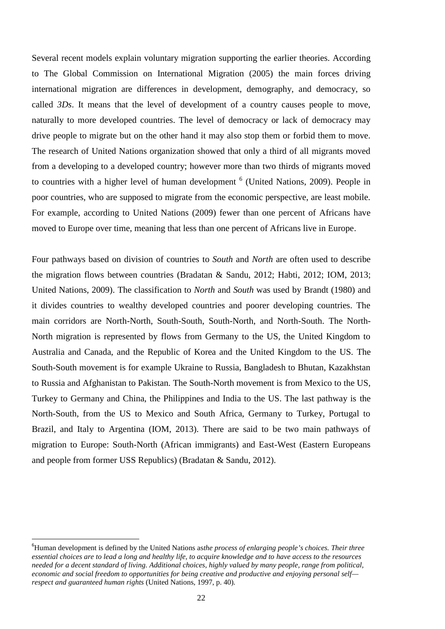Several recent models explain voluntary migration supporting the earlier theories. According to The Global Commission on International Migration (2005) the main forces driving international migration are differences in development, demography, and democracy, so called *3Ds*. It means that the level of development of a country causes people to move, naturally to more developed countries. The level of democracy or lack of democracy may drive people to migrate but on the other hand it may also stop them or forbid them to move. The research of United Nations organization showed that only a third of all migrants moved from a developing to a developed country; however more than two thirds of migrants moved to countries with a higher level of human development <sup>6</sup> (United Nations, 2009). People in poor countries, who are supposed to migrate from the economic perspective, are least mobile. For example, according to United Nations (2009) fewer than one percent of Africans have moved to Europe over time, meaning that less than one percent of Africans live in Europe.

Four pathways based on division of countries to *South* and *North* are often used to describe the migration flows between countries (Bradatan & Sandu, 2012; Habti, 2012; IOM, 2013; United Nations, 2009). The classification to *North* and *South* was used by Brandt (1980) and it divides countries to wealthy developed countries and poorer developing countries. The main corridors are North-North, South-South, South-North, and North-South. The North- North migration is represented by flows from Germany to the US, the United Kingdom to Australia and Canada, and the Republic of Korea and the United Kingdom to the US. The South-South movement is for example Ukraine to Russia, Bangladesh to Bhutan, Kazakhstan to Russia and Afghanistan to Pakistan. The South-North movement is from Mexico to the US, Turkey to Germany and China, the Philippines and India to the US. The last pathway is the North-South, from the US to Mexico and South Africa, Germany to Turkey, Portugal to Brazil, and Italy to Argentina (IOM, 2013). There are said to be two main pathways of migration to Europe: South-North (African immigrants) and East-West (Eastern Europeans and people from former USS Republics) (Bradatan & Sandu, 2012).

<sup>6</sup>Human development is defined by the United Nations as*the process of enlarging people's choices. Their three essential choices are to lead a long and healthy life, to acquire knowledge and to have access to the resources needed for a decent standard of living. Additional choices, highly valued by many people, range from political, economic and social freedom to opportunities for being creative and productive and enjoying personal self respect and guaranteed human rights* (United Nations, 1997, p. 40)*.*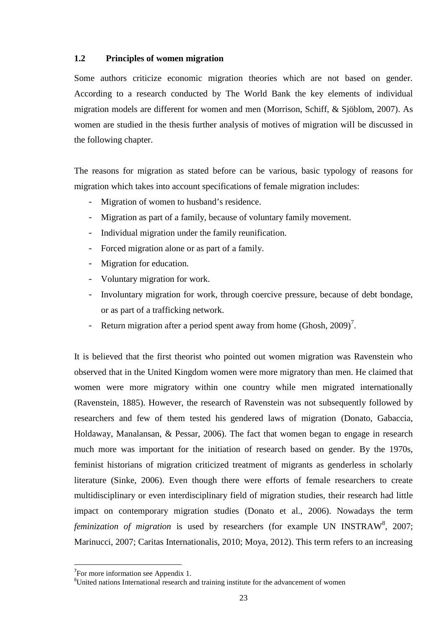### **1.2 Principles of women migration**

Some authors criticize economic migration theories which are not based on gender. According to a research conducted by The World Bank the key elements of individual migration models are different for women and men (Morrison, Schiff, & Sjöblom, 2007). As women are studied in the thesis further analysis of motives of migration will be discussed in the following chapter.

The reasons for migration as stated before can be various, basic typology of reasons for migration which takes into account specifications of female migration includes:

- Migration of women to husband's residence.
- Migration as part of a family, because of voluntary family movement.
- Individual migration under the family reunification.
- Forced migration alone or as part of a family.
- Migration for education.
- Voluntary migration for work.
- Involuntary migration for work, through coercive pressure, because of debt bondage, or as part of a trafficking network.
- Return migration after a period spent away from home  $(Ghosh, 2009)^7$ .

It is believed that the first theorist who pointed out women migration was Ravenstein who observed that in the United Kingdom women were more migratory than men. He claimed that women were more migratory within one country while men migrated internationally (Ravenstein, 1885). However, the research of Ravenstein was not subsequently followed by researchers and few of them tested his gendered laws of migration (Donato, Gabaccia, Holdaway, Manalansan, & Pessar, 2006). The fact that women began to engage in research much more was important for the initiation of research based on gender. By the 1970s, feminist historians of migration criticized treatment of migrants as genderless in scholarly literature (Sinke, 2006). Even though there were efforts of female researchers to create multidisciplinary or even interdisciplinary field of migration studies, their research had little impact on contemporary migration studies (Donato et al., 2006). Nowadays the term feminization of migration is used by researchers (for example UN INSTRAW<sup>8</sup>, 2007; Marinucci, 2007; Caritas Internationalis, 2010; Moya, 2012). This term refers to an increasing

<sup>&</sup>lt;sup>7</sup>For more information see Appendix 1.<br><sup>8</sup>United nations International research and training institute for the advancement of women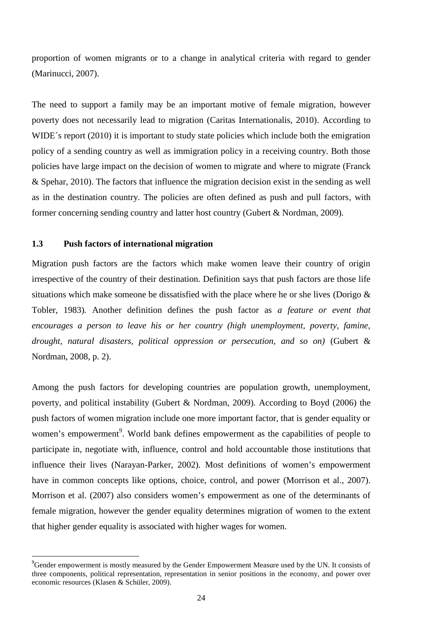proportion of women migrants or to a change in analytical criteria with regard to gender (Marinucci, 2007).

The need to support a family may be an important motive of female migration, however poverty does not necessarily lead to migration (Caritas Internationalis, 2010). According to WIDE's report (2010) it is important to study state policies which include both the emigration policy of a sending country as well as immigration policy in a receiving country. Both those policies have large impact on the decision of women to migrate and where to migrate (Franck & Spehar, 2010). The factors that influence the migration decision exist in the sending as well as in the destination country. The policies are often defined as push and pull factors, with former concerning sending country and latter host country (Gubert & Nordman, 2009)*.*

### **1.3 Push factors of international migration**

Migration push factors are the factors which make women leave their country of origin irrespective of the country of their destination. Definition says that push factors are those life situations which make someone be dissatisfied with the place where he or she lives (Dorigo & Tobler, 1983)*.* Another definition defines the push factor as *a feature or event that encourages a person to leave his or her country (high unemployment, poverty, famine, drought, natural disasters, political oppression or persecution, and so on)* (Gubert & Nordman, 2008, p. 2).

Among the push factors for developing countries are population growth, unemployment, poverty, and political instability (Gubert & Nordman, 2009)*.* According to Boyd (2006) the push factors of women migration include one more important factor, that is gender equality or women's empowerment<sup>9</sup>. World bank defines empowerment as the capabilities of people to participate in, negotiate with, influence, control and hold accountable those institutions that influence their lives (Narayan-Parker, 2002)*.* Most definitions of women's empowerment have in common concepts like options, choice, control, and power (Morrison et al., 2007). Morrison et al. (2007) also considers women's empowerment as one of the determinants of female migration, however the gender equality determines migration of women to the extent that higher gender equality is associated with higher wages for women.

<sup>&</sup>lt;sup>9</sup>Gender empowerment is mostly measured by the Gender Empowerment Measure used by the UN. It consists of three components, political representation, representation in senior positions in the economy, and power over economic resources (Klasen & Schüler, 2009).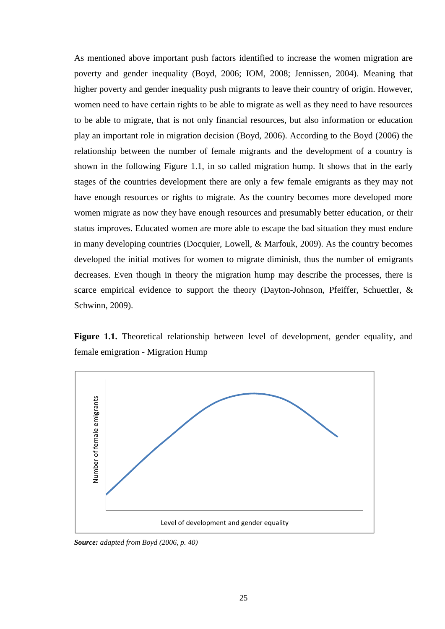As mentioned above important push factors identified to increase the women migration are poverty and gender inequality (Boyd, 2006; IOM, 2008; Jennissen, 2004). Meaning that higher poverty and gender inequality push migrants to leave their country of origin. However, women need to have certain rights to be able to migrate as well as they need to have resources to be able to migrate, that is not only financial resources, but also information or education play an important role in migration decision (Boyd, 2006). According to the Boyd (2006) the relationship between the number of female migrants and the development of a country is shown in the following Figure 1.1, in so called migration hump. It shows that in the early stages of the countries development there are only a few female emigrants as they may not have enough resources or rights to migrate. As the country becomes more developed more women migrate as now they have enough resources and presumably better education, or their status improves. Educated women are more able to escape the bad situation they must endure in many developing countries (Docquier, Lowell, & Marfouk, 2009). As the country becomes developed the initial motives for women to migrate diminish, thus the number of emigrants decreases. Even though in theory the migration hump may describe the processes, there is scarce empirical evidence to support the theory (Dayton-Johnson, Pfeiffer, Schuettler, & Schwinn, 2009).

**Figure 1.1.** Theoretical relationship between level of development, gender equality, and female emigration - Migration Hump



*Source: adapted from Boyd (2006, p. 40)*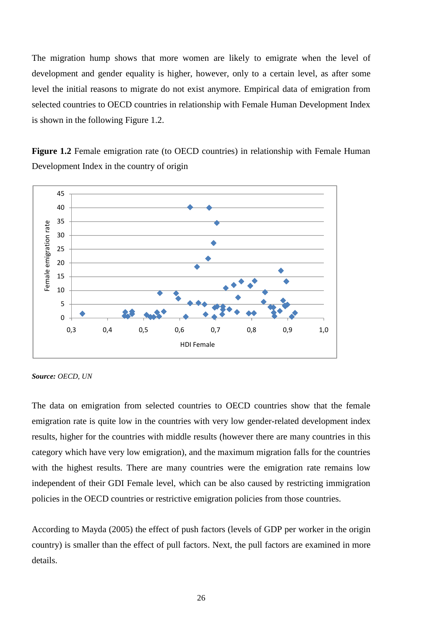The migration hump shows that more women are likely to emigrate when the level of development and gender equality is higher, however, only to a certain level, as after some level the initial reasons to migrate do not exist anymore. Empirical data of emigration from selected countries to OECD countries in relationship with Female Human Development Index is shown in the following Figure 1.2.

**Figure 1.2** Female emigration rate (to OECD countries) in relationship with Female Human Development Index in the country of origin



*Source: OECD, UN*

The data on emigration from selected countries to OECD countries show that the female emigration rate is quite low in the countries with very low gender-related development index results, higher for the countries with middle results (however there are many countries in this category which have very low emigration), and the maximum migration falls for the countries with the highest results. There are many countries were the emigration rate remains low independent of their GDI Female level, which can be also caused by restricting immigration policies in the OECD countries or restrictive emigration policies from those countries.

According to Mayda (2005) the effect of push factors (levels of GDP per worker in the origin country) is smaller than the effect of pull factors. Next, the pull factors are examined in more details.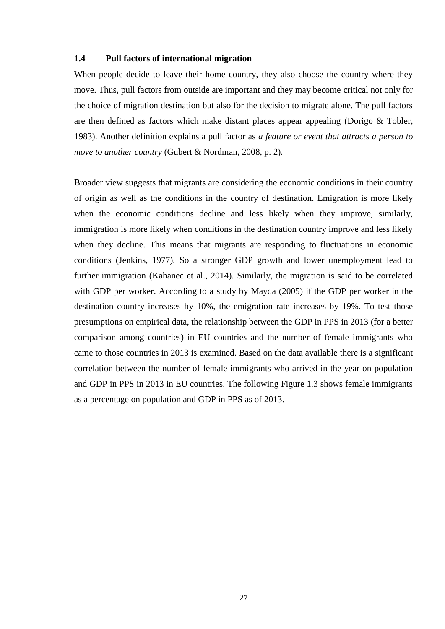### **1.4 Pull factors of international migration**

When people decide to leave their home country, they also choose the country where they move. Thus, pull factors from outside are important and they may become critical not only for the choice of migration destination but also for the decision to migrate alone. The pull factors are then defined as factors which make distant places appear appealing (Dorigo & Tobler, 1983). Another definition explains a pull factor as *a feature or event that attracts a person to move to another country* (Gubert & Nordman, 2008, p. 2)*.*

Broader view suggests that migrants are considering the economic conditions in their country of origin as well as the conditions in the country of destination. Emigration is more likely when the economic conditions decline and less likely when they improve, similarly, immigration is more likely when conditions in the destination country improve and less likely when they decline. This means that migrants are responding to fluctuations in economic conditions (Jenkins, 1977)*.* So a stronger GDP growth and lower unemployment lead to further immigration (Kahanec et al., 2014). Similarly, the migration is said to be correlated with GDP per worker. According to a study by Mayda (2005) if the GDP per worker in the destination country increases by 10%, the emigration rate increases by 19%. To test those presumptions on empirical data, the relationship between the GDP in PPS in 2013 (for a better comparison among countries) in EU countries and the number of female immigrants who came to those countries in 2013 is examined. Based on the data available there is a significant correlation between the number of female immigrants who arrived in the year on population and GDP in PPS in 2013 in EU countries. The following Figure 1.3 shows female immigrants as a percentage on population and GDP in PPS as of 2013.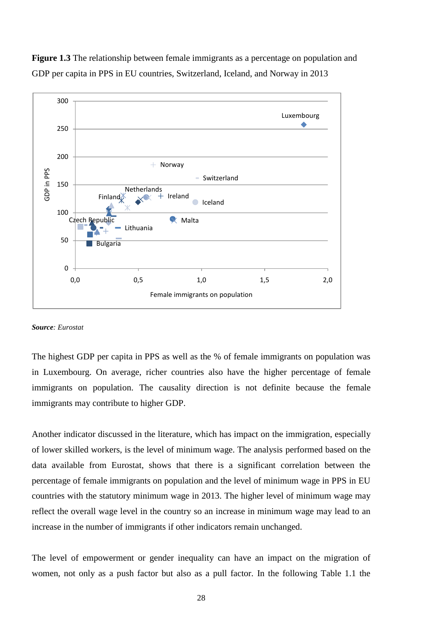



#### *Source: Eurostat*

The highest GDP per capita in PPS as well as the % of female immigrants on population was in Luxembourg. On average, richer countries also have the higher percentage of female immigrants on population. The causality direction is not definite because the female immigrants may contribute to higher GDP.

Another indicator discussed in the literature, which has impact on the immigration, especially of lower skilled workers, is the level of minimum wage. The analysis performed based on the data available from Eurostat, shows that there is a significant correlation between the percentage of female immigrants on population and the level of minimum wage in PPS in EU countries with the statutory minimum wage in 2013. The higher level of minimum wage may reflect the overall wage level in the country so an increase in minimum wage may lead to an increase in the number of immigrants if other indicators remain unchanged.

The level of empowerment or gender inequality can have an impact on the migration of women, not only as a push factor but also as a pull factor. In the following Table 1.1 the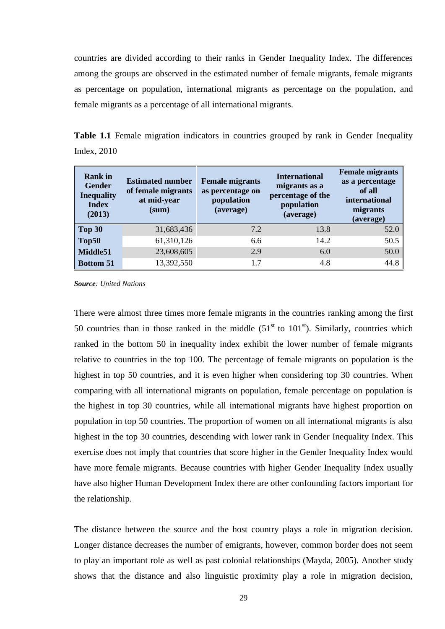countries are divided according to their ranks in Gender Inequality Index. The differences among the groups are observed in the estimated number of female migrants, female migrants as percentage on population, international migrants as percentage on the population, and female migrants as a percentage of all international migrants.

**Table 1.1** Female migration indicators in countries grouped by rank in Gender Inequality Index, 2010

| <b>Rank</b> in<br><b>Gender</b><br><b>Inequality</b><br><b>Index</b><br>(2013) | <b>Estimated number</b><br>of female migrants<br>at mid-year<br>(sum) | <b>Female migrants</b><br>as percentage on<br>population<br>(average) | <b>International</b><br>migrants as a<br>percentage of the<br>population<br>(average) | <b>Female migrants</b><br>as a percentage<br>of all<br>international<br>migrants<br>(average) |
|--------------------------------------------------------------------------------|-----------------------------------------------------------------------|-----------------------------------------------------------------------|---------------------------------------------------------------------------------------|-----------------------------------------------------------------------------------------------|
| Top 30                                                                         | 31,683,436                                                            | 7.2                                                                   | 13.8                                                                                  | 52.0                                                                                          |
| Top50                                                                          | 61,310,126                                                            | 6.6                                                                   | 14.2                                                                                  | 50.5                                                                                          |
| Middle51                                                                       | 23,608,605                                                            | 2.9                                                                   | 6.0                                                                                   | 50.0                                                                                          |
| <b>Bottom 51</b>                                                               | 13,392,550                                                            | 1.7                                                                   | 4.8                                                                                   | 44.8                                                                                          |

*Source: United Nations*

There were almost three times more female migrants in the countries ranking among the first 50 countries than in those ranked in the middle  $(51<sup>st</sup>$  to  $101<sup>st</sup>)$ . Similarly, countries which ranked in the bottom 50 in inequality index exhibit the lower number of female migrants relative to countries in the top 100. The percentage of female migrants on population is the highest in top 50 countries, and it is even higher when considering top 30 countries. When comparing with all international migrants on population, female percentage on population is the highest in top 30 countries, while all international migrants have highest proportion on population in top 50 countries. The proportion of women on all international migrants is also highest in the top 30 countries, descending with lower rank in Gender Inequality Index. This exercise does not imply that countries that score higher in the Gender Inequality Index would have more female migrants. Because countries with higher Gender Inequality Index usually have also higher Human Development Index there are other confounding factors important for the relationship.

The distance between the source and the host country plays a role in migration decision. Longer distance decreases the number of emigrants, however, common border does not seem to play an important role as well as past colonial relationships (Mayda, 2005)*.* Another study shows that the distance and also linguistic proximity play a role in migration decision,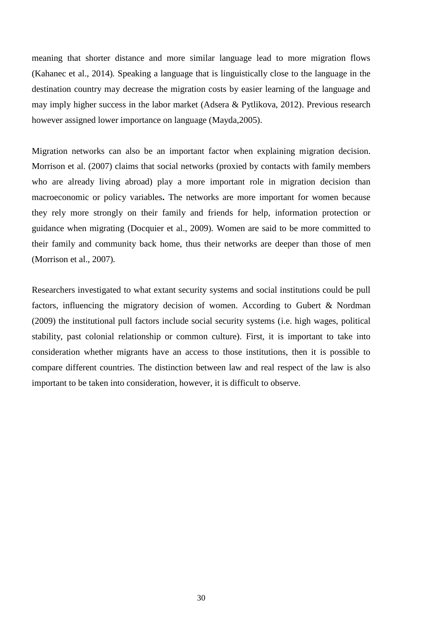meaning that shorter distance and more similar language lead to more migration flows (Kahanec et al., 2014)*.* Speaking a language that is linguistically close to the language in the destination country may decrease the migration costs by easier learning of the language and may imply higher success in the labor market (Adsera & Pytlikova, 2012). Previous research however assigned lower importance on language (Mayda,2005).

Migration networks can also be an important factor when explaining migration decision. Morrison et al. (2007) claims that social networks (proxied by contacts with family members who are already living abroad) play a more important role in migration decision than macroeconomic or policy variables**.** The networks are more important for women because they rely more strongly on their family and friends for help, information protection or guidance when migrating (Docquier et al., 2009)*.* Women are said to be more committed to their family and community back home, thus their networks are deeper than those of men (Morrison et al., 2007)*.*

Researchers investigated to what extant security systems and social institutions could be pull factors, influencing the migratory decision of women. According to Gubert & Nordman (2009) the institutional pull factors include social security systems (i.e. high wages, political stability, past colonial relationship or common culture). First, it is important to take into consideration whether migrants have an access to those institutions, then it is possible to compare different countries. The distinction between law and real respect of the law is also important to be taken into consideration, however, it is difficult to observe.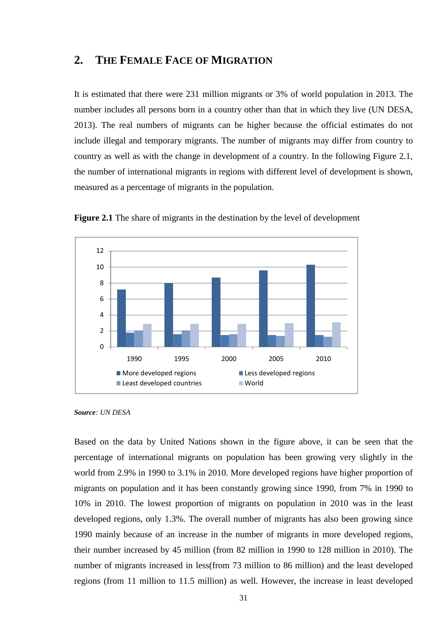### **2. THE FEMALE FACE OF MIGRATION**

It is estimated that there were 231 million migrants or 3% of world population in 2013. The number includes all persons born in a country other than that in which they live (UN DESA, 2013). The real numbers of migrants can be higher because the official estimates do not include illegal and temporary migrants. The number of migrants may differ from country to country as well as with the change in development of a country. In the following Figure 2.1, the number of international migrants in regions with different level of development is shown, measured as a percentage of migrants in the population.



**Figure 2.1** The share of migrants in the destination by the level of development

Based on the data by United Nations shown in the figure above, it can be seen that the percentage of international migrants on population has been growing very slightly in the world from 2.9% in 1990 to 3.1% in 2010. More developed regions have higher proportion of migrants on population and it has been constantly growing since 1990, from 7% in 1990 to 10% in 2010. The lowest proportion of migrants on population in 2010 was in the least developed regions, only 1.3%. The overall number of migrants has also been growing since 1990 mainly because of an increase in the number of migrants in more developed regions, their number increased by 45 million (from 82 million in 1990 to 128 million in 2010). The number of migrants increased in less(from 73 million to 86 million) and the least developed regions (from 11 million to 11.5 million) as well. However, the increase in least developed

*Source: UN DESA*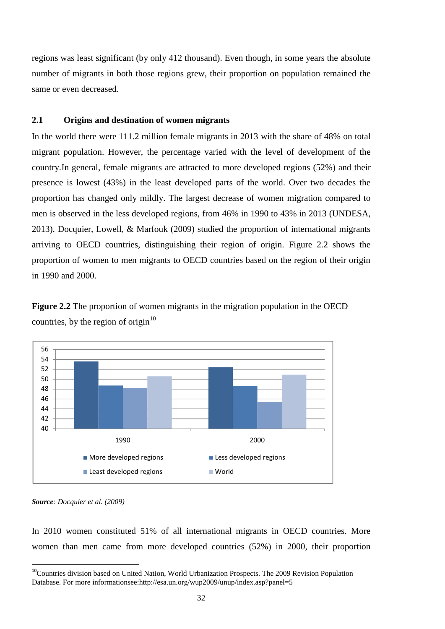regions was least significant (by only 412 thousand). Even though, in some years the absolute number of migrants in both those regions grew, their proportion on population remained the same or even decreased.

### **2.1 Origins and destination of women migrants**

In the world there were 111.2 million female migrants in 2013 with the share of 48% on total migrant population. However, the percentage varied with the level of development of the country.In general, female migrants are attracted to more developed regions (52%) and their presence is lowest (43%) in the least developed parts of the world. Over two decades the proportion has changed only mildly. The largest decrease of women migration compared to men is observed in the less developed regions, from 46% in 1990 to 43% in 2013 (UNDESA, 2013). Docquier, Lowell, & Marfouk (2009) studied the proportion of international migrants arriving to OECD countries, distinguishing their region of origin. Figure 2.2 shows the proportion of women to men migrants to OECD countries based on the region of their origin in 1990 and 2000.

**Figure 2.2** The proportion of women migrants in the migration population in the OECD countries, by the region of origin $10$ 



*Source: Docquier et al. (2009)*

In 2010 women constituted 51% of all international migrants in OECD countries. More women than men came from more developed countries (52%) in 2000, their proportion

<sup>&</sup>lt;sup>10</sup>Countries division based on United Nation, World Urbanization Prospects. The 2009 Revision Population Database. For more informationsee:http://esa.un.org/wup2009/unup/index.asp?panel=5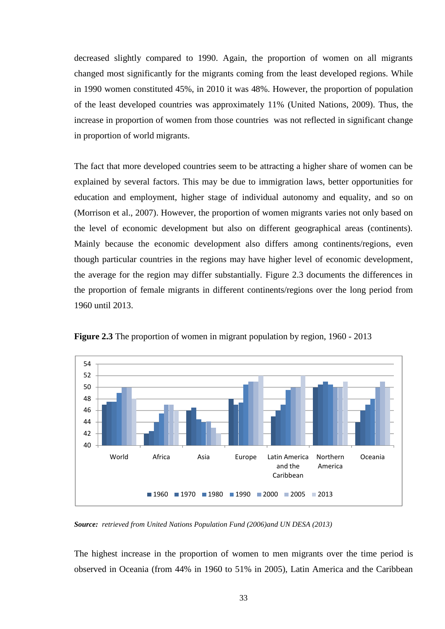decreased slightly compared to 1990. Again, the proportion of women on all migrants changed most significantly for the migrants coming from the least developed regions. While in 1990 women constituted 45%, in 2010 it was 48%. However, the proportion of population of the least developed countries was approximately 11% (United Nations, 2009). Thus, the increase in proportion of women from those countries was not reflected in significant change in proportion of world migrants.

The fact that more developed countries seem to be attracting a higher share of women can be explained by several factors. This may be due to immigration laws, better opportunities for education and employment, higher stage of individual autonomy and equality, and so on (Morrison et al., 2007). However, the proportion of women migrants varies not only based on the level of economic development but also on different geographical areas (continents). Mainly because the economic development also differs among continents/regions, even though particular countries in the regions may have higher level of economic development, the average for the region may differ substantially. Figure 2.3 documents the differences in the proportion of female migrants in different continents/regions over the long period from 1960 until 2013.



**Figure 2.3** The proportion of women in migrant population by region, 1960 - 2013

*Source: retrieved from United Nations Population Fund (2006)and UN DESA (2013)*

The highest increase in the proportion of women to men migrants over the time period is observed in Oceania (from 44% in 1960 to 51% in 2005), Latin America and the Caribbean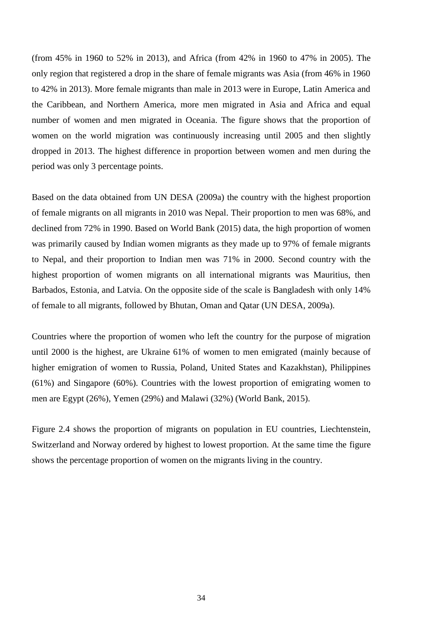(from 45% in 1960 to 52% in 2013), and Africa (from 42% in 1960 to 47% in 2005). The only region that registered a drop in the share of female migrants was Asia (from 46% in 1960 to 42% in 2013). More female migrants than male in 2013 were in Europe, Latin America and the Caribbean, and Northern America, more men migrated in Asia and Africa and equal number of women and men migrated in Oceania. The figure shows that the proportion of women on the world migration was continuously increasing until 2005 and then slightly dropped in 2013. The highest difference in proportion between women and men during the period was only 3 percentage points.

Based on the data obtained from UN DESA (2009a) the country with the highest proportion of female migrants on all migrants in 2010 was Nepal. Their proportion to men was 68%, and declined from 72% in 1990. Based on World Bank (2015) data, the high proportion of women was primarily caused by Indian women migrants as they made up to 97% of female migrants to Nepal, and their proportion to Indian men was 71% in 2000. Second country with the highest proportion of women migrants on all international migrants was Mauritius, then Barbados, Estonia, and Latvia. On the opposite side of the scale is Bangladesh with only 14% of female to all migrants, followed by Bhutan, Oman and Qatar (UN DESA, 2009a).

Countries where the proportion of women who left the country for the purpose of migration until 2000 is the highest, are Ukraine 61% of women to men emigrated (mainly because of higher emigration of women to Russia, Poland, United States and Kazakhstan), Philippines (61%) and Singapore (60%). Countries with the lowest proportion of emigrating women to men are Egypt (26%), Yemen (29%) and Malawi (32%) (World Bank, 2015).

Figure 2.4 shows the proportion of migrants on population in EU countries, Liechtenstein, Switzerland and Norway ordered by highest to lowest proportion. At the same time the figure shows the percentage proportion of women on the migrants living in the country.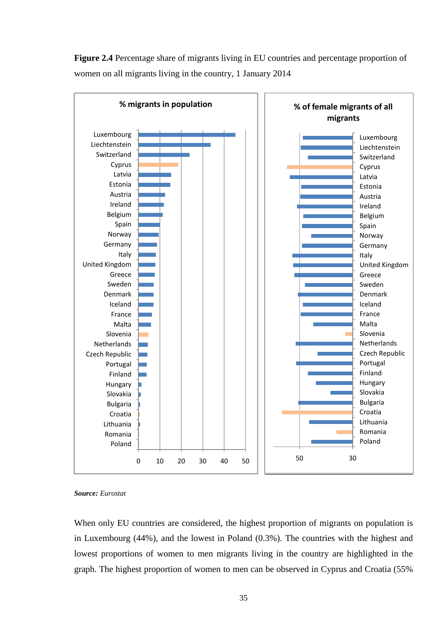**Figure 2.4** Percentage share of migrants living in EU countries and percentage proportion of women on all migrants living in the country, 1 January 2014



#### *Source: Eurostat*

When only EU countries are considered, the highest proportion of migrants on population is in Luxembourg (44%), and the lowest in Poland (0.3%). The countries with the highest and lowest proportions of women to men migrants living in the country are highlighted in the graph. The highest proportion of women to men can be observed in Cyprus and Croatia (55%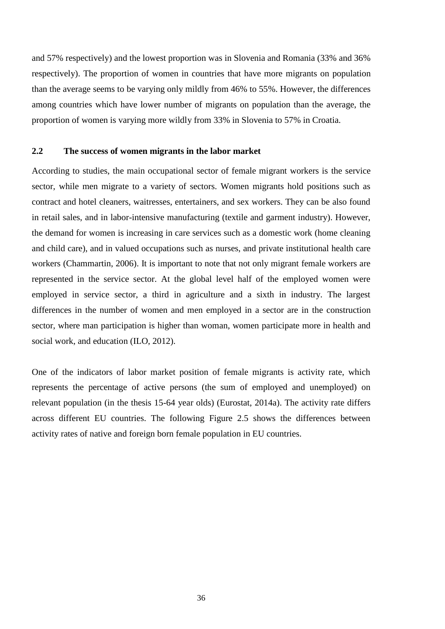and 57% respectively) and the lowest proportion was in Slovenia and Romania (33% and 36% respectively). The proportion of women in countries that have more migrants on population than the average seems to be varying only mildly from 46% to 55%. However, the differences among countries which have lower number of migrants on population than the average, the proportion of women is varying more wildly from 33% in Slovenia to 57% in Croatia.

### **2.2 The success of women migrants in the labor market**

According to studies, the main occupational sector of female migrant workers is the service sector, while men migrate to a variety of sectors. Women migrants hold positions such as contract and hotel cleaners, waitresses, entertainers, and sex workers. They can be also found in retail sales, and in labor-intensive manufacturing (textile and garment industry). However, the demand for women is increasing in care services such as a domestic work (home cleaning and child care), and in valued occupations such as nurses, and private institutional health care workers (Chammartin, 2006). It is important to note that not only migrant female workers are represented in the service sector. At the global level half of the employed women were employed in service sector, a third in agriculture and a sixth in industry. The largest differences in the number of women and men employed in a sector are in the construction sector, where man participation is higher than woman, women participate more in health and social work, and education (ILO, 2012).

One of the indicators of labor market position of female migrants is activity rate, which represents the percentage of active persons (the sum of employed and unemployed) on relevant population (in the thesis 15-64 year olds) (Eurostat, 2014a). The activity rate differs across different EU countries. The following Figure 2.5 shows the differences between activity rates of native and foreign born female population in EU countries.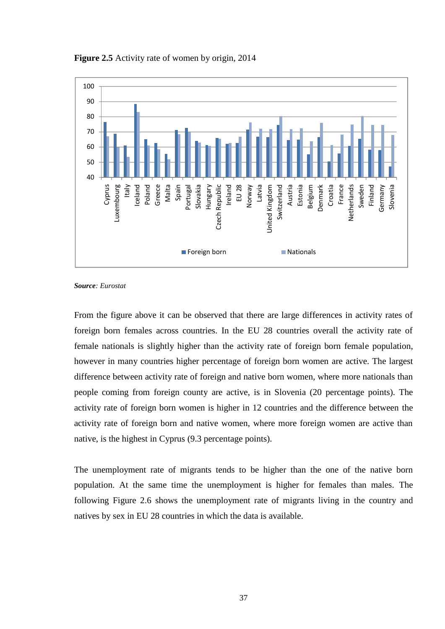

**Figure 2.5** Activity rate of women by origin, 2014

*Source: Eurostat*

From the figure above it can be observed that there are large differences in activity rates of foreign born females across countries. In the EU 28 countries overall the activity rate of female nationals is slightly higher than the activity rate of foreign born female population, however in many countries higher percentage of foreign born women are active. The largest difference between activity rate of foreign and native born women, where more nationals than people coming from foreign county are active, is in Slovenia (20 percentage points). The activity rate of foreign born women is higher in 12 countries and the difference between the activity rate of foreign born and native women, where more foreign women are active than native, is the highest in Cyprus (9.3 percentage points).

The unemployment rate of migrants tends to be higher than the one of the native born population. At the same time the unemployment is higher for females than males. The following Figure 2.6 shows the unemployment rate of migrants living in the country and natives by sex in EU 28 countries in which the data is available.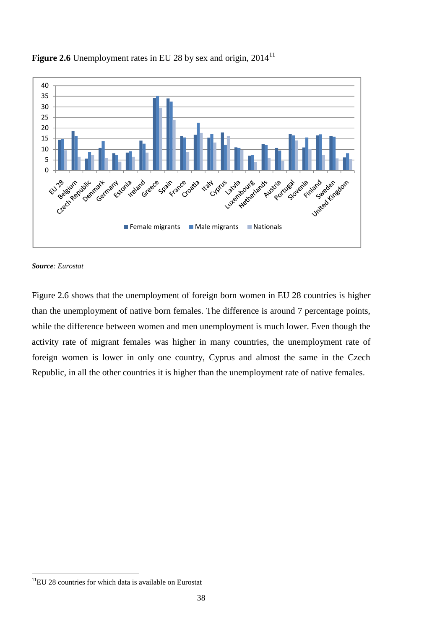

## **Figure 2.6** Unemployment rates in EU 28 by sex and origin, 2014<sup>11</sup>



Figure 2.6 shows that the unemployment of foreign born women in EU 28 countries is higher than the unemployment of native born females. The difference is around 7 percentage points, while the difference between women and men unemployment is much lower. Even though the activity rate of migrant females was higher in many countries, the unemployment rate of foreign women is lower in only one country, Cyprus and almost the same in the Czech Republic, in all the other countries it is higher than the unemployment rate of native females.

 $11$ EU 28 countries for which data is available on Eurostat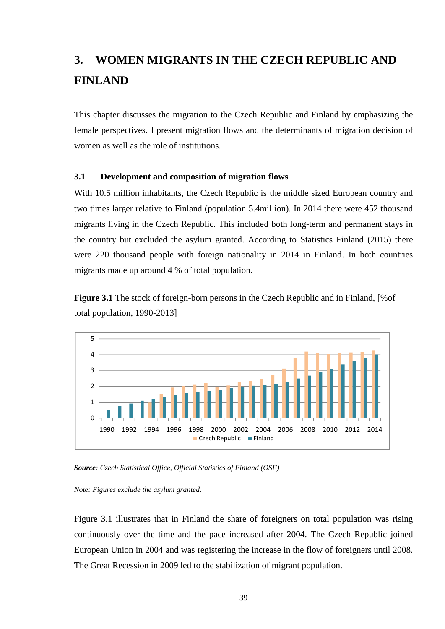# **3. WOMEN MIGRANTS IN THE CZECH REPUBLIC AND FINLAND**

This chapter discusses the migration to the Czech Republic and Finland by emphasizing the female perspectives. I present migration flows and the determinants of migration decision of women as well as the role of institutions.

### **3.1 Development and composition of migration flows**

With 10.5 million inhabitants, the Czech Republic is the middle sized European country and two times larger relative to Finland (population 5.4million). In 2014 there were 452 thousand migrants living in the Czech Republic. This included both long-term and permanent stays in the country but excluded the asylum granted. According to Statistics Finland (2015) there were 220 thousand people with foreign nationality in 2014 in Finland. In both countries migrants made up around 4 % of total population.

**Figure 3.1** The stock of foreign-born persons in the Czech Republic and in Finland, [%of total population, 1990-2013]



*Source: Czech Statistical Office, Official Statistics of Finland (OSF)*

*Note: Figures exclude the asylum granted.*

Figure 3.1 illustrates that in Finland the share of foreigners on total population was rising continuously over the time and the pace increased after 2004. The Czech Republic joined European Union in 2004 and was registering the increase in the flow of foreigners until 2008. The Great Recession in 2009 led to the stabilization of migrant population.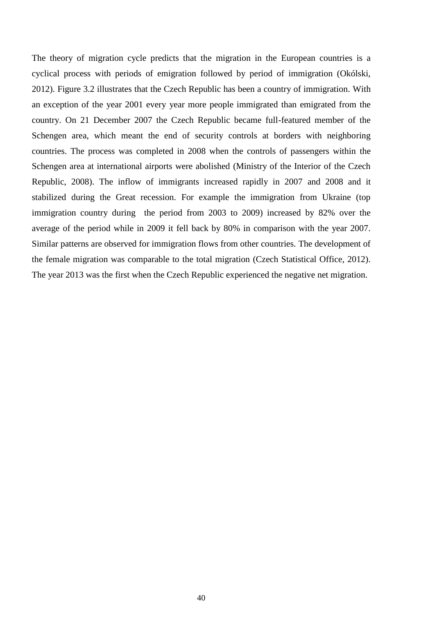The theory of migration cycle predicts that the migration in the European countries is a cyclical process with periods of emigration followed by period of immigration (Okólski, 2012). Figure 3.2 illustrates that the Czech Republic has been a country of immigration. With an exception of the year 2001 every year more people immigrated than emigrated from the country. On 21 December 2007 the Czech Republic became full-featured member of the Schengen area, which meant the end of security controls at borders with neighboring countries. The process was completed in 2008 when the controls of passengers within the Schengen area at international airports were abolished (Ministry of the Interior of the Czech Republic, 2008). The inflow of immigrants increased rapidly in 2007 and 2008 and it stabilized during the Great recession. For example the immigration from Ukraine (top immigration country during the period from 2003 to 2009) increased by 82% over the average of the period while in 2009 it fell back by 80% in comparison with the year 2007. Similar patterns are observed for immigration flows from other countries. The development of the female migration was comparable to the total migration (Czech Statistical Office, 2012). The year 2013 was the first when the Czech Republic experienced the negative net migration.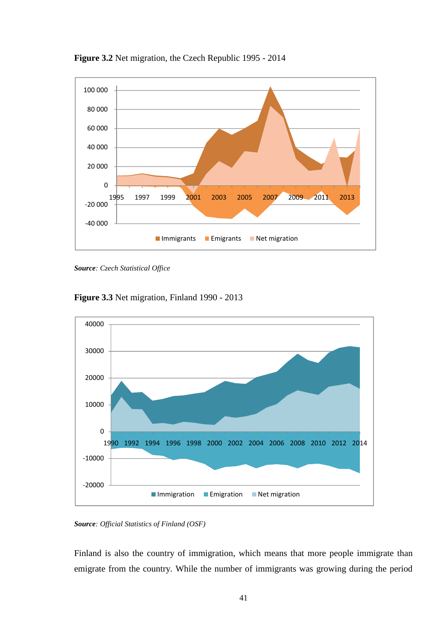

**Figure 3.2** Net migration, the Czech Republic 1995 - 2014

*Source: Czech Statistical Office*





*Source: Official Statistics of Finland (OSF)*

Finland is also the country of immigration, which means that more people immigrate than emigrate from the country. While the number of immigrants was growing during the period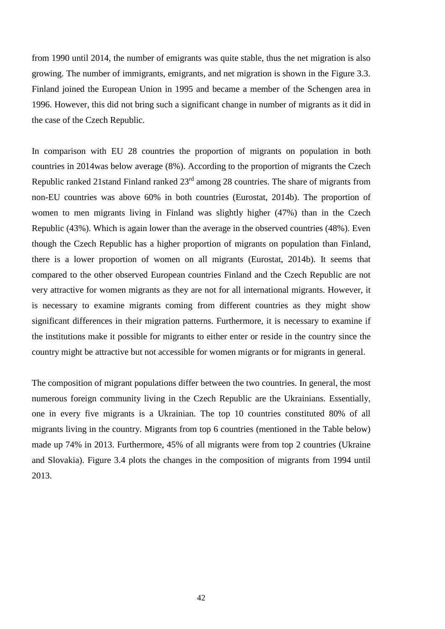from 1990 until 2014, the number of emigrants was quite stable, thus the net migration is also growing. The number of immigrants, emigrants, and net migration is shown in the Figure 3.3. Finland joined the European Union in 1995 and became a member of the Schengen area in 1996. However, this did not bring such a significant change in number of migrants as it did in the case of the Czech Republic.

In comparison with EU 28 countries the proportion of migrants on population in both countries in 2014was below average (8%). According to the proportion of migrants the Czech Republic ranked 21stand Finland ranked 23rd among 28 countries. The share of migrants from non-EU countries was above 60% in both countries (Eurostat, 2014b). The proportion of women to men migrants living in Finland was slightly higher (47%) than in the Czech Republic (43%). Which is again lower than the average in the observed countries (48%). Even though the Czech Republic has a higher proportion of migrants on population than Finland, there is a lower proportion of women on all migrants (Eurostat, 2014b). It seems that compared to the other observed European countries Finland and the Czech Republic are not very attractive for women migrants as they are not for all international migrants. However, it is necessary to examine migrants coming from different countries as they might show significant differences in their migration patterns. Furthermore, it is necessary to examine if the institutions make it possible for migrants to either enter or reside in the country since the country might be attractive but not accessible for women migrants or for migrants in general.

The composition of migrant populations differ between the two countries. In general, the most numerous foreign community living in the Czech Republic are the Ukrainians. Essentially, one in every five migrants is a Ukrainian. The top 10 countries constituted 80% of all migrants living in the country. Migrants from top 6 countries (mentioned in the Table below) made up 74% in 2013. Furthermore, 45% of all migrants were from top 2 countries (Ukraine and Slovakia). Figure 3.4 plots the changes in the composition of migrants from 1994 until 2013.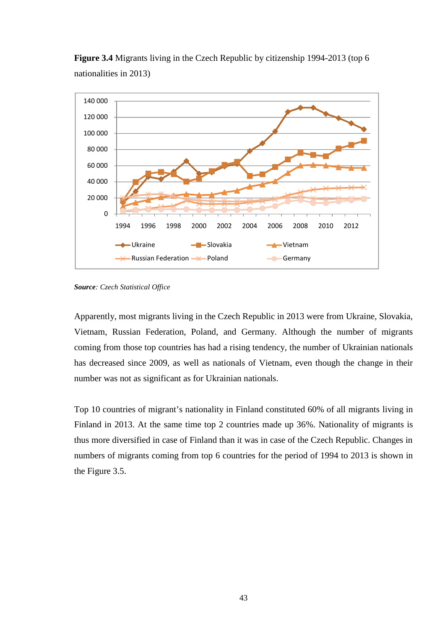

**Figure 3.4** Migrants living in the Czech Republic by citizenship 1994-2013 (top 6 nationalities in 2013)

*Source: Czech Statistical Office*

Apparently, most migrants living in the Czech Republic in 2013 were from Ukraine, Slovakia, Vietnam, Russian Federation, Poland, and Germany. Although the number of migrants coming from those top countries has had a rising tendency, the number of Ukrainian nationals has decreased since 2009, as well as nationals of Vietnam, even though the change in their number was not as significant as for Ukrainian nationals.

Top 10 countries of migrant's nationality in Finland constituted 60% of all migrants living in Finland in 2013. At the same time top 2 countries made up 36%. Nationality of migrants is thus more diversified in case of Finland than it was in case of the Czech Republic. Changes in numbers of migrants coming from top 6 countries for the period of 1994 to 2013 is shown in the Figure 3.5.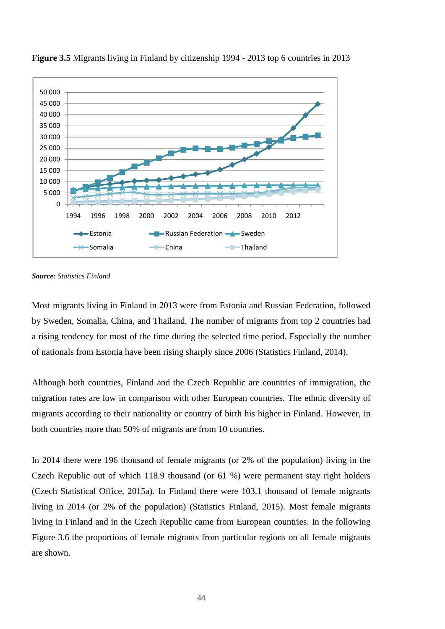



Most migrants living in Finland in 2013 were from Estonia and Russian Federation, followed by Sweden, Somalia, China, and Thailand. The number of migrants from top 2 countries had a rising tendency for most of the time during the selected time period. Especially the number of nationals from Estonia have been rising sharply since 2006 (Statistics Finland, 2014).

Although both countries, Finland and the Czech Republic are countries of immigration, the migration rates are low in comparison with other European countries. The ethnic diversity of migrants according to their nationality or country of birth his higher in Finland. However, in both countries more than 50% of migrants are from 10 countries.

In 2014 there were 196 thousand of female migrants (or 2% of the population) living in the Czech Republic out of which 118.9 thousand (or 61 %) were permanent stay right holders (Czech Statistical Office, 2015a). In Finland there were 103.1 thousand of female migrants living in 2014 (or 2% of the population) (Statistics Finland, 2015). Most female migrants living in Finland and in the Czech Republic came from European countries. In the following Figure 3.6 the proportions of female migrants from particular regions on all female migrants are shown.

*Source: Statistics Finland*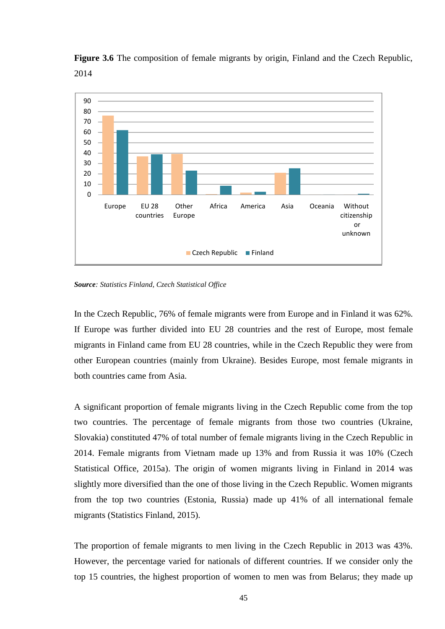



*Source: Statistics Finland, Czech Statistical Office*

In the Czech Republic, 76% of female migrants were from Europe and in Finland it was 62%. If Europe was further divided into EU 28 countries and the rest of Europe, most female migrants in Finland came from EU 28 countries, while in the Czech Republic they were from other European countries (mainly from Ukraine). Besides Europe, most female migrants in both countries came from Asia.

A significant proportion of female migrants living in the Czech Republic come from the top two countries. The percentage of female migrants from those two countries (Ukraine, Slovakia) constituted 47% of total number of female migrants living in the Czech Republic in 2014. Female migrants from Vietnam made up 13% and from Russia it was 10% (Czech Statistical Office, 2015a). The origin of women migrants living in Finland in 2014 was slightly more diversified than the one of those living in the Czech Republic. Women migrants from the top two countries (Estonia, Russia) made up 41% of all international female migrants (Statistics Finland, 2015).

The proportion of female migrants to men living in the Czech Republic in 2013 was 43%. However, the percentage varied for nationals of different countries. If we consider only the top 15 countries, the highest proportion of women to men was from Belarus; they made up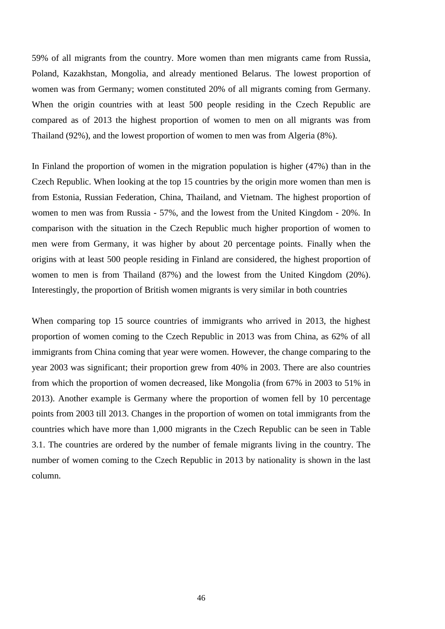59% of all migrants from the country. More women than men migrants came from Russia, Poland, Kazakhstan, Mongolia, and already mentioned Belarus. The lowest proportion of women was from Germany; women constituted 20% of all migrants coming from Germany. When the origin countries with at least 500 people residing in the Czech Republic are compared as of 2013 the highest proportion of women to men on all migrants was from Thailand (92%), and the lowest proportion of women to men was from Algeria (8%).

In Finland the proportion of women in the migration population is higher (47%) than in the Czech Republic. When looking at the top 15 countries by the origin more women than men is from Estonia, Russian Federation, China, Thailand, and Vietnam. The highest proportion of women to men was from Russia - 57%, and the lowest from the United Kingdom - 20%. In comparison with the situation in the Czech Republic much higher proportion of women to men were from Germany, it was higher by about 20 percentage points. Finally when the origins with at least 500 people residing in Finland are considered, the highest proportion of women to men is from Thailand (87%) and the lowest from the United Kingdom (20%). Interestingly, the proportion of British women migrants is very similar in both countries

When comparing top 15 source countries of immigrants who arrived in 2013, the highest proportion of women coming to the Czech Republic in 2013 was from China, as 62% of all immigrants from China coming that year were women. However, the change comparing to the year 2003 was significant; their proportion grew from 40% in 2003. There are also countries from which the proportion of women decreased, like Mongolia (from 67% in 2003 to 51% in 2013). Another example is Germany where the proportion of women fell by 10 percentage points from 2003 till 2013. Changes in the proportion of women on total immigrants from the countries which have more than 1,000 migrants in the Czech Republic can be seen in Table 3.1. The countries are ordered by the number of female migrants living in the country. The number of women coming to the Czech Republic in 2013 by nationality is shown in the last column.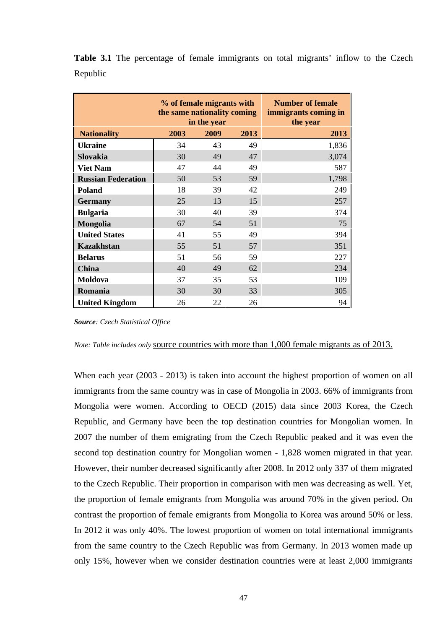|          |  |  | Table 3.1 The percentage of female immigrants on total migrants' inflow to the Czech |  |  |  |  |
|----------|--|--|--------------------------------------------------------------------------------------|--|--|--|--|
| Republic |  |  |                                                                                      |  |  |  |  |

|                           | % of female migrants with<br>the same nationality coming<br>in the year |      |      | <b>Number of female</b><br>immigrants coming in<br>the year |
|---------------------------|-------------------------------------------------------------------------|------|------|-------------------------------------------------------------|
| <b>Nationality</b>        | 2003                                                                    | 2009 | 2013 | 2013                                                        |
| <b>Ukraine</b>            | 34                                                                      | 43   | 49   | 1,836                                                       |
| Slovakia                  | 30                                                                      | 49   | 47   | 3,074                                                       |
| <b>Viet Nam</b>           | 47                                                                      | 44   | 49   | 587                                                         |
| <b>Russian Federation</b> | 50                                                                      | 53   | 59   | 1,798                                                       |
| Poland                    | 18                                                                      | 39   | 42   | 249                                                         |
| <b>Germany</b>            | 25                                                                      | 13   | 15   | 257                                                         |
| <b>Bulgaria</b>           | 30                                                                      | 40   | 39   | 374                                                         |
| <b>Mongolia</b>           | 67                                                                      | 54   | 51   | 75                                                          |
| <b>United States</b>      | 41                                                                      | 55   | 49   | 394                                                         |
| <b>Kazakhstan</b>         | 55                                                                      | 51   | 57   | 351                                                         |
| <b>Belarus</b>            | 51                                                                      | 56   | 59   | 227                                                         |
| <b>China</b>              | 40                                                                      | 49   | 62   | 234                                                         |
| Moldova                   | 37                                                                      | 35   | 53   | 109                                                         |
| Romania                   | 30                                                                      | 30   | 33   | 305                                                         |
| <b>United Kingdom</b>     | 26                                                                      | 22   | 26   | 94                                                          |

*Source: Czech Statistical Office*

*Note: Table includes only* source countries with more than 1,000 female migrants as of 2013.

When each year (2003 - 2013) is taken into account the highest proportion of women on all immigrants from the same country was in case of Mongolia in 2003. 66% of immigrants from Mongolia were women. According to OECD (2015) data since 2003 Korea, the Czech Republic, and Germany have been the top destination countries for Mongolian women. In 2007 the number of them emigrating from the Czech Republic peaked and it was even the second top destination country for Mongolian women - 1,828 women migrated in that year. However, their number decreased significantly after 2008. In 2012 only 337 of them migrated to the Czech Republic. Their proportion in comparison with men was decreasing as well. Yet, the proportion of female emigrants from Mongolia was around 70% in the given period. On contrast the proportion of female emigrants from Mongolia to Korea was around 50% or less. In 2012 it was only 40%. The lowest proportion of women on total international immigrants from the same country to the Czech Republic was from Germany. In 2013 women made up only 15%, however when we consider destination countries were at least 2,000 immigrants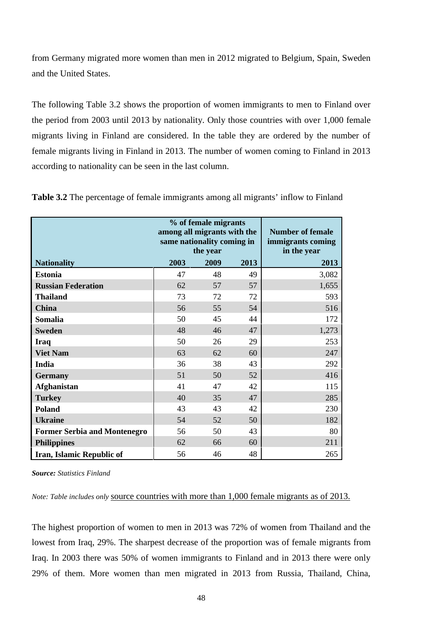from Germany migrated more women than men in 2012 migrated to Belgium, Spain, Sweden and the United States.

The following Table 3.2 shows the proportion of women immigrants to men to Finland over the period from 2003 until 2013 by nationality. Only those countries with over 1,000 female migrants living in Finland are considered. In the table they are ordered by the number of female migrants living in Finland in 2013. The number of women coming to Finland in 2013 according to nationality can be seen in the last column.

|                                     | among all migrants with the | % of female migrants<br>same nationality coming in<br>the year | <b>Number of female</b><br>immigrants coming<br>in the year |       |
|-------------------------------------|-----------------------------|----------------------------------------------------------------|-------------------------------------------------------------|-------|
| <b>Nationality</b>                  | 2003                        | 2009                                                           | 2013                                                        | 2013  |
| <b>Estonia</b>                      | 47                          | 48                                                             | 49                                                          | 3,082 |
| <b>Russian Federation</b>           | 62                          | 57                                                             | 57                                                          | 1,655 |
| <b>Thailand</b>                     | 73                          | 72                                                             | 72                                                          | 593   |
| <b>China</b>                        | 56                          | 55                                                             | 54                                                          | 516   |
| <b>Somalia</b>                      | 50                          | 45                                                             | 44                                                          | 172   |
| <b>Sweden</b>                       | 48                          | 46                                                             | 47                                                          | 1,273 |
| <b>Iraq</b>                         | 50                          | 26                                                             | 29                                                          | 253   |
| <b>Viet Nam</b>                     | 63                          | 62                                                             | 60                                                          | 247   |
| <b>India</b>                        | 36                          | 38                                                             | 43                                                          | 292   |
| <b>Germany</b>                      | 51                          | 50                                                             | 52                                                          | 416   |
| <b>Afghanistan</b>                  | 41                          | 47                                                             | 42                                                          | 115   |
| <b>Turkey</b>                       | 40                          | 35                                                             | 47                                                          | 285   |
| Poland                              | 43                          | 43                                                             | 42                                                          | 230   |
| <b>Ukraine</b>                      | 54                          | 52                                                             | 50                                                          | 182   |
| <b>Former Serbia and Montenegro</b> | 56                          | 50                                                             | 43                                                          | 80    |
| <b>Philippines</b>                  | 62                          | 66                                                             | 60                                                          | 211   |
| Iran, Islamic Republic of           | 56                          | 46                                                             | 48                                                          | 265   |

**Table 3.2** The percentage of female immigrants among all migrants' inflow to Finland

*Source: Statistics Finland*

*Note: Table includes only* source countries with more than 1,000 female migrants as of 2013.

The highest proportion of women to men in 2013 was 72% of women from Thailand and the lowest from Iraq, 29%. The sharpest decrease of the proportion was of female migrants from Iraq. In 2003 there was 50% of women immigrants to Finland and in 2013 there were only 29% of them. More women than men migrated in 2013 from Russia, Thailand, China,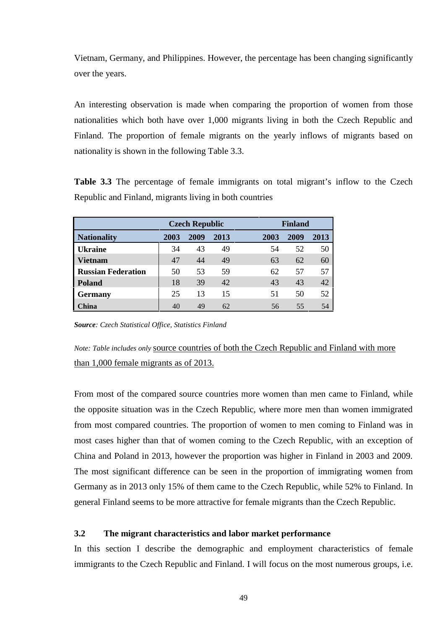Vietnam, Germany, and Philippines. However, the percentage has been changing significantly over the years.

An interesting observation is made when comparing the proportion of women from those nationalities which both have over 1,000 migrants living in both the Czech Republic and Finland. The proportion of female migrants on the yearly inflows of migrants based on nationality is shown in the following Table 3.3.

**Table 3.3** The percentage of female immigrants on total migrant's inflow to the Czech Republic and Finland, migrants living in both countries

|                           |      | <b>Czech Republic</b> |      |      | <b>Finland</b> |      |  |  |
|---------------------------|------|-----------------------|------|------|----------------|------|--|--|
| <b>Nationality</b>        | 2003 | 2009                  | 2013 | 2003 | 2009           | 2013 |  |  |
| <b>Ukraine</b>            | 34   | 43                    | 49   | 54   | 52             | 50   |  |  |
| <b>Vietnam</b>            | 47   | 44                    | 49   | 63   | 62             | 60   |  |  |
| <b>Russian Federation</b> | 50   | 53                    | 59   | 62   | 57             | 57   |  |  |
| <b>Poland</b>             | 18   | 39                    | 42   | 43   | 43             | 42   |  |  |
| <b>Germany</b>            | 25   | 13                    | 15   | 51   | 50             | 52   |  |  |
| China                     | 40   | 49                    | 62   | 56   | 55             | 54   |  |  |

*Source: Czech Statistical Office, Statistics Finland*

*Note: Table includes only* source countries of both the Czech Republic and Finland with more than 1,000 female migrants as of 2013.

From most of the compared source countries more women than men came to Finland, while the opposite situation was in the Czech Republic, where more men than women immigrated from most compared countries. The proportion of women to men coming to Finland was in most cases higher than that of women coming to the Czech Republic, with an exception of China and Poland in 2013, however the proportion was higher in Finland in 2003 and 2009. The most significant difference can be seen in the proportion of immigrating women from Germany as in 2013 only 15% of them came to the Czech Republic, while 52% to Finland. In general Finland seems to be more attractive for female migrants than the Czech Republic.

## **3.2 The migrant characteristics and labor market performance**

In this section I describe the demographic and employment characteristics of female immigrants to the Czech Republic and Finland. I will focus on the most numerous groups, i.e.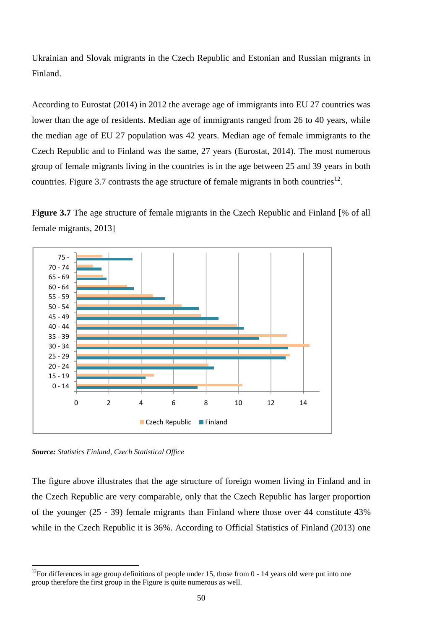Ukrainian and Slovak migrants in the Czech Republic and Estonian and Russian migrants in Finland.

According to Eurostat (2014) in 2012 the average age of immigrants into EU 27 countries was lower than the age of residents. Median age of immigrants ranged from 26 to 40 years, while the median age of EU 27 population was 42 years. Median age of female immigrants to the Czech Republic and to Finland was the same, 27 years (Eurostat, 2014). The most numerous group of female migrants living in the countries is in the age between 25 and 39 years in both countries. Figure 3.7 contrasts the age structure of female migrants in both countries<sup>12</sup>.

**Figure 3.7** The age structure of female migrants in the Czech Republic and Finland [% of all female migrants, 2013]



*Source: Statistics Finland, Czech Statistical Office*

The figure above illustrates that the age structure of foreign women living in Finland and in the Czech Republic are very comparable, only that the Czech Republic has larger proportion of the younger (25 - 39) female migrants than Finland where those over 44 constitute 43% while in the Czech Republic it is 36%. According to Official Statistics of Finland (2013) one

 $12$ For differences in age group definitions of people under 15, those from 0 - 14 years old were put into one group therefore the first group in the Figure is quite numerous as well.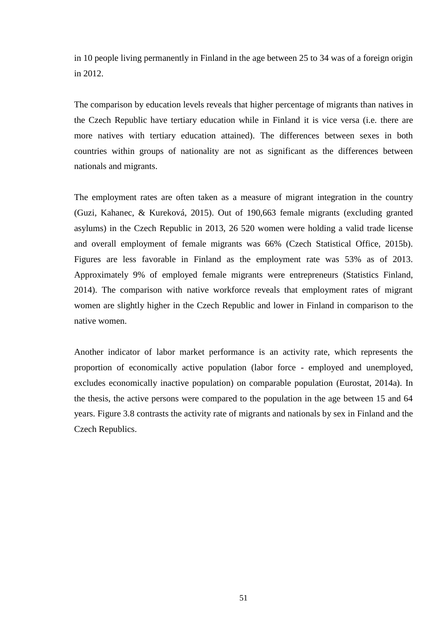in 10 people living permanently in Finland in the age between 25 to 34 was of a foreign origin in 2012.

The comparison by education levels reveals that higher percentage of migrants than natives in the Czech Republic have tertiary education while in Finland it is vice versa (i.e. there are more natives with tertiary education attained). The differences between sexes in both countries within groups of nationality are not as significant as the differences between nationals and migrants.

The employment rates are often taken as a measure of migrant integration in the country (Guzi, Kahanec, & Kureková, 2015). Out of 190,663 female migrants (excluding granted asylums) in the Czech Republic in 2013, 26 520 women were holding a valid trade license and overall employment of female migrants was 66% (Czech Statistical Office, 2015b). Figures are less favorable in Finland as the employment rate was 53% as of 2013. Approximately 9% of employed female migrants were entrepreneurs (Statistics Finland, 2014). The comparison with native workforce reveals that employment rates of migrant women are slightly higher in the Czech Republic and lower in Finland in comparison to the native women.

Another indicator of labor market performance is an activity rate, which represents the proportion of economically active population (labor force - employed and unemployed, excludes economically inactive population) on comparable population (Eurostat, 2014a). In the thesis, the active persons were compared to the population in the age between 15 and 64 years. Figure 3.8 contrasts the activity rate of migrants and nationals by sex in Finland and the Czech Republics.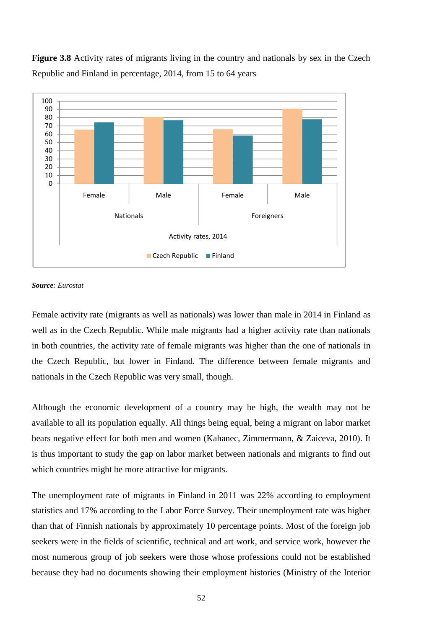**Figure 3.8** Activity rates of migrants living in the country and nationals by sex in the Czech Republic and Finland in percentage, 2014, from 15 to 64 years



#### *Source: Eurostat*

Female activity rate (migrants as well as nationals) was lower than male in 2014 in Finland as well as in the Czech Republic. While male migrants had a higher activity rate than nationals in both countries, the activity rate of female migrants was higher than the one of nationals in the Czech Republic, but lower in Finland. The difference between female migrants and nationals in the Czech Republic was very small, though.

Although the economic development of a country may be high, the wealth may not be available to all its population equally. All things being equal, being a migrant on labor market bears negative effect for both men and women (Kahanec, Zimmermann, & Zaiceva, 2010). It is thus important to study the gap on labor market between nationals and migrants to find out which countries might be more attractive for migrants.

The unemployment rate of migrants in Finland in 2011 was 22% according to employment statistics and 17% according to the Labor Force Survey. Their unemployment rate was higher than that of Finnish nationals by approximately 10 percentage points. Most of the foreign job seekers were in the fields of scientific, technical and art work, and service work, however the most numerous group of job seekers were those whose professions could not be established because they had no documents showing their employment histories (Ministry of the Interior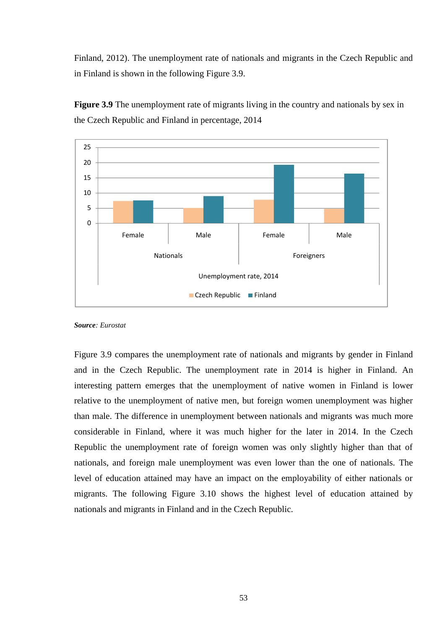Finland, 2012). The unemployment rate of nationals and migrants in the Czech Republic and in Finland is shown in the following Figure 3.9.



**Figure 3.9** The unemployment rate of migrants living in the country and nationals by sex in the Czech Republic and Finland in percentage, 2014

*Source: Eurostat*

Figure 3.9 compares the unemployment rate of nationals and migrants by gender in Finland and in the Czech Republic. The unemployment rate in 2014 is higher in Finland. An interesting pattern emerges that the unemployment of native women in Finland is lower relative to the unemployment of native men, but foreign women unemployment was higher than male. The difference in unemployment between nationals and migrants was much more considerable in Finland, where it was much higher for the later in 2014. In the Czech Republic the unemployment rate of foreign women was only slightly higher than that of nationals, and foreign male unemployment was even lower than the one of nationals. The level of education attained may have an impact on the employability of either nationals or migrants. The following Figure 3.10 shows the highest level of education attained by nationals and migrants in Finland and in the Czech Republic.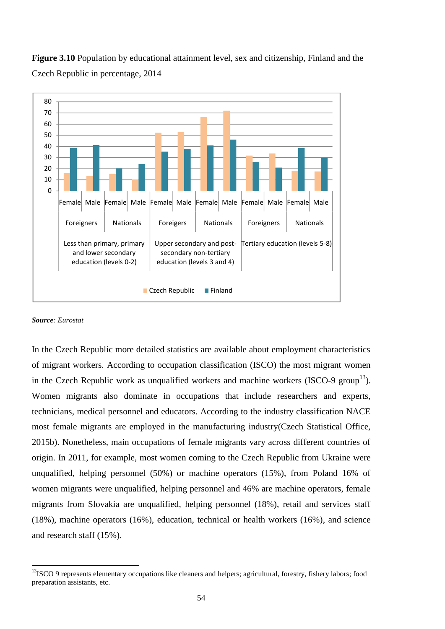

**Figure 3.10** Population by educational attainment level, sex and citizenship, Finland and the Czech Republic in percentage, 2014

#### *Source: Eurostat*

In the Czech Republic more detailed statistics are available about employment characteristics of migrant workers. According to occupation classification (ISCO) the most migrant women in the Czech Republic work as unqualified workers and machine workers (ISCO-9 group<sup>13</sup>). Women migrants also dominate in occupations that include researchers and experts, technicians, medical personnel and educators. According to the industry classification NACE most female migrants are employed in the manufacturing industry(Czech Statistical Office, 2015b). Nonetheless, main occupations of female migrants vary across different countries of origin. In 2011, for example, most women coming to the Czech Republic from Ukraine were unqualified, helping personnel (50%) or machine operators (15%), from Poland 16% of women migrants were unqualified, helping personnel and 46% are machine operators, female migrants from Slovakia are unqualified, helping personnel (18%), retail and services staff (18%), machine operators (16%), education, technical or health workers (16%), and science and research staff (15%).

<sup>&</sup>lt;sup>13</sup>ISCO 9 represents elementary occupations like cleaners and helpers; agricultural, forestry, fishery labors; food preparation assistants, etc.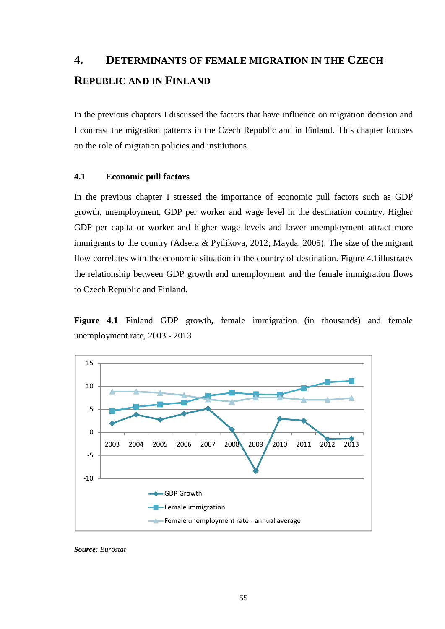## **4. DETERMINANTS OF FEMALE MIGRATION IN THE CZECH REPUBLIC AND IN FINLAND**

In the previous chapters I discussed the factors that have influence on migration decision and I contrast the migration patterns in the Czech Republic and in Finland. This chapter focuses on the role of migration policies and institutions.

### **4.1 Economic pull factors**

In the previous chapter I stressed the importance of economic pull factors such as GDP growth, unemployment, GDP per worker and wage level in the destination country. Higher GDP per capita or worker and higher wage levels and lower unemployment attract more immigrants to the country (Adsera & Pytlikova, 2012; Mayda, 2005). The size of the migrant flow correlates with the economic situation in the country of destination. Figure 4.1illustrates the relationship between GDP growth and unemployment and the female immigration flows to Czech Republic and Finland.

**Figure 4.1** Finland GDP growth, female immigration (in thousands) and female unemployment rate, 2003 - 2013



*Source: Eurostat*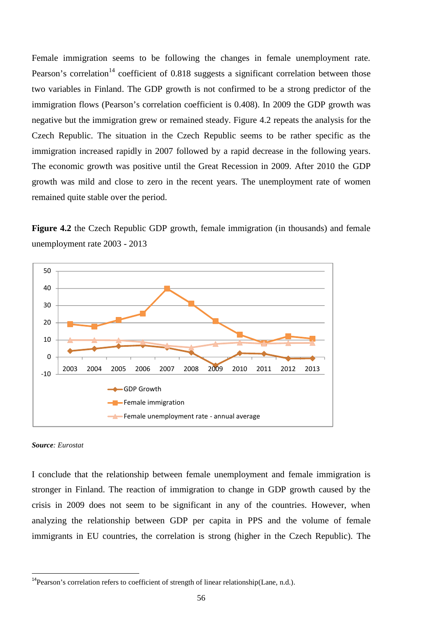Female immigration seems to be following the changes in female unemployment rate. Pearson's correlation<sup>14</sup> coefficient of 0.818 suggests a significant correlation between those two variables in Finland. The GDP growth is not confirmed to be a strong predictor of the immigration flows (Pearson's correlation coefficient is 0.408). In 2009 the GDP growth was negative but the immigration grew or remained steady. Figure 4.2 repeats the analysis for the Czech Republic. The situation in the Czech Republic seems to be rather specific as the immigration increased rapidly in 2007 followed by a rapid decrease in the following years. The economic growth was positive until the Great Recession in 2009. After 2010 the GDP growth was mild and close to zero in the recent years. The unemployment rate of women remained quite stable over the period.

**Figure 4.2** the Czech Republic GDP growth, female immigration (in thousands) and female unemployment rate 2003 - 2013



#### *Source: Eurostat*

I conclude that the relationship between female unemployment and female immigration is stronger in Finland. The reaction of immigration to change in GDP growth caused by the crisis in 2009 does not seem to be significant in any of the countries. However, when analyzing the relationship between GDP per capita in PPS and the volume of female immigrants in EU countries, the correlation is strong (higher in the Czech Republic). The

 $14$ Pearson's correlation refers to coefficient of strength of linear relationship(Lane, n.d.).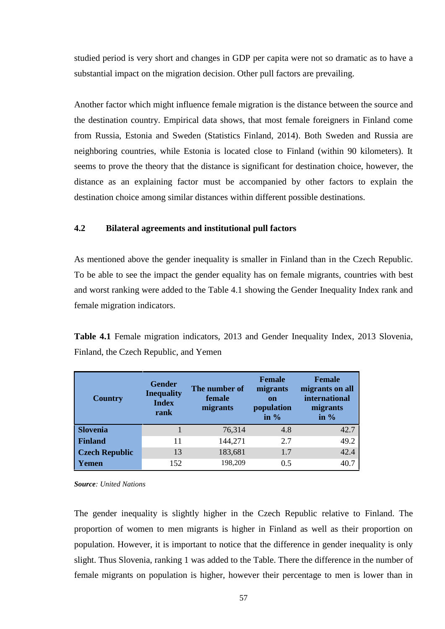studied period is very short and changes in GDP per capita were not so dramatic as to have a substantial impact on the migration decision. Other pull factors are prevailing.

Another factor which might influence female migration is the distance between the source and the destination country. Empirical data shows, that most female foreigners in Finland come from Russia, Estonia and Sweden (Statistics Finland, 2014). Both Sweden and Russia are neighboring countries, while Estonia is located close to Finland (within 90 kilometers). It seems to prove the theory that the distance is significant for destination choice, however, the distance as an explaining factor must be accompanied by other factors to explain the destination choice among similar distances within different possible destinations.

## **4.2 Bilateral agreements and institutional pull factors**

As mentioned above the gender inequality is smaller in Finland than in the Czech Republic. To be able to see the impact the gender equality has on female migrants, countries with best and worst ranking were added to the Table 4.1 showing the Gender Inequality Index rank and female migration indicators.

**Table 4.1** Female migration indicators, 2013 and Gender Inequality Index, 2013 Slovenia, Finland, the Czech Republic, and Yemen

| <b>Country</b>        | <b>Gender</b><br><b>Inequality</b><br><b>Index</b><br>rank | The number of<br>female<br>migrants | <b>Female</b><br>migrants<br><b>on</b><br>population<br>in $%$ | <b>Female</b><br>migrants on all<br>international<br>migrants<br>in $%$ |
|-----------------------|------------------------------------------------------------|-------------------------------------|----------------------------------------------------------------|-------------------------------------------------------------------------|
| Slovenia              |                                                            | 76,314                              | 4.8                                                            | 42.7                                                                    |
| <b>Finland</b>        | 11                                                         | 144,271                             | 2.7                                                            | 49.2                                                                    |
| <b>Czech Republic</b> | 13                                                         | 183,681                             | 1.7                                                            | 42.4                                                                    |
| Yemen                 | 152                                                        | 198,209                             | 0.5                                                            | 40.7                                                                    |

*Source: United Nations*

The gender inequality is slightly higher in the Czech Republic relative to Finland. The proportion of women to men migrants is higher in Finland as well as their proportion on population. However, it is important to notice that the difference in gender inequality is only slight. Thus Slovenia, ranking 1 was added to the Table. There the difference in the number of female migrants on population is higher, however their percentage to men is lower than in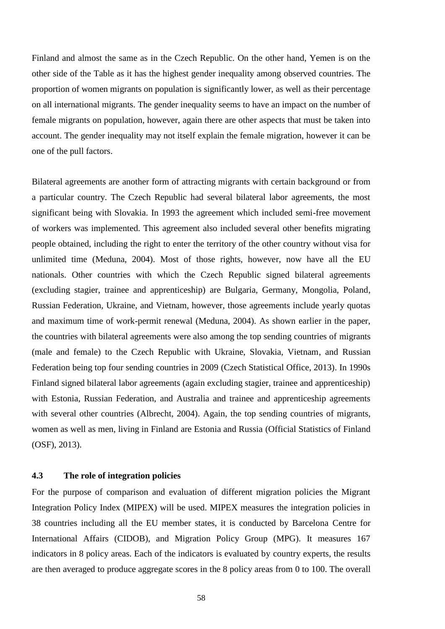Finland and almost the same as in the Czech Republic. On the other hand, Yemen is on the other side of the Table as it has the highest gender inequality among observed countries. The proportion of women migrants on population is significantly lower, as well as their percentage on all international migrants. The gender inequality seems to have an impact on the number of female migrants on population, however, again there are other aspects that must be taken into account. The gender inequality may not itself explain the female migration, however it can be one of the pull factors.

Bilateral agreements are another form of attracting migrants with certain background or from a particular country. The Czech Republic had several bilateral labor agreements, the most significant being with Slovakia. In 1993 the agreement which included semi-free movement of workers was implemented. This agreement also included several other benefits migrating people obtained, including the right to enter the territory of the other country without visa for unlimited time (Meduna, 2004). Most of those rights, however, now have all the EU nationals. Other countries with which the Czech Republic signed bilateral agreements (excluding stagier, trainee and apprenticeship) are Bulgaria, Germany, Mongolia, Poland, Russian Federation, Ukraine, and Vietnam, however, those agreements include yearly quotas and maximum time of work-permit renewal (Meduna, 2004). As shown earlier in the paper, the countries with bilateral agreements were also among the top sending countries of migrants (male and female) to the Czech Republic with Ukraine, Slovakia, Vietnam, and Russian Federation being top four sending countries in 2009 (Czech Statistical Office, 2013). In 1990s Finland signed bilateral labor agreements (again excluding stagier, trainee and apprenticeship) with Estonia, Russian Federation, and Australia and trainee and apprenticeship agreements with several other countries (Albrecht, 2004). Again, the top sending countries of migrants, women as well as men, living in Finland are Estonia and Russia (Official Statistics of Finland (OSF), 2013).

### **4.3 The role of integration policies**

For the purpose of comparison and evaluation of different migration policies the Migrant Integration Policy Index (MIPEX) will be used. MIPEX measures the integration policies in 38 countries including all the EU member states, it is conducted by Barcelona Centre for International Affairs (CIDOB), and Migration Policy Group (MPG). It measures 167 indicators in 8 policy areas. Each of the indicators is evaluated by country experts, the results are then averaged to produce aggregate scores in the 8 policy areas from 0 to 100. The overall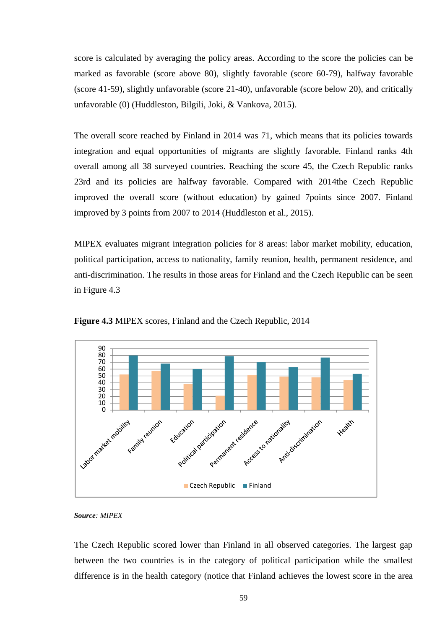score is calculated by averaging the policy areas. According to the score the policies can be marked as favorable (score above 80), slightly favorable (score 60-79), halfway favorable (score 41-59), slightly unfavorable (score 21-40), unfavorable (score below 20), and critically unfavorable (0) (Huddleston, Bilgili, Joki, & Vankova, 2015).

The overall score reached by Finland in 2014 was 71, which means that its policies towards integration and equal opportunities of migrants are slightly favorable. Finland ranks 4th overall among all 38 surveyed countries. Reaching the score 45, the Czech Republic ranks 23rd and its policies are halfway favorable. Compared with 2014the Czech Republic improved the overall score (without education) by gained 7points since 2007. Finland improved by 3 points from 2007 to 2014 (Huddleston et al., 2015).

MIPEX evaluates migrant integration policies for 8 areas: labor market mobility, education, political participation, access to nationality, family reunion, health, permanent residence, and anti-discrimination. The results in those areas for Finland and the Czech Republic can be seen in Figure 4.3



**Figure 4.3** MIPEX scores, Finland and the Czech Republic, 2014

*Source: MIPEX*

The Czech Republic scored lower than Finland in all observed categories. The largest gap between the two countries is in the category of political participation while the smallest difference is in the health category (notice that Finland achieves the lowest score in the area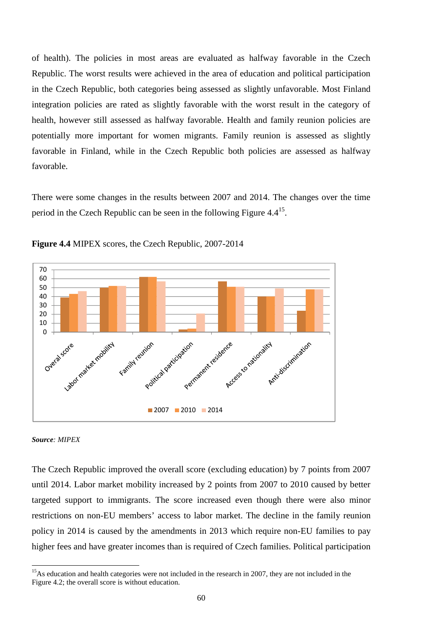of health). The policies in most areas are evaluated as halfway favorable in the Czech Republic. The worst results were achieved in the area of education and political participation in the Czech Republic, both categories being assessed as slightly unfavorable. Most Finland integration policies are rated as slightly favorable with the worst result in the category of health, however still assessed as halfway favorable. Health and family reunion policies are potentially more important for women migrants. Family reunion is assessed as slightly favorable in Finland, while in the Czech Republic both policies are assessed as halfway favorable.

There were some changes in the results between 2007 and 2014. The changes over the time period in the Czech Republic can be seen in the following Figure 4.4<sup>15</sup>.



**Figure 4.4** MIPEX scores, the Czech Republic, 2007-2014

### *Source: MIPEX*

The Czech Republic improved the overall score (excluding education) by 7 points from 2007 until 2014. Labor market mobility increased by 2 points from 2007 to 2010 caused by better targeted support to immigrants. The score increased even though there were also minor restrictions on non-EU members' access to labor market. The decline in the family reunion policy in 2014 is caused by the amendments in 2013 which require non-EU families to pay higher fees and have greater incomes than is required of Czech families. Political participation

<sup>&</sup>lt;sup>15</sup>As education and health categories were not included in the research in 2007, they are not included in the Figure 4.2; the overall score is without education.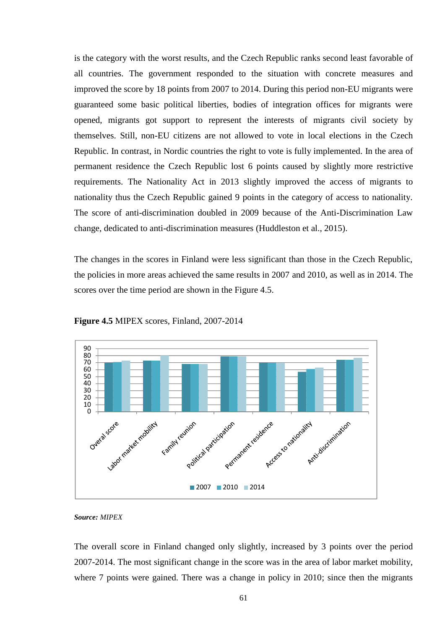is the category with the worst results, and the Czech Republic ranks second least favorable of all countries. The government responded to the situation with concrete measures and improved the score by 18 points from 2007 to 2014. During this period non-EU migrants were guaranteed some basic political liberties, bodies of integration offices for migrants were opened, migrants got support to represent the interests of migrants civil society by themselves. Still, non-EU citizens are not allowed to vote in local elections in the Czech Republic. In contrast, in Nordic countries the right to vote is fully implemented. In the area of permanent residence the Czech Republic lost 6 points caused by slightly more restrictive requirements. The Nationality Act in 2013 slightly improved the access of migrants to nationality thus the Czech Republic gained 9 points in the category of access to nationality. The score of anti-discrimination doubled in 2009 because of the Anti-Discrimination Law change, dedicated to anti-discrimination measures (Huddleston et al., 2015).

The changes in the scores in Finland were less significant than those in the Czech Republic, the policies in more areas achieved the same results in 2007 and 2010, as well as in 2014. The scores over the time period are shown in the Figure 4.5.



**Figure 4.5** MIPEX scores, Finland, 2007-2014

*Source: MIPEX*

The overall score in Finland changed only slightly, increased by 3 points over the period 2007-2014. The most significant change in the score was in the area of labor market mobility, where 7 points were gained. There was a change in policy in 2010; since then the migrants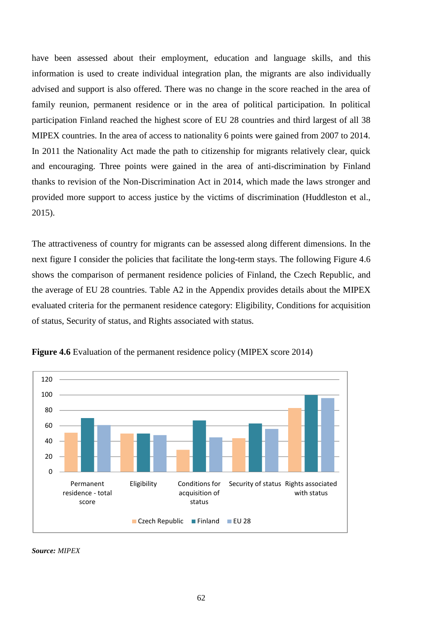have been assessed about their employment, education and language skills, and this information is used to create individual integration plan, the migrants are also individually advised and support is also offered. There was no change in the score reached in the area of family reunion, permanent residence or in the area of political participation. In political participation Finland reached the highest score of EU 28 countries and third largest of all 38 MIPEX countries. In the area of access to nationality 6 points were gained from 2007 to 2014. In 2011 the Nationality Act made the path to citizenship for migrants relatively clear, quick and encouraging. Three points were gained in the area of anti-discrimination by Finland thanks to revision of the Non-Discrimination Act in 2014, which made the laws stronger and provided more support to access justice by the victims of discrimination (Huddleston et al., 2015).

The attractiveness of country for migrants can be assessed along different dimensions. In the next figure I consider the policies that facilitate the long-term stays. The following Figure 4.6 shows the comparison of permanent residence policies of Finland, the Czech Republic, and the average of EU 28 countries. Table A2 in the Appendix provides details about the MIPEX evaluated criteria for the permanent residence category: Eligibility, Conditions for acquisition of status, Security of status, and Rights associated with status*.*



**Figure 4.6** Evaluation of the permanent residence policy (MIPEX score 2014)

*Source: MIPEX*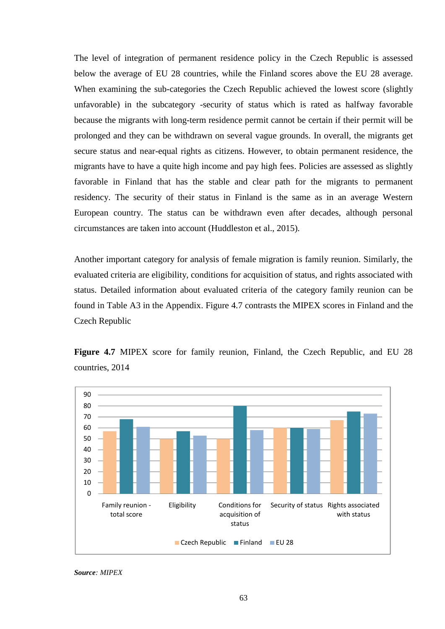The level of integration of permanent residence policy in the Czech Republic is assessed below the average of EU 28 countries, while the Finland scores above the EU 28 average. When examining the sub-categories the Czech Republic achieved the lowest score (slightly unfavorable) in the subcategory -security of status which is rated as halfway favorable because the migrants with long-term residence permit cannot be certain if their permit will be prolonged and they can be withdrawn on several vague grounds. In overall, the migrants get secure status and near-equal rights as citizens. However, to obtain permanent residence, the migrants have to have a quite high income and pay high fees. Policies are assessed as slightly favorable in Finland that has the stable and clear path for the migrants to permanent residency. The security of their status in Finland is the same as in an average Western European country. The status can be withdrawn even after decades, although personal circumstances are taken into account (Huddleston et al., 2015)*.*

Another important category for analysis of female migration is family reunion. Similarly, the evaluated criteria are eligibility, conditions for acquisition of status, and rights associated with status. Detailed information about evaluated criteria of the category family reunion can be found in Table A3 in the Appendix. Figure 4.7 contrasts the MIPEX scores in Finland and the Czech Republic



**Figure 4.7** MIPEX score for family reunion, Finland, the Czech Republic, and EU 28 countries, 2014

*Source: MIPEX*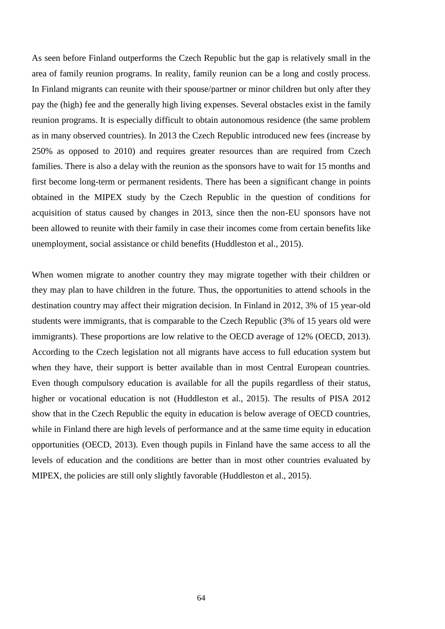As seen before Finland outperforms the Czech Republic but the gap is relatively small in the area of family reunion programs. In reality, family reunion can be a long and costly process. In Finland migrants can reunite with their spouse/partner or minor children but only after they pay the (high) fee and the generally high living expenses. Several obstacles exist in the family reunion programs. It is especially difficult to obtain autonomous residence (the same problem as in many observed countries). In 2013 the Czech Republic introduced new fees (increase by 250% as opposed to 2010) and requires greater resources than are required from Czech families. There is also a delay with the reunion as the sponsors have to wait for 15 months and first become long-term or permanent residents. There has been a significant change in points obtained in the MIPEX study by the Czech Republic in the question of conditions for acquisition of status caused by changes in 2013, since then the non-EU sponsors have not been allowed to reunite with their family in case their incomes come from certain benefits like unemployment, social assistance or child benefits (Huddleston et al., 2015).

When women migrate to another country they may migrate together with their children or they may plan to have children in the future. Thus, the opportunities to attend schools in the destination country may affect their migration decision. In Finland in 2012, 3% of 15 year-old students were immigrants, that is comparable to the Czech Republic (3% of 15 years old were immigrants). These proportions are low relative to the OECD average of 12% (OECD, 2013). According to the Czech legislation not all migrants have access to full education system but when they have, their support is better available than in most Central European countries. Even though compulsory education is available for all the pupils regardless of their status, higher or vocational education is not (Huddleston et al., 2015). The results of PISA 2012 show that in the Czech Republic the equity in education is below average of OECD countries, while in Finland there are high levels of performance and at the same time equity in education opportunities (OECD, 2013). Even though pupils in Finland have the same access to all the levels of education and the conditions are better than in most other countries evaluated by MIPEX, the policies are still only slightly favorable (Huddleston et al., 2015).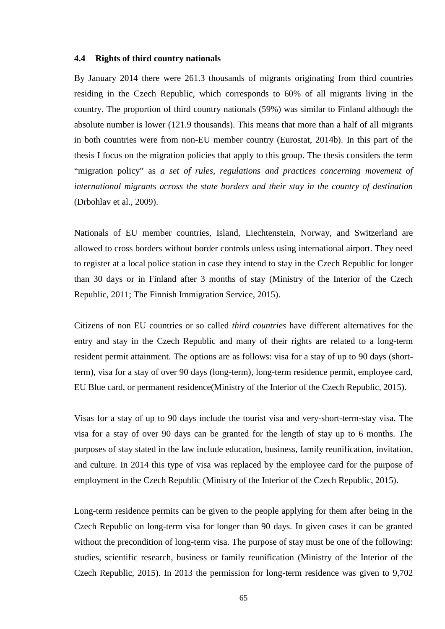#### **4.4 Rights of third country nationals**

By January 2014 there were 261.3 thousands of migrants originating from third countries residing in the Czech Republic, which corresponds to 60% of all migrants living in the country. The proportion of third country nationals (59%) was similar to Finland although the absolute number is lower (121.9 thousands). This means that more than a half of all migrants in both countries were from non-EU member country (Eurostat, 2014b). In this part of the thesis I focus on the migration policies that apply to this group. The thesis considers the term "migration policy" as *a set of rules, regulations and practices concerning movement of international migrants across the state borders and their stay in the country of destination* (Drbohlav et al., 2009).

Nationals of EU member countries, Island, Liechtenstein, Norway, and Switzerland are allowed to cross borders without border controls unless using international airport. They need to register at a local police station in case they intend to stay in the Czech Republic for longer than 30 days or in Finland after 3 months of stay (Ministry of the Interior of the Czech Republic, 2011; The Finnish Immigration Service, 2015).

Citizens of non EU countries or so called *third countries* have different alternatives for the entry and stay in the Czech Republic and many of their rights are related to a long-term resident permit attainment. The options are as follows: visa for a stay of up to 90 days (shortterm), visa for a stay of over 90 days (long-term), long-term residence permit, employee card, EU Blue card, or permanent residence(Ministry of the Interior of the Czech Republic, 2015).

Visas for a stay of up to 90 days include the tourist visa and very-short-term-stay visa. The visa for a stay of over 90 days can be granted for the length of stay up to 6 months. The purposes of stay stated in the law include education, business, family reunification, invitation, and culture. In 2014 this type of visa was replaced by the employee card for the purpose of employment in the Czech Republic (Ministry of the Interior of the Czech Republic, 2015).

Long-term residence permits can be given to the people applying for them after being in the Czech Republic on long-term visa for longer than 90 days. In given cases it can be granted without the precondition of long-term visa. The purpose of stay must be one of the following: studies, scientific research, business or family reunification (Ministry of the Interior of the Czech Republic, 2015). In 2013 the permission for long-term residence was given to 9,702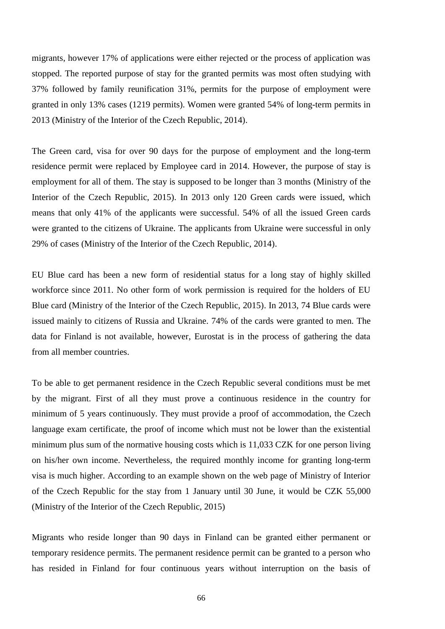migrants, however 17% of applications were either rejected or the process of application was stopped. The reported purpose of stay for the granted permits was most often studying with 37% followed by family reunification 31%, permits for the purpose of employment were granted in only 13% cases (1219 permits). Women were granted 54% of long-term permits in 2013 (Ministry of the Interior of the Czech Republic, 2014).

The Green card, visa for over 90 days for the purpose of employment and the long-term residence permit were replaced by Employee card in 2014. However, the purpose of stay is employment for all of them. The stay is supposed to be longer than 3 months (Ministry of the Interior of the Czech Republic, 2015). In 2013 only 120 Green cards were issued, which means that only 41% of the applicants were successful. 54% of all the issued Green cards were granted to the citizens of Ukraine. The applicants from Ukraine were successful in only 29% of cases (Ministry of the Interior of the Czech Republic, 2014).

EU Blue card has been a new form of residential status for a long stay of highly skilled workforce since 2011. No other form of work permission is required for the holders of EU Blue card (Ministry of the Interior of the Czech Republic, 2015). In 2013, 74 Blue cards were issued mainly to citizens of Russia and Ukraine. 74% of the cards were granted to men. The data for Finland is not available, however, Eurostat is in the process of gathering the data from all member countries.

To be able to get permanent residence in the Czech Republic several conditions must be met by the migrant. First of all they must prove a continuous residence in the country for minimum of 5 years continuously. They must provide a proof of accommodation, the Czech language exam certificate, the proof of income which must not be lower than the existential minimum plus sum of the normative housing costs which is 11,033 CZK for one person living on his/her own income. Nevertheless, the required monthly income for granting long-term visa is much higher. According to an example shown on the web page of Ministry of Interior of the Czech Republic for the stay from 1 January until 30 June, it would be CZK 55,000 (Ministry of the Interior of the Czech Republic, 2015)

Migrants who reside longer than 90 days in Finland can be granted either permanent or temporary residence permits. The permanent residence permit can be granted to a person who has resided in Finland for four continuous years without interruption on the basis of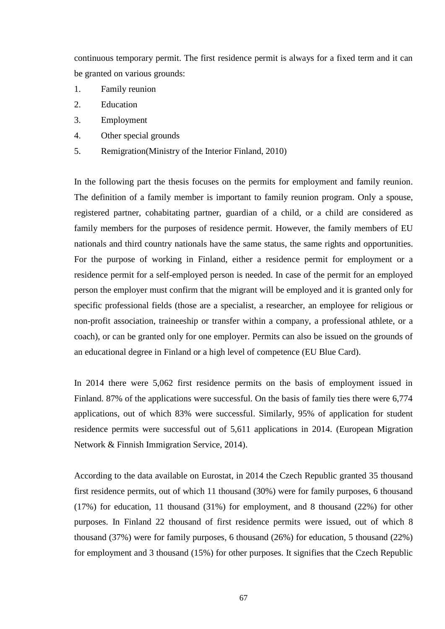continuous temporary permit. The first residence permit is always for a fixed term and it can be granted on various grounds:

- 1. Family reunion
- 2. Education
- 3. Employment
- 4. Other special grounds
- 5. Remigration(Ministry of the Interior Finland, 2010)

In the following part the thesis focuses on the permits for employment and family reunion. The definition of a family member is important to family reunion program. Only a spouse, registered partner, cohabitating partner, guardian of a child, or a child are considered as family members for the purposes of residence permit. However, the family members of EU nationals and third country nationals have the same status, the same rights and opportunities. For the purpose of working in Finland, either a residence permit for employment or a residence permit for a self-employed person is needed. In case of the permit for an employed person the employer must confirm that the migrant will be employed and it is granted only for specific professional fields (those are a specialist, a researcher, an employee for religious or non-profit association, traineeship or transfer within a company, a professional athlete, or a coach), or can be granted only for one employer. Permits can also be issued on the grounds of an educational degree in Finland or a high level of competence (EU Blue Card).

In 2014 there were 5,062 first residence permits on the basis of employment issued in Finland. 87% of the applications were successful. On the basis of family ties there were 6,774 applications, out of which 83% were successful. Similarly, 95% of application for student residence permits were successful out of 5,611 applications in 2014. (European Migration Network & Finnish Immigration Service, 2014).

According to the data available on Eurostat, in 2014 the Czech Republic granted 35 thousand first residence permits, out of which 11 thousand (30%) were for family purposes, 6 thousand (17%) for education, 11 thousand (31%) for employment, and 8 thousand (22%) for other purposes. In Finland 22 thousand of first residence permits were issued, out of which 8 thousand (37%) were for family purposes, 6 thousand (26%) for education, 5 thousand (22%) for employment and 3 thousand (15%) for other purposes. It signifies that the Czech Republic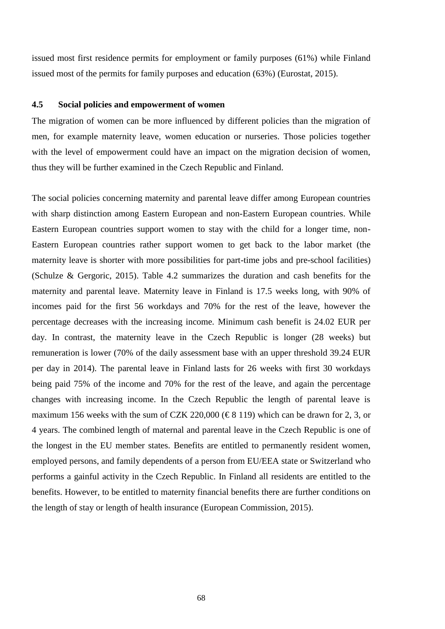issued most first residence permits for employment or family purposes (61%) while Finland issued most of the permits for family purposes and education (63%) (Eurostat, 2015).

#### **4.5 Social policies and empowerment of women**

The migration of women can be more influenced by different policies than the migration of men, for example maternity leave, women education or nurseries. Those policies together with the level of empowerment could have an impact on the migration decision of women, thus they will be further examined in the Czech Republic and Finland.

The social policies concerning maternity and parental leave differ among European countries with sharp distinction among Eastern European and non-Eastern European countries. While Eastern European countries support women to stay with the child for a longer time, non- Eastern European countries rather support women to get back to the labor market (the maternity leave is shorter with more possibilities for part-time jobs and pre-school facilities) (Schulze & Gergoric, 2015). Table 4.2 summarizes the duration and cash benefits for the maternity and parental leave. Maternity leave in Finland is 17.5 weeks long, with 90% of incomes paid for the first 56 workdays and 70% for the rest of the leave, however the percentage decreases with the increasing income. Minimum cash benefit is 24.02 EUR per day. In contrast, the maternity leave in the Czech Republic is longer (28 weeks) but remuneration is lower (70% of the daily assessment base with an upper threshold 39.24 EUR per day in 2014). The parental leave in Finland lasts for 26 weeks with first 30 workdays being paid 75% of the income and 70% for the rest of the leave, and again the percentage changes with increasing income. In the Czech Republic the length of parental leave is maximum 156 weeks with the sum of CZK 220,000 ( $\text{\textsterling}8 119$ ) which can be drawn for 2, 3, or 4 years. The combined length of maternal and parental leave in the Czech Republic is one of the longest in the EU member states. Benefits are entitled to permanently resident women, employed persons, and family dependents of a person from EU/EEA state or Switzerland who performs a gainful activity in the Czech Republic. In Finland all residents are entitled to the benefits. However, to be entitled to maternity financial benefits there are further conditions on the length of stay or length of health insurance (European Commission, 2015).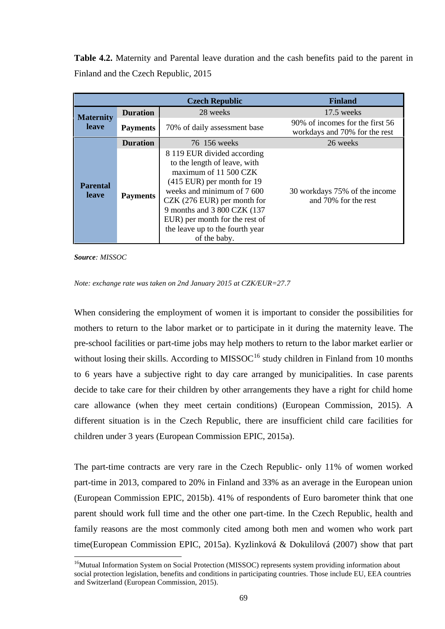**Table 4.2.** Maternity and Parental leave duration and the cash benefits paid to the parent in Finland and the Czech Republic, 2015

|                                  |                 | <b>Czech Republic</b>                                                                                                                                                                                                                                                                                 | <b>Finland</b>                                                   |
|----------------------------------|-----------------|-------------------------------------------------------------------------------------------------------------------------------------------------------------------------------------------------------------------------------------------------------------------------------------------------------|------------------------------------------------------------------|
| <b>Maternity</b><br><b>leave</b> | <b>Duration</b> | 28 weeks                                                                                                                                                                                                                                                                                              | 17.5 weeks                                                       |
|                                  | <b>Payments</b> | 70% of daily assessment base                                                                                                                                                                                                                                                                          | 90% of incomes for the first 56<br>workdays and 70% for the rest |
|                                  | <b>Duration</b> | 76 156 weeks                                                                                                                                                                                                                                                                                          | 26 weeks                                                         |
| <b>Parental</b><br><b>leave</b>  | <b>Payments</b> | 8 119 EUR divided according<br>to the length of leave, with<br>maximum of 11 500 CZK<br>(415 EUR) per month for 19<br>weeks and minimum of 7 600<br>$CZK$ (276 EUR) per month for<br>9 months and 3 800 CZK (137<br>EUR) per month for the rest of<br>the leave up to the fourth year<br>of the baby. | 30 workdays 75% of the income<br>and 70% for the rest            |

*Source: MISSOC*

#### *Note: exchange rate was taken on 2nd January 2015 at CZK/EUR=27.7*

When considering the employment of women it is important to consider the possibilities for mothers to return to the labor market or to participate in it during the maternity leave. The pre-school facilities or part-time jobs may help mothers to return to the labor market earlier or without losing their skills. According to  $MISSOC<sup>16</sup>$  study children in Finland from 10 months to 6 years have a subjective right to day care arranged by municipalities. In case parents decide to take care for their children by other arrangements they have a right for child home care allowance (when they meet certain conditions) (European Commission, 2015). A different situation is in the Czech Republic, there are insufficient child care facilities for children under 3 years (European Commission EPIC, 2015a).

The part-time contracts are very rare in the Czech Republic- only 11% of women worked part-time in 2013, compared to 20% in Finland and 33% as an average in the European union (European Commission EPIC, 2015b). 41% of respondents of Euro barometer think that one parent should work full time and the other one part-time. In the Czech Republic, health and family reasons are the most commonly cited among both men and women who work part time(European Commission EPIC, 2015a). Kyzlinková & Dokulilová (2007) show that part

<sup>&</sup>lt;sup>16</sup>Mutual Information System on Social Protection (MISSOC) represents system providing information about social protection legislation, benefits and conditions in participating countries. Those include EU, EEA countries and Switzerland (European Commission, 2015).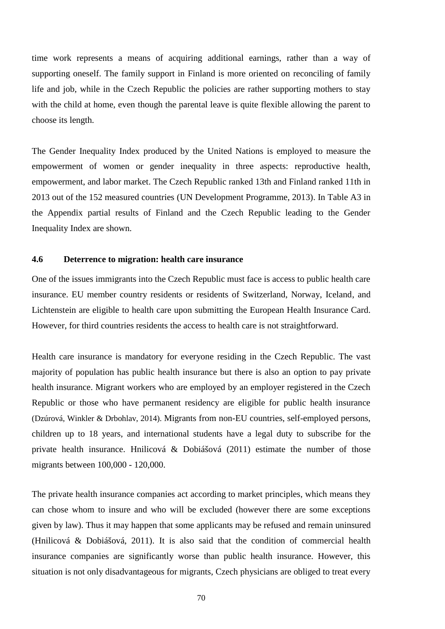time work represents a means of acquiring additional earnings, rather than a way of supporting oneself. The family support in Finland is more oriented on reconciling of family life and job, while in the Czech Republic the policies are rather supporting mothers to stay with the child at home, even though the parental leave is quite flexible allowing the parent to choose its length.

The Gender Inequality Index produced by the United Nations is employed to measure the empowerment of women or gender inequality in three aspects: reproductive health, empowerment, and labor market. The Czech Republic ranked 13th and Finland ranked 11th in 2013 out of the 152 measured countries (UN Development Programme, 2013). In Table A3 in the Appendix partial results of Finland and the Czech Republic leading to the Gender Inequality Index are shown.

### **4.6 Deterrence to migration: health care insurance**

One of the issues immigrants into the Czech Republic must face is access to public health care insurance. EU member country residents or residents of Switzerland, Norway, Iceland, and Lichtenstein are eligible to health care upon submitting the European Health Insurance Card. However, for third countries residents the access to health care is not straightforward.

Health care insurance is mandatory for everyone residing in the Czech Republic. The vast majority of population has public health insurance but there is also an option to pay private health insurance. Migrant workers who are employed by an employer registered in the Czech Republic or those who have permanent residency are eligible for public health insurance (Dzúrová, Winkler & Drbohlav, 2014). Migrants from non-EU countries, self-employed persons, children up to 18 years, and international students have a legal duty to subscribe for the private health insurance. Hnilicová & Dobiášová (2011) estimate the number of those migrants between 100,000 - 120,000.

The private health insurance companies act according to market principles, which means they can chose whom to insure and who will be excluded (however there are some exceptions given by law). Thus it may happen that some applicants may be refused and remain uninsured (Hnilicová & Dobiášová, 2011). It is also said that the condition of commercial health insurance companies are significantly worse than public health insurance. However, this situation is not only disadvantageous for migrants, Czech physicians are obliged to treat every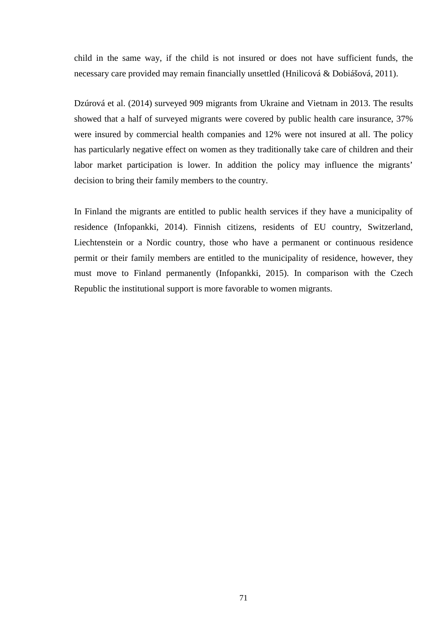child in the same way, if the child is not insured or does not have sufficient funds, the necessary care provided may remain financially unsettled (Hnilicová & Dobiášová, 2011).

Dzúrová et al. (2014) surveyed 909 migrants from Ukraine and Vietnam in 2013. The results showed that a half of surveyed migrants were covered by public health care insurance, 37% were insured by commercial health companies and 12% were not insured at all. The policy has particularly negative effect on women as they traditionally take care of children and their labor market participation is lower. In addition the policy may influence the migrants' decision to bring their family members to the country.

In Finland the migrants are entitled to public health services if they have a municipality of residence (Infopankki, 2014). Finnish citizens, residents of EU country, Switzerland, Liechtenstein or a Nordic country, those who have a permanent or continuous residence permit or their family members are entitled to the municipality of residence, however, they must move to Finland permanently (Infopankki, 2015). In comparison with the Czech Republic the institutional support is more favorable to women migrants.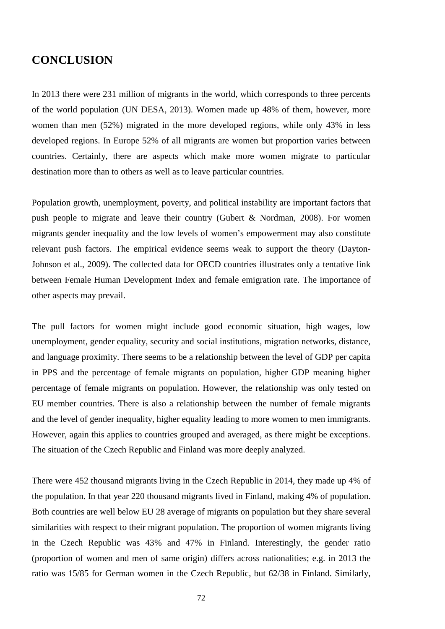## **CONCLUSION**

In 2013 there were 231 million of migrants in the world, which corresponds to three percents of the world population (UN DESA, 2013). Women made up 48% of them, however, more women than men (52%) migrated in the more developed regions, while only 43% in less developed regions. In Europe 52% of all migrants are women but proportion varies between countries. Certainly, there are aspects which make more women migrate to particular destination more than to others as well as to leave particular countries.

Population growth, unemployment, poverty, and political instability are important factors that push people to migrate and leave their country (Gubert & Nordman, 2008). For women migrants gender inequality and the low levels of women's empowerment may also constitute relevant push factors. The empirical evidence seems weak to support the theory (Dayton- Johnson et al., 2009). The collected data for OECD countries illustrates only a tentative link between Female Human Development Index and female emigration rate. The importance of other aspects may prevail.

The pull factors for women might include good economic situation, high wages, low unemployment, gender equality, security and social institutions, migration networks, distance, and language proximity. There seems to be a relationship between the level of GDP per capita in PPS and the percentage of female migrants on population, higher GDP meaning higher percentage of female migrants on population. However, the relationship was only tested on EU member countries. There is also a relationship between the number of female migrants and the level of gender inequality, higher equality leading to more women to men immigrants. However, again this applies to countries grouped and averaged, as there might be exceptions. The situation of the Czech Republic and Finland was more deeply analyzed.

There were 452 thousand migrants living in the Czech Republic in 2014, they made up 4% of the population. In that year 220 thousand migrants lived in Finland, making 4% of population. Both countries are well below EU 28 average of migrants on population but they share several similarities with respect to their migrant population. The proportion of women migrants living in the Czech Republic was 43% and 47% in Finland. Interestingly, the gender ratio (proportion of women and men of same origin) differs across nationalities; e.g. in 2013 the ratio was 15/85 for German women in the Czech Republic, but 62/38 in Finland. Similarly,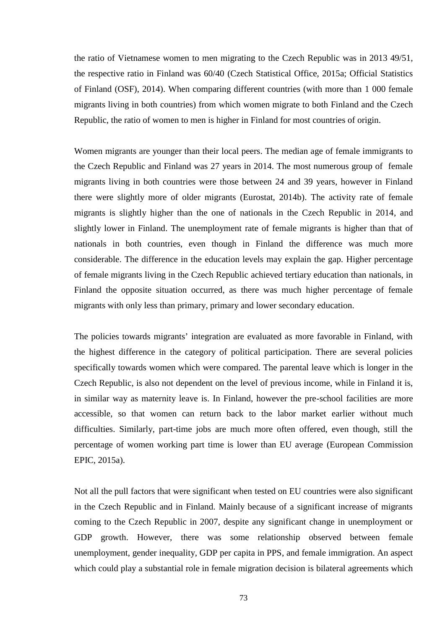the ratio of Vietnamese women to men migrating to the Czech Republic was in 2013 49/51, the respective ratio in Finland was 60/40 (Czech Statistical Office, 2015a; Official Statistics of Finland (OSF), 2014). When comparing different countries (with more than 1 000 female migrants living in both countries) from which women migrate to both Finland and the Czech Republic, the ratio of women to men is higher in Finland for most countries of origin.

Women migrants are younger than their local peers. The median age of female immigrants to the Czech Republic and Finland was 27 years in 2014. The most numerous group of female migrants living in both countries were those between 24 and 39 years, however in Finland there were slightly more of older migrants (Eurostat, 2014b). The activity rate of female migrants is slightly higher than the one of nationals in the Czech Republic in 2014, and slightly lower in Finland. The unemployment rate of female migrants is higher than that of nationals in both countries, even though in Finland the difference was much more considerable. The difference in the education levels may explain the gap. Higher percentage of female migrants living in the Czech Republic achieved tertiary education than nationals, in Finland the opposite situation occurred, as there was much higher percentage of female migrants with only less than primary, primary and lower secondary education.

The policies towards migrants' integration are evaluated as more favorable in Finland, with the highest difference in the category of political participation. There are several policies specifically towards women which were compared. The parental leave which is longer in the Czech Republic, is also not dependent on the level of previous income, while in Finland it is, in similar way as maternity leave is. In Finland, however the pre-school facilities are more accessible, so that women can return back to the labor market earlier without much difficulties. Similarly, part-time jobs are much more often offered, even though, still the percentage of women working part time is lower than EU average (European Commission EPIC, 2015a).

Not all the pull factors that were significant when tested on EU countries were also significant in the Czech Republic and in Finland. Mainly because of a significant increase of migrants coming to the Czech Republic in 2007, despite any significant change in unemployment or GDP growth. However, there was some relationship observed between female unemployment, gender inequality, GDP per capita in PPS, and female immigration. An aspect which could play a substantial role in female migration decision is bilateral agreements which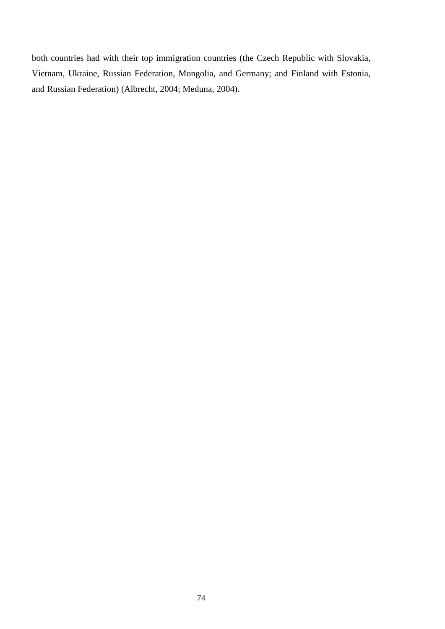both countries had with their top immigration countries (the Czech Republic with Slovakia, Vietnam, Ukraine, Russian Federation, Mongolia, and Germany; and Finland with Estonia, and Russian Federation) (Albrecht, 2004; Meduna, 2004).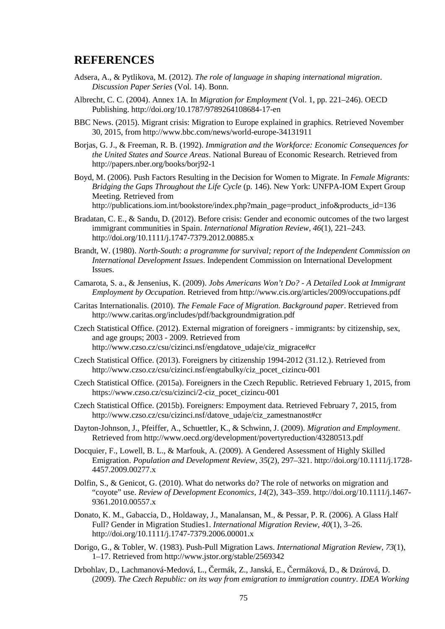#### **REFERENCES**

- Adsera, A., & Pytlikova, M. (2012). *The role of language in shaping international migration*. *Discussion Paper Series* (Vol. 14). Bonn.
- Albrecht, C. C. (2004). Annex 1A. In *Migration for Employment* (Vol. 1, pp. 221–246). OECD Publishing. http://doi.org/10.1787/9789264108684-17-en
- BBC News. (2015). Migrant crisis: Migration to Europe explained in graphics. Retrieved November 30, 2015, from http://www.bbc.com/news/world-europe-34131911
- Borjas, G. J., & Freeman, R. B. (1992). *Immigration and the Workforce: Economic Consequences for the United States and Source Areas*. National Bureau of Economic Research. Retrieved from http://papers.nber.org/books/borj92-1
- Boyd, M. (2006). Push Factors Resulting in the Decision for Women to Migrate. In *Female Migrants: Bridging the Gaps Throughout the Life Cycle* (p. 146). New York: UNFPA-IOM Expert Group Meeting. Retrieved from http://publications.iom.int/bookstore/index.php?main\_page=product\_info&products\_id=136
- Bradatan, C. E., & Sandu, D. (2012). Before crisis: Gender and economic outcomes of the two largest immigrant communities in Spain. *International Migration Review*, *46*(1), 221–243. http://doi.org/10.1111/j.1747-7379.2012.00885.x
- Brandt, W. (1980). *North-South: a programme for survival; report of the Independent Commission on International Development Issues*. Independent Commission on International Development Issues.
- Camarota, S. a., & Jensenius, K. (2009). *Jobs Americans Won't Do? - A Detailed Look at Immigrant Employment by Occupation*. Retrieved from http://www.cis.org/articles/2009/occupations.pdf
- Caritas Internationalis. (2010). *The Female Face of Migration. Background paper*. Retrieved from http://www.caritas.org/includes/pdf/backgroundmigration.pdf
- Czech Statistical Office. (2012). External migration of foreigners immigrants: by citizenship, sex, and age groups; 2003 - 2009. Retrieved from http://www.czso.cz/csu/cizinci.nsf/engdatove\_udaje/ciz\_migrace#cr
- Czech Statistical Office. (2013). Foreigners by citizenship 1994-2012 (31.12.). Retrieved from http://www.czso.cz/csu/cizinci.nsf/engtabulky/ciz\_pocet\_cizincu-001
- Czech Statistical Office. (2015a). Foreigners in the Czech Republic. Retrieved February 1, 2015, from https://www.czso.cz/csu/cizinci/2-ciz\_pocet\_cizincu-001
- Czech Statistical Office. (2015b). Foreigners: Empoyment data. Retrieved February 7, 2015, from http://www.czso.cz/csu/cizinci.nsf/datove\_udaje/ciz\_zamestnanost#cr
- Dayton-Johnson, J., Pfeiffer, A., Schuettler, K., & Schwinn, J. (2009). *Migration and Employment*. Retrieved from http://www.oecd.org/development/povertyreduction/43280513.pdf
- Docquier, F., Lowell, B. L., & Marfouk, A. (2009). A Gendered Assessment of Highly Skilled Emigration. *Population and Development Review*, *35*(2), 297–321. http://doi.org/10.1111/j.1728- 4457.2009.00277.x
- Dolfin, S., & Genicot, G. (2010). What do networks do? The role of networks on migration and "coyote" use. *Review of Development Economics*, *14*(2), 343–359. http://doi.org/10.1111/j.1467- 9361.2010.00557.x
- Donato, K. M., Gabaccia, D., Holdaway, J., Manalansan, M., & Pessar, P. R. (2006). A Glass Half Full? Gender in Migration Studies1. *International Migration Review*, *40*(1), 3–26. http://doi.org/10.1111/j.1747-7379.2006.00001.x
- Dorigo, G., & Tobler, W. (1983). Push-Pull Migration Laws. *International Migration Review*, *73*(1), 1–17. Retrieved from http://www.jstor.org/stable/2569342
- Drbohlav, D., Lachmanová-Medová, L., ermák, Z., Janská, E., ermáková, D., & Dzúrová, D. (2009). *The Czech Republic: on its way from emigration to immigration country*. *IDEA Working*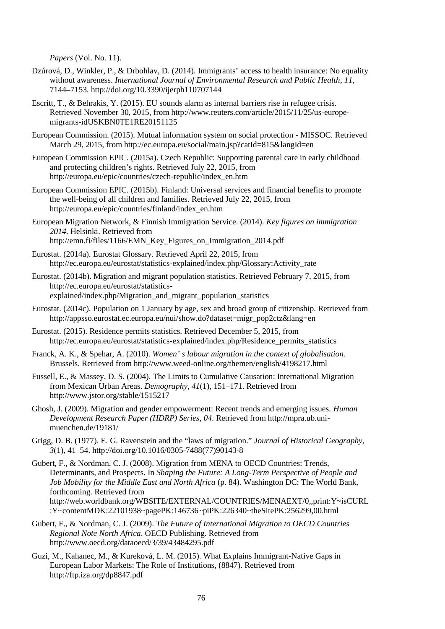*Papers* (Vol. No. 11).

- Dzúrová, D., Winkler, P., & Drbohlav, D. (2014). Immigrants' access to health insurance: No equality without awareness. *International Journal of Environmental Research and Public Health*, *11*, 7144–7153. http://doi.org/10.3390/ijerph110707144
- Escritt, T., & Behrakis, Y. (2015). EU sounds alarm as internal barriers rise in refugee crisis. Retrieved November 30, 2015, from http://www.reuters.com/article/2015/11/25/us-europe migrants-idUSKBN0TE1RE20151125
- European Commission. (2015). Mutual information system on social protection MISSOC. Retrieved March 29, 2015, from http://ec.europa.eu/social/main.jsp?catId=815&langId=en
- European Commission EPIC. (2015a). Czech Republic: Supporting parental care in early childhood and protecting children's rights. Retrieved July 22, 2015, from http://europa.eu/epic/countries/czech-republic/index\_en.htm
- European Commission EPIC. (2015b). Finland: Universal services and financial benefits to promote the well-being of all children and families. Retrieved July 22, 2015, from http://europa.eu/epic/countries/finland/index\_en.htm
- European Migration Network, & Finnish Immigration Service. (2014). *Key figures on immigration 2014*. Helsinki. Retrieved from http://emn.fi/files/1166/EMN\_Key\_Figures\_on\_Immigration\_2014.pdf
- Eurostat. (2014a). Eurostat Glossary. Retrieved April 22, 2015, from http://ec.europa.eu/eurostat/statistics-explained/index.php/Glossary:Activity\_rate
- Eurostat. (2014b). Migration and migrant population statistics. Retrieved February 7, 2015, from http://ec.europa.eu/eurostat/statistics explained/index.php/Migration\_and\_migrant\_population\_statistics
- Eurostat. (2014c). Population on 1 January by age, sex and broad group of citizenship. Retrieved from http://appsso.eurostat.ec.europa.eu/nui/show.do?dataset=migr\_pop2ctz&lang=en
- Eurostat. (2015). Residence permits statistics. Retrieved December 5, 2015, from http://ec.europa.eu/eurostat/statistics-explained/index.php/Residence\_permits\_statistics
- Franck, A. K., & Spehar, A. (2010). *Women' s labour migration in the context of globalisation*. Brussels. Retrieved from http://www.weed-online.org/themen/english/4198217.html
- Fussell, E., & Massey, D. S. (2004). The Limits to Cumulative Causation: International Migration from Mexican Urban Areas. *Demography*, *41*(1), 151–171. Retrieved from http://www.jstor.org/stable/1515217
- Ghosh, J. (2009). Migration and gender empowerment: Recent trends and emerging issues. *Human Development Research Paper (HDRP) Series*, *04*. Retrieved from http://mpra.ub.uni muenchen.de/19181/
- Grigg, D. B. (1977). E. G. Ravenstein and the "laws of migration." *Journal of Historical Geography*, *3*(1), 41–54. http://doi.org/10.1016/0305-7488(77)90143-8
- Gubert, F., & Nordman, C. J. (2008). Migration from MENA to OECD Countries: Trends, Determinants, and Prospects. In *Shaping the Future: A Long-Term Perspective of People and Job Mobility for the Middle East and North Africa* (p. 84). Washington DC: The World Bank, forthcoming. Retrieved from http://web.worldbank.org/WBSITE/EXTERNAL/COUNTRIES/MENAEXT/0,,print:Y~isCURL :Y~contentMDK:22101938~pagePK:146736~piPK:226340~theSitePK:256299,00.html
- Gubert, F., & Nordman, C. J. (2009). *The Future of International Migration to OECD Countries Regional Note North Africa*. OECD Publishing. Retrieved from http://www.oecd.org/dataoecd/3/39/43484295.pdf
- Guzi, M., Kahanec, M., & Kureková, L. M. (2015). What Explains Immigrant-Native Gaps in European Labor Markets: The Role of Institutions, (8847). Retrieved from http://ftp.iza.org/dp8847.pdf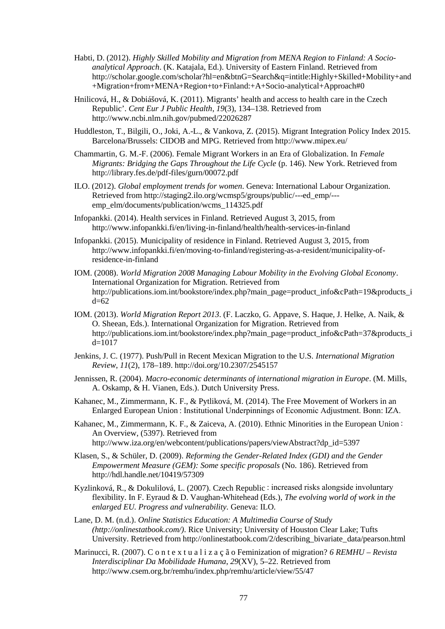- Habti, D. (2012). *Highly Skilled Mobility and Migration from MENA Region to Finland: A Socio analytical Approach*. (K. Katajala, Ed.). University of Eastern Finland. Retrieved from http://scholar.google.com/scholar?hl=en&btnG=Search&q=intitle:Highly+Skilled+Mobility+and +Migration+from+MENA+Region+to+Finland:+A+Socio-analytical+Approach#0
- Hnilicová, H., & Dobiášová, K. (2011). Migrants' health and access to health care in the Czech Republic'. *Cent Eur J Public Health*, *19*(3), 134–138. Retrieved from http://www.ncbi.nlm.nih.gov/pubmed/22026287
- Huddleston, T., Bilgili, O., Joki, A.-L., & Vankova, Z. (2015). Migrant Integration Policy Index 2015. Barcelona/Brussels: CIDOB and MPG. Retrieved from http://www.mipex.eu/
- Chammartin, G. M.-F. (2006). Female Migrant Workers in an Era of Globalization. In *Female Migrants: Bridging the Gaps Throughout the Life Cycle* (p. 146). New York. Retrieved from http://library.fes.de/pdf-files/gurn/00072.pdf
- ILO. (2012). *Global employment trends for women*. Geneva: International Labour Organization. Retrieved from http://staging2.ilo.org/wcmsp5/groups/public/---ed\_emp/-- emp\_elm/documents/publication/wcms\_114325.pdf
- Infopankki. (2014). Health services in Finland. Retrieved August 3, 2015, from http://www.infopankki.fi/en/living-in-finland/health/health-services-in-finland
- Infopankki. (2015). Municipality of residence in Finland. Retrieved August 3, 2015, from http://www.infopankki.fi/en/moving-to-finland/registering-as-a-resident/municipality-ofresidence-in-finland
- IOM. (2008). *World Migration 2008 Managing Labour Mobility in the Evolving Global Economy*. International Organization for Migration. Retrieved from http://publications.iom.int/bookstore/index.php?main\_page=product\_info&cPath=19&products\_i d=62
- IOM. (2013). *World Migration Report 2013*. (F. Laczko, G. Appave, S. Haque, J. Helke, A. Naik, & O. Sheean, Eds.). International Organization for Migration. Retrieved from http://publications.iom.int/bookstore/index.php?main\_page=product\_info&cPath=37&products\_i  $d=1017$
- Jenkins, J. C. (1977). Push/Pull in Recent Mexican Migration to the U.S. *International Migration Review*, *11*(2), 178–189. http://doi.org/10.2307/2545157
- Jennissen, R. (2004). *Macro-economic determinants of international migration in Europe*. (M. Mills, A. Oskamp, & H. Vianen, Eds.). Dutch University Press.
- Kahanec, M., Zimmermann, K. F., & Pytliková, M. (2014). The Free Movement of Workers in an Enlarged European Union : Institutional Underpinnings of Economic Adjustment. Bonn: IZA.
- Kahanec, M., Zimmermann, K. F., & Zaiceva, A. (2010). Ethnic Minorities in the European Union : An Overview, (5397). Retrieved from http://www.iza.org/en/webcontent/publications/papers/viewAbstract?dp\_id=5397
- Klasen, S., & Schüler, D. (2009). *Reforming the Gender-Related Index (GDI) and the Gender Empowerment Measure (GEM): Some specific proposals* (No. 186). Retrieved from http://hdl.handle.net/10419/57309
- Kyzlinková, R., & Dokulilová, L. (2007). Czech Republic : increased risks alongside involuntary flexibility. In F. Eyraud & D. Vaughan-Whitehead (Eds.), *The evolving world of work in the enlarged EU. Progress and vulnerability.* Geneva: ILO.
- Lane, D. M. (n.d.). *Online Statistics Education: A Multimedia Course of Study (http://onlinestatbook.com/)*. Rice University; University of Houston Clear Lake; Tufts University. Retrieved from http://onlinestatbook.com/2/describing\_bivariate\_data/pearson.html
- Marinucci, R. (2007). C o n t e x t u a l i z a ç ã o Feminization of migration? *6 REMHU – Revista Interdisciplinar Da Mobilidade Humana*, *29*(XV), 5–22. Retrieved from http://www.csem.org.br/remhu/index.php/remhu/article/view/55/47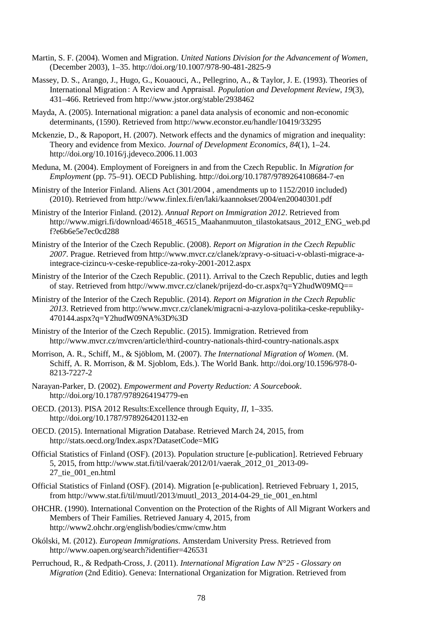- Martin, S. F. (2004). Women and Migration. *United Nations Division for the Advancement of Women*, (December 2003), 1–35. http://doi.org/10.1007/978-90-481-2825-9
- Massey, D. S., Arango, J., Hugo, G., Kouaouci, A., Pellegrino, A., & Taylor, J. E. (1993). Theories of International Migration : A Review and Appraisal. *Population and Development Review*, *19*(3), 431–466. Retrieved from http://www.jstor.org/stable/2938462
- Mayda, A. (2005). International migration: a panel data analysis of economic and non-economic determinants, (1590). Retrieved from http://www.econstor.eu/handle/10419/33295
- Mckenzie, D., & Rapoport, H. (2007). Network effects and the dynamics of migration and inequality: Theory and evidence from Mexico. *Journal of Development Economics*, *84*(1), 1–24. http://doi.org/10.1016/j.jdeveco.2006.11.003
- Meduna, M. (2004). Employment of Foreigners in and from the Czech Republic. In *Migration for Employment* (pp. 75–91). OECD Publishing. http://doi.org/10.1787/9789264108684-7-en
- Ministry of the Interior Finland. Aliens Act (301/2004 , amendments up to 1152/2010 included) (2010). Retrieved from http://www.finlex.fi/en/laki/kaannokset/2004/en20040301.pdf
- Ministry of the Interior Finland. (2012). *Annual Report on Immigration 2012*. Retrieved from http://www.migri.fi/download/46518\_46515\_Maahanmuuton\_tilastokatsaus\_2012\_ENG\_web.pd f?e6b6e5e7ec0cd288
- Ministry of the Interior of the Czech Republic. (2008). *Report on Migration in the Czech Republic 2007*. Prague. Retrieved from http://www.mvcr.cz/clanek/zpravy-o-situaci-v-oblasti-migrace-aintegrace-cizincu-v-ceske-republice-za-roky-2001-2012.aspx
- Ministry of the Interior of the Czech Republic. (2011). Arrival to the Czech Republic, duties and legth of stay. Retrieved from http://www.mvcr.cz/clanek/prijezd-do-cr.aspx?q=Y2hudW09MQ==
- Ministry of the Interior of the Czech Republic. (2014). *Report on Migration in the Czech Republic 2013*. Retrieved from http://www.mvcr.cz/clanek/migracni-a-azylova-politika-ceske-republiky- 470144.aspx?q=Y2hudW09NA%3D%3D
- Ministry of the Interior of the Czech Republic. (2015). Immigration. Retrieved from http://www.mvcr.cz/mvcren/article/third-country-nationals-third-country-nationals.aspx
- Morrison, A. R., Schiff, M., & Sjöblom, M. (2007). *The International Migration of Women*. (M. Schiff, A. R. Morrison, & M. Sjoblom, Eds.). The World Bank. http://doi.org/10.1596/978-0- 8213-7227-2
- Narayan-Parker, D. (2002). *Empowerment and Poverty Reduction: A Sourcebook*. http://doi.org/10.1787/9789264194779-en
- OECD. (2013). PISA 2012 Results:Excellence through Equity, *II*, 1–335. http://doi.org/10.1787/9789264201132-en
- OECD. (2015). International Migration Database. Retrieved March 24, 2015, from http://stats.oecd.org/Index.aspx?DatasetCode=MIG
- Official Statistics of Finland (OSF). (2013). Population structure [e-publication]. Retrieved February 5, 2015, from http://www.stat.fi/til/vaerak/2012/01/vaerak\_2012\_01\_2013-09- 27\_tie\_001\_en.html
- Official Statistics of Finland (OSF). (2014). Migration [e-publication]. Retrieved February 1, 2015, from http://www.stat.fi/til/muutl/2013/muutl\_2013\_2014-04-29\_tie\_001\_en.html
- OHCHR. (1990). International Convention on the Protection of the Rights of All Migrant Workers and Members of Their Families. Retrieved January 4, 2015, from http://www2.ohchr.org/english/bodies/cmw/cmw.htm
- Okólski, M. (2012). *European Immigrations*. Amsterdam University Press. Retrieved from http://www.oapen.org/search?identifier=426531
- Perruchoud, R., & Redpath-Cross, J. (2011). *International Migration Law N°25 - Glossary on Migration* (2nd Editio). Geneva: International Organization for Migration. Retrieved from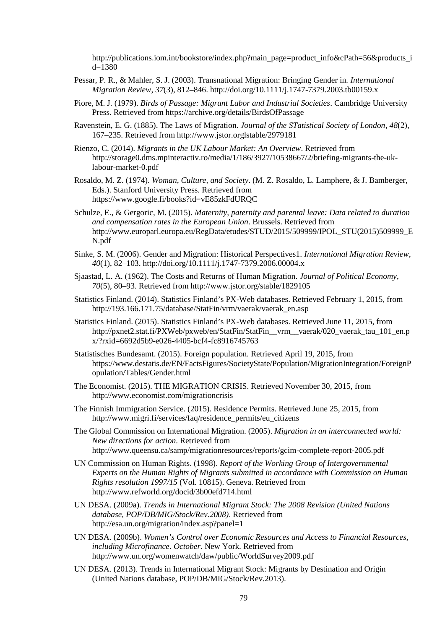http://publications.iom.int/bookstore/index.php?main\_page=product\_info&cPath=56&products\_i d=1380

- Pessar, P. R., & Mahler, S. J. (2003). Transnational Migration: Bringing Gender in. *International Migration Review*, *37*(3), 812–846. http://doi.org/10.1111/j.1747-7379.2003.tb00159.x
- Piore, M. J. (1979). *Birds of Passage: Migrant Labor and Industrial Societies*. Cambridge University Press. Retrieved from https://archive.org/details/BirdsOfPassage
- Ravenstein, E. G. (1885). The Laws of Migration. *Journal of the STatistical Society of London*, *48*(2), 167–235. Retrieved from http://www.jstor.orglstable/2979181
- Rienzo, C. (2014). *Migrants in the UK Labour Market: An Overview*. Retrieved from http://storage0.dms.mpinteractiv.ro/media/1/186/3927/10538667/2/briefing-migrants-the-uklabour-market-0.pdf
- Rosaldo, M. Z. (1974). *Woman, Culture, and Society*. (M. Z. Rosaldo, L. Lamphere, & J. Bamberger, Eds.). Stanford University Press. Retrieved from https://www.google.fi/books?id=vE85zkFdURQC
- Schulze, E., & Gergoric, M. (2015). *Maternity, paternity and parental leave: Data related to duration and compensation rates in the European Union*. Brussels. Retrieved from http://www.europarl.europa.eu/RegData/etudes/STUD/2015/509999/IPOL\_STU(2015)509999\_E N.pdf
- Sinke, S. M. (2006). Gender and Migration: Historical Perspectives1. *International Migration Review*, *40*(1), 82–103. http://doi.org/10.1111/j.1747-7379.2006.00004.x
- Sjaastad, L. A. (1962). The Costs and Returns of Human Migration. *Journal of Political Economy*, *70*(5), 80–93. Retrieved from http://www.jstor.org/stable/1829105
- Statistics Finland. (2014). Statistics Finland's PX-Web databases. Retrieved February 1, 2015, from http://193.166.171.75/database/StatFin/vrm/vaerak/vaerak\_en.asp
- Statistics Finland. (2015). Statistics Finland's PX-Web databases. Retrieved June 11, 2015, from http://pxnet2.stat.fi/PXWeb/pxweb/en/StatFin/StatFin\_vrm\_vaerak/020\_vaerak\_tau\_101\_en.p x/?rxid=6692d5b9-e026-4405-bcf4-fc8916745763
- Statistisches Bundesamt. (2015). Foreign population. Retrieved April 19, 2015, from https://www.destatis.de/EN/FactsFigures/SocietyState/Population/MigrationIntegration/ForeignP opulation/Tables/Gender.html
- The Economist. (2015). THE MIGRATION CRISIS. Retrieved November 30, 2015, from http://www.economist.com/migrationcrisis
- The Finnish Immigration Service. (2015). Residence Permits. Retrieved June 25, 2015, from http://www.migri.fi/services/faq/residence\_permits/eu\_citizens
- The Global Commission on International Migration. (2005). *Migration in an interconnected world: New directions for action*. Retrieved from http://www.queensu.ca/samp/migrationresources/reports/gcim-complete-report-2005.pdf
- UN Commission on Human Rights. (1998). *Report of the Working Group of Intergovernmental Experts on the Human Rights of Migrants submitted in accordance with Commission on Human Rights resolution 1997/15* (Vol. 10815). Geneva. Retrieved from http://www.refworld.org/docid/3b00efd714.html
- UN DESA. (2009a). *Trends in International Migrant Stock: The 2008 Revision (United Nations database, POP/DB/MIG/Stock/Rev.2008)*. Retrieved from http://esa.un.org/migration/index.asp?panel=1
- UN DESA. (2009b). *Women's Control over Economic Resources and Access to Financial Resources, including Microfinance*. *October*. New York. Retrieved from http://www.un.org/womenwatch/daw/public/WorldSurvey2009.pdf
- UN DESA. (2013). Trends in International Migrant Stock: Migrants by Destination and Origin (United Nations database, POP/DB/MIG/Stock/Rev.2013).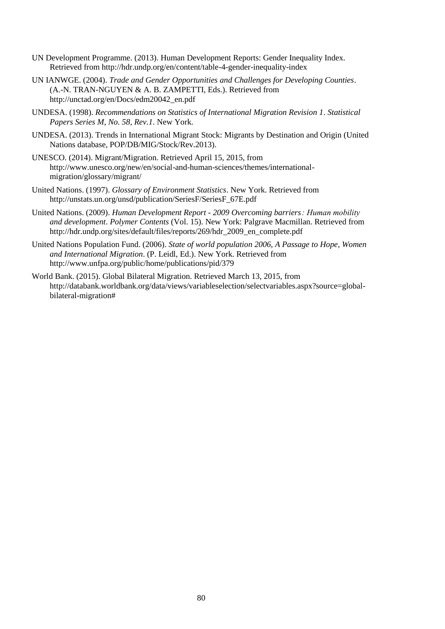- UN Development Programme. (2013). Human Development Reports: Gender Inequality Index. Retrieved from http://hdr.undp.org/en/content/table-4-gender-inequality-index
- UN IANWGE. (2004). *Trade and Gender Opportunities and Challenges for Developing Counties*. (A.-N. TRAN-NGUYEN & A. B. ZAMPETTI, Eds.). Retrieved from http://unctad.org/en/Docs/edm20042\_en.pdf
- UNDESA. (1998). *Recommendations on Statistics of International Migration Revision 1*. *Statistical Papers Series M, No. 58, Rev.1*. New York.
- UNDESA. (2013). Trends in International Migrant Stock: Migrants by Destination and Origin (United Nations database, POP/DB/MIG/Stock/Rev.2013).
- UNESCO. (2014). Migrant/Migration. Retrieved April 15, 2015, from http://www.unesco.org/new/en/social-and-human-sciences/themes/international migration/glossary/migrant/
- United Nations. (1997). *Glossary of Environment Statistics*. New York. Retrieved from http://unstats.un.org/unsd/publication/SeriesF/SeriesF\_67E.pdf
- United Nations. (2009). *Human Development Report - 2009 Overcoming barriers : Human mobility and development*. *Polymer Contents* (Vol. 15). New York: Palgrave Macmillan. Retrieved from http://hdr.undp.org/sites/default/files/reports/269/hdr\_2009\_en\_complete.pdf
- United Nations Population Fund. (2006). *State of world population 2006, A Passage to Hope, Women and International Migration*. (P. Leidl, Ed.). New York. Retrieved from http://www.unfpa.org/public/home/publications/pid/379
- World Bank. (2015). Global Bilateral Migration. Retrieved March 13, 2015, from http://databank.worldbank.org/data/views/variableselection/selectvariables.aspx?source=global bilateral-migration#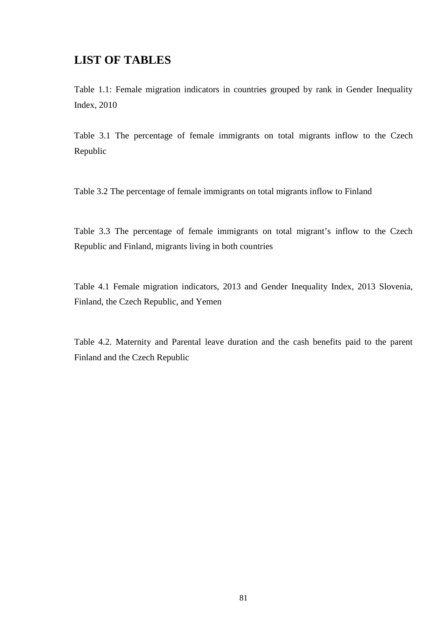## **LIST OF TABLES**

Table 1.1: Female migration indicators in countries grouped by rank in Gender Inequality Index, 2010

Table 3.1 The percentage of female immigrants on total migrants inflow to the Czech Republic

Table 3.2 The percentage of female immigrants on total migrants inflow to Finland

Table 3.3 The percentage of female immigrants on total migrant's inflow to the Czech Republic and Finland, migrants living in both countries

Table 4.1 Female migration indicators, 2013 and Gender Inequality Index, 2013 Slovenia, Finland, the Czech Republic, and Yemen

Table 4.2. Maternity and Parental leave duration and the cash benefits paid to the parent Finland and the Czech Republic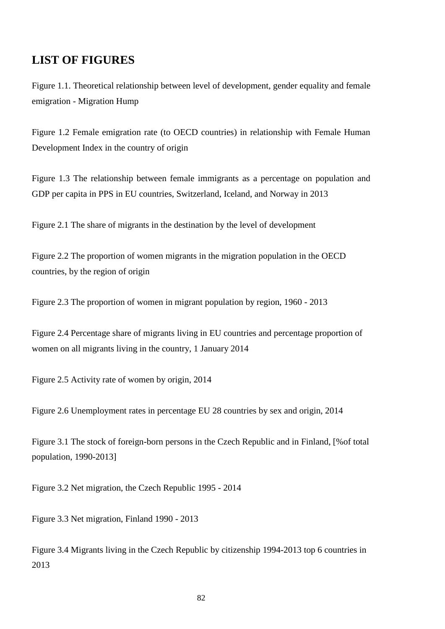#### **LIST OF FIGURES**

Figure 1.1. Theoretical relationship between level of development, gender equality and female emigration - Migration Hump

Figure 1.2 Female emigration rate (to OECD countries) in relationship with Female Human Development Index in the country of origin

Figure 1.3 The relationship between female immigrants as a percentage on population and GDP per capita in PPS in EU countries, Switzerland, Iceland, and Norway in 2013

Figure 2.1 The share of migrants in the destination by the level of development

Figure 2.2 The proportion of women migrants in the migration population in the OECD countries, by the region of origin

Figure 2.3 The proportion of women in migrant population by region, 1960 - 2013

Figure 2.4 Percentage share of migrants living in EU countries and percentage proportion of women on all migrants living in the country, 1 January 2014

Figure 2.5 Activity rate of women by origin, 2014

Figure 2.6 Unemployment rates in percentage EU 28 countries by sex and origin, 2014

Figure 3.1 The stock of foreign-born persons in the Czech Republic and in Finland, [%of total population, 1990-2013]

Figure 3.2 Net migration, the Czech Republic 1995 - 2014

Figure 3.3 Net migration, Finland 1990 - 2013

Figure 3.4 Migrants living in the Czech Republic by citizenship 1994-2013 top 6 countries in 2013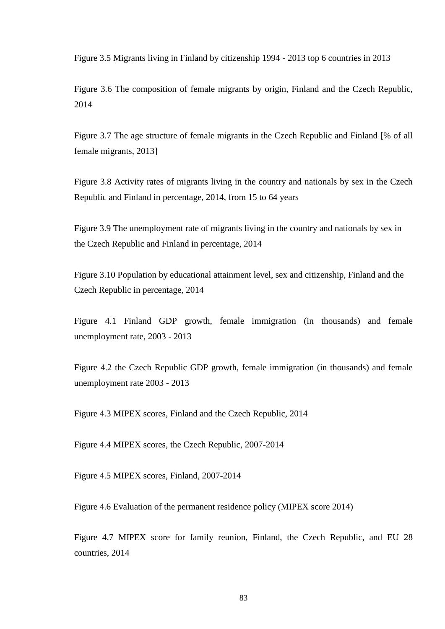Figure 3.5 Migrants living in Finland by citizenship 1994 - 2013 top 6 countries in 2013

Figure 3.6 The composition of female migrants by origin, Finland and the Czech Republic, 2014

Figure 3.7 The age structure of female migrants in the Czech Republic and Finland [% of all female migrants, 2013]

Figure 3.8 Activity rates of migrants living in the country and nationals by sex in the Czech Republic and Finland in percentage, 2014, from 15 to 64 years

Figure 3.9 The unemployment rate of migrants living in the country and nationals by sex in the Czech Republic and Finland in percentage, 2014

Figure 3.10 Population by educational attainment level, sex and citizenship, Finland and the Czech Republic in percentage, 2014

Figure 4.1 Finland GDP growth, female immigration (in thousands) and female unemployment rate, 2003 - 2013

Figure 4.2 the Czech Republic GDP growth, female immigration (in thousands) and female unemployment rate 2003 - 2013

Figure 4.3 MIPEX scores, Finland and the Czech Republic, 2014

Figure 4.4 MIPEX scores, the Czech Republic, 2007-2014

Figure 4.5 MIPEX scores, Finland, 2007-2014

Figure 4.6 Evaluation of the permanent residence policy (MIPEX score 2014)

Figure 4.7 MIPEX score for family reunion, Finland, the Czech Republic, and EU 28 countries, 2014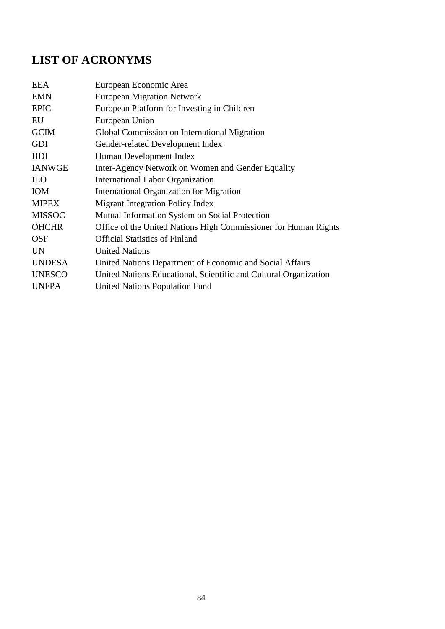# **LIST OF ACRONYMS**

| <b>EEA</b>    | European Economic Area                                           |
|---------------|------------------------------------------------------------------|
| <b>EMN</b>    | <b>European Migration Network</b>                                |
| <b>EPIC</b>   | European Platform for Investing in Children                      |
| EU            | European Union                                                   |
| <b>GCIM</b>   | Global Commission on International Migration                     |
| <b>GDI</b>    | Gender-related Development Index                                 |
| HDI           | Human Development Index                                          |
| <b>IANWGE</b> | Inter-Agency Network on Women and Gender Equality                |
| <b>ILO</b>    | International Labor Organization                                 |
| <b>IOM</b>    | <b>International Organization for Migration</b>                  |
| <b>MIPEX</b>  | <b>Migrant Integration Policy Index</b>                          |
|               |                                                                  |
| <b>MISSOC</b> | Mutual Information System on Social Protection                   |
| <b>OHCHR</b>  | Office of the United Nations High Commissioner for Human Rights  |
| <b>OSF</b>    | <b>Official Statistics of Finland</b>                            |
| <b>UN</b>     | <b>United Nations</b>                                            |
| <b>UNDESA</b> | United Nations Department of Economic and Social Affairs         |
| <b>UNESCO</b> | United Nations Educational, Scientific and Cultural Organization |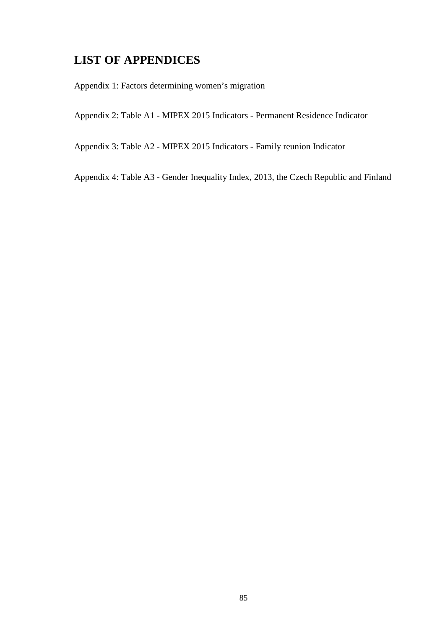## **LIST OF APPENDICES**

Appendix 1: Factors determining women's migration

Appendix 2: Table A1 - MIPEX 2015 Indicators - Permanent Residence Indicator

Appendix 3: Table A2 - MIPEX 2015 Indicators - Family reunion Indicator

Appendix 4: Table A3 - Gender Inequality Index, 2013, the Czech Republic and Finland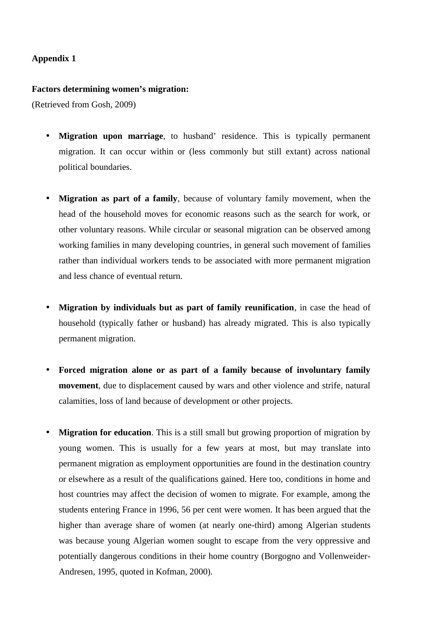#### **Factors determining women's migration:**

(Retrieved from Gosh, 2009)

- **Migration upon marriage**, to husband' residence. This is typically permanent migration. It can occur within or (less commonly but still extant) across national political boundaries.
- **Migration as part of a family**, because of voluntary family movement, when the head of the household moves for economic reasons such as the search for work, or other voluntary reasons. While circular or seasonal migration can be observed among working families in many developing countries, in general such movement of families rather than individual workers tends to be associated with more permanent migration and less chance of eventual return.
- **Migration by individuals but as part of family reunification**, in case the head of household (typically father or husband) has already migrated. This is also typically permanent migration.
- **Forced migration alone or as part of a family because of involuntary family movement**, due to displacement caused by wars and other violence and strife, natural calamities, loss of land because of development or other projects.
- **Migration for education**. This is a still small but growing proportion of migration by young women. This is usually for a few years at most, but may translate into permanent migration as employment opportunities are found in the destination country or elsewhere as a result of the qualifications gained. Here too, conditions in home and host countries may affect the decision of women to migrate. For example, among the students entering France in 1996, 56 per cent were women. It has been argued that the higher than average share of women (at nearly one-third) among Algerian students was because young Algerian women sought to escape from the very oppressive and potentially dangerous conditions in their home country (Borgogno and Vollenweider- Andresen, 1995, quoted in Kofman, 2000).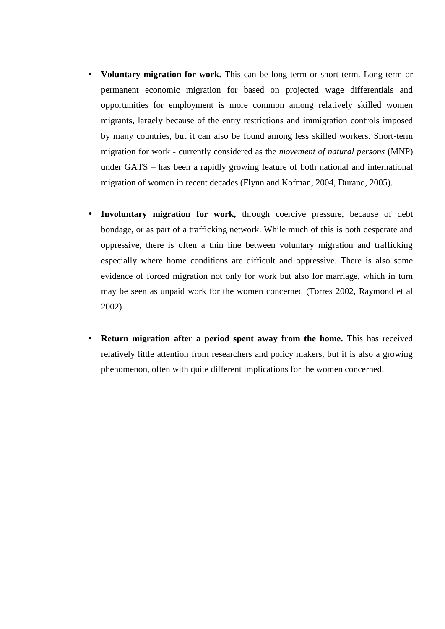- **Voluntary migration for work.** This can be long term or short term. Long term or permanent economic migration for based on projected wage differentials and opportunities for employment is more common among relatively skilled women migrants, largely because of the entry restrictions and immigration controls imposed by many countries, but it can also be found among less skilled workers. Short-term migration for work - currently considered as the *movement of natural persons* (MNP) under GATS – has been a rapidly growing feature of both national and international migration of women in recent decades (Flynn and Kofman, 2004, Durano, 2005).
- **Involuntary migration for work,** through coercive pressure, because of debt bondage, or as part of a trafficking network. While much of this is both desperate and oppressive, there is often a thin line between voluntary migration and trafficking especially where home conditions are difficult and oppressive. There is also some evidence of forced migration not only for work but also for marriage, which in turn may be seen as unpaid work for the women concerned (Torres 2002, Raymond et al 2002).
- **Return migration after a period spent away from the home.** This has received relatively little attention from researchers and policy makers, but it is also a growing phenomenon, often with quite different implications for the women concerned.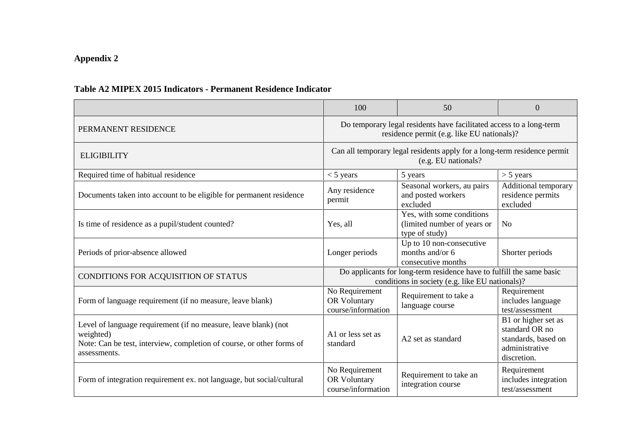## **Table A2 MIPEX 2015 Indicators - Permanent Residence Indicator**

|                                                                                                                                                                       | 100                                                                                                                     | 50                                                                                                                | $\Omega$                                                                                      |  |  |
|-----------------------------------------------------------------------------------------------------------------------------------------------------------------------|-------------------------------------------------------------------------------------------------------------------------|-------------------------------------------------------------------------------------------------------------------|-----------------------------------------------------------------------------------------------|--|--|
| PERMANENT RESIDENCE                                                                                                                                                   |                                                                                                                         | Do temporary legal residents have facilitated access to a long-term<br>residence permit (e.g. like EU nationals)? |                                                                                               |  |  |
| <b>ELIGIBILITY</b>                                                                                                                                                    |                                                                                                                         | Can all temporary legal residents apply for a long-term residence permit<br>(e.g. EU nationals?)                  |                                                                                               |  |  |
| Required time of habitual residence                                                                                                                                   | $<$ 5 years                                                                                                             | 5 years                                                                                                           | $> 5$ years                                                                                   |  |  |
| Documents taken into account to be eligible for permanent residence                                                                                                   | Seasonal workers, au pairs<br>Any residence<br>and posted workers<br>permit<br>excluded                                 |                                                                                                                   | Additional temporary<br>residence permits<br>excluded                                         |  |  |
| Is time of residence as a pupil/student counted?                                                                                                                      | Yes, with some conditions<br>(limited number of years or<br>Yes, all<br>type of study)                                  |                                                                                                                   | N <sub>0</sub>                                                                                |  |  |
| Periods of prior-absence allowed                                                                                                                                      | Longer periods                                                                                                          | Up to 10 non-consecutive<br>months and/or 6<br>consecutive months                                                 | Shorter periods                                                                               |  |  |
| CONDITIONS FOR ACQUISITION OF STATUS                                                                                                                                  | Do applicants for long-term residence have to fulfill the same basic<br>conditions in society (e.g. like EU nationals)? |                                                                                                                   |                                                                                               |  |  |
| Form of language requirement (if no measure, leave blank)                                                                                                             | No Requirement<br>OR Voluntary<br>course/information                                                                    | Requirement to take a<br>language course                                                                          |                                                                                               |  |  |
| Level of language requirement (if no measure, leave blank) (not<br>weighted)<br>Note: Can be test, interview, completion of course, or other forms of<br>assessments. | A1 or less set as<br>standard                                                                                           | A <sub>2</sub> set as standard                                                                                    | B1 or higher set as<br>standard OR no<br>standards, based on<br>administrative<br>discretion. |  |  |
| Form of integration requirement ex. not language, but social/cultural                                                                                                 | No Requirement<br>OR Voluntary<br>course/information                                                                    | Requirement to take an<br>integration course                                                                      | Requirement<br>includes integration<br>test/assessment                                        |  |  |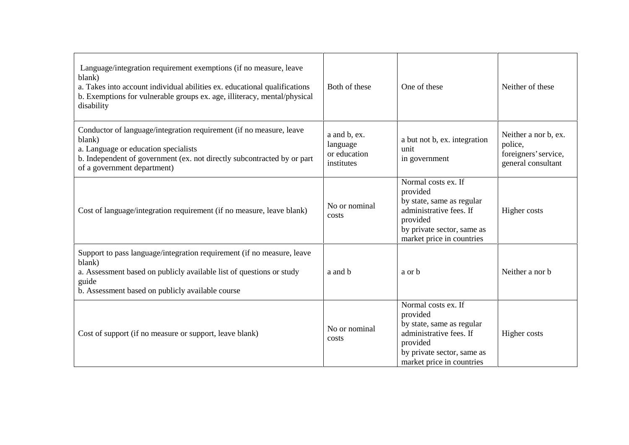| Language/integration requirement exemptions (if no measure, leave<br>blank)<br>a. Takes into account individual abilities ex. educational qualifications<br>b. Exemptions for vulnerable groups ex. age, illiteracy, mental/physical<br>disability | Both of these                                          | One of these                                                                                                                                                   | Neither of these                                                              |
|----------------------------------------------------------------------------------------------------------------------------------------------------------------------------------------------------------------------------------------------------|--------------------------------------------------------|----------------------------------------------------------------------------------------------------------------------------------------------------------------|-------------------------------------------------------------------------------|
| Conductor of language/integration requirement (if no measure, leave<br>blank)<br>a. Language or education specialists<br>b. Independent of government (ex. not directly subcontracted by or part<br>of a government department)                    | a and b, ex.<br>language<br>or education<br>institutes | a but not b, ex. integration<br>unit<br>in government                                                                                                          | Neither a nor b, ex.<br>police,<br>foreigners' service,<br>general consultant |
| Cost of language/integration requirement (if no measure, leave blank)                                                                                                                                                                              | No or nominal<br>costs                                 | Normal costs ex. If<br>provided<br>by state, same as regular<br>administrative fees. If<br>provided<br>by private sector, same as<br>market price in countries | Higher costs                                                                  |
| Support to pass language/integration requirement (if no measure, leave<br>blank)<br>a. Assessment based on publicly available list of questions or study<br>guide<br>b. Assessment based on publicly available course                              | a and b                                                | a or b                                                                                                                                                         | Neither a nor b                                                               |
| Cost of support (if no measure or support, leave blank)                                                                                                                                                                                            | No or nominal<br>costs                                 | Normal costs ex. If<br>provided<br>by state, same as regular<br>administrative fees. If<br>provided<br>by private sector, same as<br>market price in countries | Higher costs                                                                  |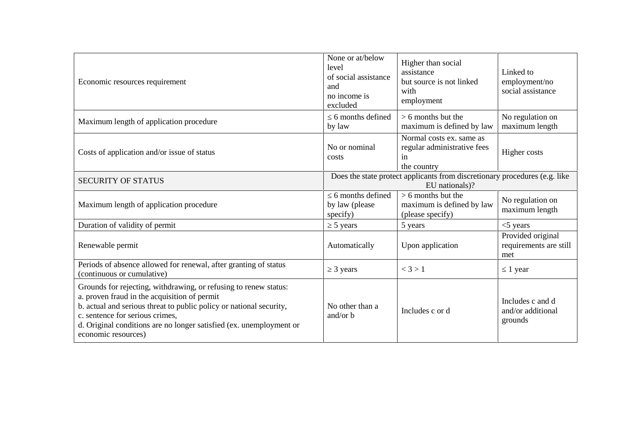| Economic resources requirement                                                                                                                                                                                                                                                                                           | None or at/below<br>level<br>of social assistance<br>and<br>no income is<br>excluded | Higher than social<br>assistance<br>but source is not linked<br>with<br>employment           | Linked to<br>employment/no<br>social assistance    |
|--------------------------------------------------------------------------------------------------------------------------------------------------------------------------------------------------------------------------------------------------------------------------------------------------------------------------|--------------------------------------------------------------------------------------|----------------------------------------------------------------------------------------------|----------------------------------------------------|
| Maximum length of application procedure                                                                                                                                                                                                                                                                                  | 6 months defined<br>by law                                                           | $> 6$ months but the<br>maximum is defined by law                                            | No regulation on<br>maximum length                 |
| Costs of application and/or issue of status                                                                                                                                                                                                                                                                              | No or nominal<br>costs                                                               | Normal costs ex. same as<br>regular administrative fees<br>in<br>the country                 | Higher costs                                       |
| <b>SECURITY OF STATUS</b>                                                                                                                                                                                                                                                                                                |                                                                                      | Does the state protect applicants from discretionary procedures (e.g. like<br>EU nationals)? |                                                    |
| Maximum length of application procedure                                                                                                                                                                                                                                                                                  | 6 months defined<br>by law (please<br>specify)                                       | $> 6$ months but the<br>maximum is defined by law<br>(please specify)                        | No regulation on<br>maximum length                 |
| Duration of validity of permit                                                                                                                                                                                                                                                                                           | 5 years                                                                              | 5 years                                                                                      | $<$ 5 years                                        |
| Renewable permit                                                                                                                                                                                                                                                                                                         | Automatically                                                                        | Upon application                                                                             | Provided original<br>requirements are still<br>met |
| Periods of absence allowed for renewal, after granting of status<br>(continuous or cumulative)                                                                                                                                                                                                                           | 3 years                                                                              | < 3 > 1                                                                                      | 1 year                                             |
| Grounds for rejecting, withdrawing, or refusing to renew status:<br>a. proven fraud in the acquisition of permit<br>b. actual and serious threat to public policy or national security,<br>c. sentence for serious crimes,<br>d. Original conditions are no longer satisfied (ex. unemployment or<br>economic resources) | No other than a<br>and/or $b$                                                        | Includes c or d                                                                              | Includes c and d<br>and/or additional<br>grounds   |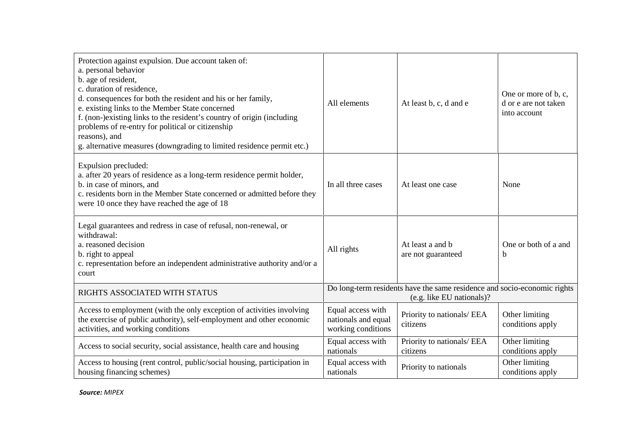| Protection against expulsion. Due account taken of:<br>a. personal behavior<br>b. age of resident,<br>c. duration of residence,<br>d. consequences for both the resident and his or her family,<br>e. existing links to the Member State concerned<br>f. (non-)existing links to the resident's country of origin (including<br>problems of re-entry for political or citizenship<br>reasons), and<br>g. alternative measures (downgrading to limited residence permit etc.) | All elements                                                   | At least b, c, d and e                                                                                | One or more of b, c,<br>d or e are not taken<br>into account |
|------------------------------------------------------------------------------------------------------------------------------------------------------------------------------------------------------------------------------------------------------------------------------------------------------------------------------------------------------------------------------------------------------------------------------------------------------------------------------|----------------------------------------------------------------|-------------------------------------------------------------------------------------------------------|--------------------------------------------------------------|
| Expulsion precluded:<br>a. after 20 years of residence as a long-term residence permit holder,<br>b. in case of minors, and<br>c. residents born in the Member State concerned or admitted before they<br>were 10 once they have reached the age of 18                                                                                                                                                                                                                       | In all three cases                                             | At least one case                                                                                     | None                                                         |
| Legal guarantees and redress in case of refusal, non-renewal, or<br>withdrawal:<br>a. reasoned decision<br>b. right to appeal<br>c. representation before an independent administrative authority and/or a<br>court                                                                                                                                                                                                                                                          | All rights                                                     | At least a and b<br>are not guaranteed                                                                | One or both of a and<br>b                                    |
| RIGHTS ASSOCIATED WITH STATUS                                                                                                                                                                                                                                                                                                                                                                                                                                                |                                                                | Do long-term residents have the same residence and socio-economic rights<br>(e.g. like EU nationals)? |                                                              |
| Access to employment (with the only exception of activities involving<br>the exercise of public authority), self-employment and other economic<br>activities, and working conditions                                                                                                                                                                                                                                                                                         | Equal access with<br>nationals and equal<br>working conditions | Priority to nationals/ EEA<br>citizens                                                                | Other limiting<br>conditions apply                           |
| Access to social security, social assistance, health care and housing                                                                                                                                                                                                                                                                                                                                                                                                        | Equal access with<br>nationals                                 | Priority to nationals/ EEA<br>citizens                                                                | Other limiting<br>conditions apply                           |
| Access to housing (rent control, public/social housing, participation in<br>housing financing schemes)                                                                                                                                                                                                                                                                                                                                                                       | Equal access with<br>nationals                                 | Priority to nationals                                                                                 | Other limiting<br>conditions apply                           |

*Source: MIPEX*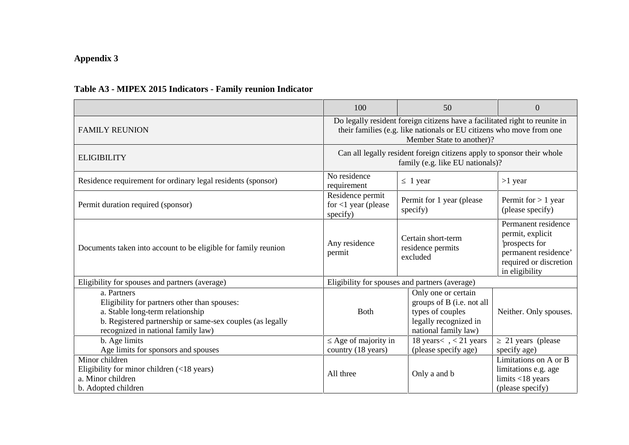## **Table A3 - MIPEX 2015 Indicators - Family reunion Indicator**

|                                                                                                                                                                                                    | 100                                                    | 50                                                                                                                                                                               | $\overline{0}$                                                                         |  |  |
|----------------------------------------------------------------------------------------------------------------------------------------------------------------------------------------------------|--------------------------------------------------------|----------------------------------------------------------------------------------------------------------------------------------------------------------------------------------|----------------------------------------------------------------------------------------|--|--|
| <b>FAMILY REUNION</b>                                                                                                                                                                              |                                                        | Do legally resident foreign citizens have a facilitated right to reunite in<br>their families (e.g. like nationals or EU citizens who move from one<br>Member State to another)? |                                                                                        |  |  |
| <b>ELIGIBILITY</b>                                                                                                                                                                                 |                                                        | Can all legally resident foreign citizens apply to sponsor their whole<br>family (e.g. like EU nationals)?                                                                       |                                                                                        |  |  |
| Residence requirement for ordinary legal residents (sponsor)                                                                                                                                       | No residence<br>requirement                            | 1 year                                                                                                                                                                           | $>1$ year                                                                              |  |  |
| Permit duration required (sponsor)                                                                                                                                                                 | Residence permit<br>for $<$ 1 year (please<br>specify) | Permit for 1 year (please)<br>specify)                                                                                                                                           | Permit for $> 1$ year<br>(please specify)                                              |  |  |
| Documents taken into account to be eligible for family reunion                                                                                                                                     | Any residence<br>permit                                | Certain short-term<br>residence permits<br>excluded                                                                                                                              |                                                                                        |  |  |
| Eligibility for spouses and partners (average)                                                                                                                                                     |                                                        | Eligibility for spouses and partners (average)                                                                                                                                   |                                                                                        |  |  |
| a. Partners<br>Eligibility for partners other than spouses:<br>a. Stable long-term relationship<br>b. Registered partnership or same-sex couples (as legally<br>recognized in national family law) | <b>Both</b>                                            | Only one or certain<br>groups of B (i.e. not all<br>types of couples<br>legally recognized in<br>national family law)                                                            | Neither. Only spouses.                                                                 |  |  |
| b. Age limits                                                                                                                                                                                      | Age of majority in                                     | 18 years < $\lt$ , $\lt$ 21 years                                                                                                                                                | 21 years (please                                                                       |  |  |
| Age limits for sponsors and spouses                                                                                                                                                                | country (18 years)                                     | (please specify age)                                                                                                                                                             | specify age)                                                                           |  |  |
| Minor children<br>Eligibility for minor children (<18 years)<br>a. Minor children<br>b. Adopted children                                                                                           | All three                                              | Only a and b                                                                                                                                                                     | Limitations on A or B<br>limitations e.g. age<br>limits < 18 years<br>(please specify) |  |  |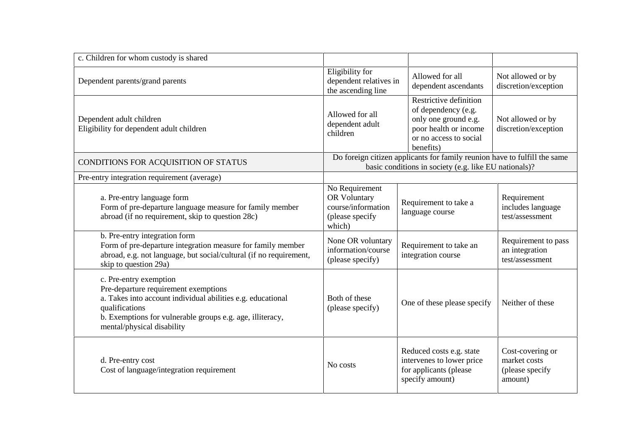| c. Children for whom custody is shared                                                                                                                                                                                                     |                                                                                   |                                                                                                                                       |                                                                |
|--------------------------------------------------------------------------------------------------------------------------------------------------------------------------------------------------------------------------------------------|-----------------------------------------------------------------------------------|---------------------------------------------------------------------------------------------------------------------------------------|----------------------------------------------------------------|
| Dependent parents/grand parents                                                                                                                                                                                                            | Eligibility for<br>dependent relatives in<br>the ascending line                   | Allowed for all<br>dependent ascendants                                                                                               | Not allowed or by<br>discretion/exception                      |
| Dependent adult children<br>Eligibility for dependent adult children                                                                                                                                                                       | Allowed for all<br>dependent adult<br>children                                    | Restrictive definition<br>of dependency (e.g.<br>only one ground e.g.<br>poor health or income<br>or no access to social<br>benefits) | Not allowed or by<br>discretion/exception                      |
| CONDITIONS FOR ACQUISITION OF STATUS                                                                                                                                                                                                       |                                                                                   | Do foreign citizen applicants for family reunion have to fulfill the same<br>basic conditions in society (e.g. like EU nationals)?    |                                                                |
| Pre-entry integration requirement (average)                                                                                                                                                                                                |                                                                                   |                                                                                                                                       |                                                                |
| a. Pre-entry language form<br>Form of pre-departure language measure for family member<br>abroad (if no requirement, skip to question 28c)                                                                                                 | No Requirement<br>OR Voluntary<br>course/information<br>(please specify<br>which) | Requirement to take a<br>language course                                                                                              | Requirement<br>includes language<br>test/assessment            |
| b. Pre-entry integration form<br>Form of pre-departure integration measure for family member<br>abroad, e.g. not language, but social/cultural (if no requirement,<br>skip to question 29a)                                                | None OR voluntary<br>information/course<br>(please specify)                       | Requirement to take an<br>integration course                                                                                          | Requirement to pass<br>an integration<br>test/assessment       |
| c. Pre-entry exemption<br>Pre-departure requirement exemptions<br>a. Takes into account individual abilities e.g. educational<br>qualifications<br>b. Exemptions for vulnerable groups e.g. age, illiteracy,<br>mental/physical disability | Both of these<br>(please specify)                                                 | One of these please specify                                                                                                           | Neither of these                                               |
| d. Pre-entry cost<br>Cost of language/integration requirement                                                                                                                                                                              | No costs                                                                          | Reduced costs e.g. state<br>intervenes to lower price<br>for applicants (please<br>specify amount)                                    | Cost-covering or<br>market costs<br>(please specify<br>amount) |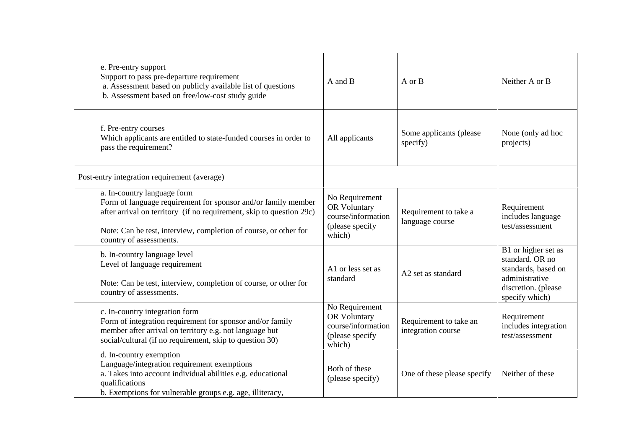| e. Pre-entry support<br>Support to pass pre-departure requirement<br>a. Assessment based on publicly available list of questions<br>b. Assessment based on free/low-cost study guide                                                                                | A and B                                                                                  | A or B                                       | Neither A or B                                                                                                           |
|---------------------------------------------------------------------------------------------------------------------------------------------------------------------------------------------------------------------------------------------------------------------|------------------------------------------------------------------------------------------|----------------------------------------------|--------------------------------------------------------------------------------------------------------------------------|
| f. Pre-entry courses<br>Which applicants are entitled to state-funded courses in order to<br>pass the requirement?                                                                                                                                                  | All applicants                                                                           | Some applicants (please<br>specify)          | None (only ad hoc<br>projects)                                                                                           |
| Post-entry integration requirement (average)                                                                                                                                                                                                                        |                                                                                          |                                              |                                                                                                                          |
| a. In-country language form<br>Form of language requirement for sponsor and/or family member<br>after arrival on territory (if no requirement, skip to question 29c)<br>Note: Can be test, interview, completion of course, or other for<br>country of assessments. | No Requirement<br>OR Voluntary<br>course/information<br>(please specify<br>which)        | Requirement to take a<br>language course     | Requirement<br>includes language<br>test/assessment                                                                      |
| b. In-country language level<br>Level of language requirement<br>Note: Can be test, interview, completion of course, or other for<br>country of assessments.                                                                                                        | A1 or less set as<br>standard                                                            | A2 set as standard                           | B1 or higher set as<br>standard. OR no<br>standards, based on<br>administrative<br>discretion. (please<br>specify which) |
| c. In-country integration form<br>Form of integration requirement for sponsor and/or family<br>member after arrival on territory e.g. not language but<br>social/cultural (if no requirement, skip to question 30)                                                  | No Requirement<br><b>OR Voluntary</b><br>course/information<br>(please specify<br>which) | Requirement to take an<br>integration course | Requirement<br>includes integration<br>test/assessment                                                                   |
| d. In-country exemption<br>Language/integration requirement exemptions<br>a. Takes into account individual abilities e.g. educational<br>qualifications<br>b. Exemptions for vulnerable groups e.g. age, illiteracy,                                                | Both of these<br>(please specify)                                                        | One of these please specify                  | Neither of these                                                                                                         |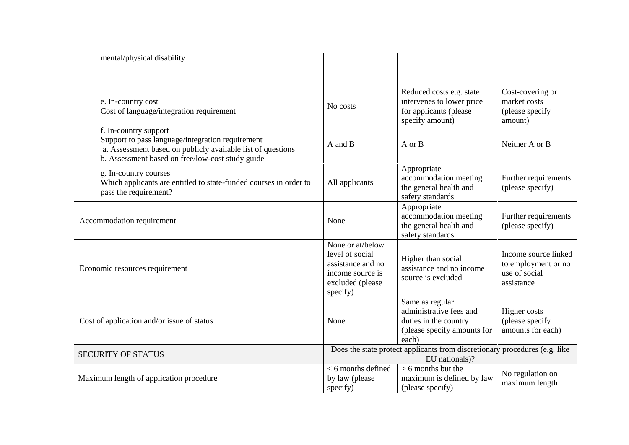| mental/physical disability                                                                                                                                                                   |                                                                                                              |                                                                                                             |                                                                            |
|----------------------------------------------------------------------------------------------------------------------------------------------------------------------------------------------|--------------------------------------------------------------------------------------------------------------|-------------------------------------------------------------------------------------------------------------|----------------------------------------------------------------------------|
| e. In-country cost<br>Cost of language/integration requirement                                                                                                                               | No costs                                                                                                     | Reduced costs e.g. state<br>intervenes to lower price<br>for applicants (please<br>specify amount)          | Cost-covering or<br>market costs<br>(please specify<br>amount)             |
| f. In-country support<br>Support to pass language/integration requirement<br>a. Assessment based on publicly available list of questions<br>b. Assessment based on free/low-cost study guide | A and B                                                                                                      | A or B                                                                                                      | Neither A or B                                                             |
| g. In-country courses<br>Which applicants are entitled to state-funded courses in order to<br>pass the requirement?                                                                          | All applicants                                                                                               | Appropriate<br>accommodation meeting<br>the general health and<br>safety standards                          | Further requirements<br>(please specify)                                   |
| Accommodation requirement                                                                                                                                                                    | None                                                                                                         | Appropriate<br>accommodation meeting<br>the general health and<br>safety standards                          | Further requirements<br>(please specify)                                   |
| Economic resources requirement                                                                                                                                                               | None or at/below<br>level of social<br>assistance and no<br>income source is<br>excluded (please<br>specify) | Higher than social<br>assistance and no income<br>source is excluded                                        | Income source linked<br>to employment or no<br>use of social<br>assistance |
| Cost of application and/or issue of status                                                                                                                                                   | None                                                                                                         | Same as regular<br>administrative fees and<br>duties in the country<br>(please specify amounts for<br>each) | Higher costs<br>(please specify<br>amounts for each)                       |
| <b>SECURITY OF STATUS</b>                                                                                                                                                                    |                                                                                                              | Does the state protect applicants from discretionary procedures (e.g. like<br>EU nationals)?                |                                                                            |
| Maximum length of application procedure                                                                                                                                                      | 6 months defined<br>by law (please<br>specify)                                                               | $> 6$ months but the<br>maximum is defined by law<br>(please specify)                                       | No regulation on<br>maximum length                                         |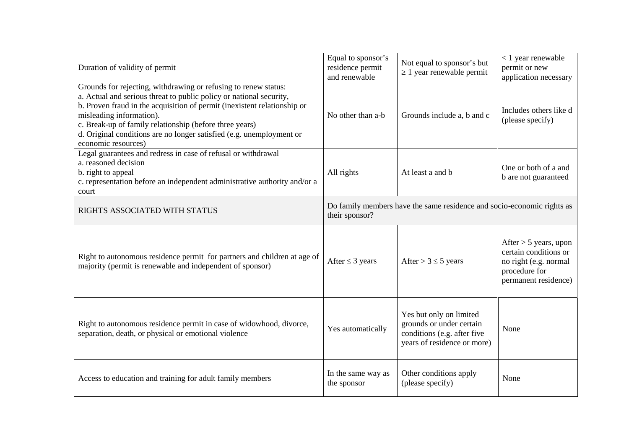| Duration of validity of permit                                                                                                                                                                                                                                                                                                                                                                           | Equal to sponsor's<br>residence permit<br>and renewable                                  | Not equal to sponsor's but<br>1 year renewable permit                                                             | $< 1$ year renewable<br>permit or new<br>application necessary                                                     |  |
|----------------------------------------------------------------------------------------------------------------------------------------------------------------------------------------------------------------------------------------------------------------------------------------------------------------------------------------------------------------------------------------------------------|------------------------------------------------------------------------------------------|-------------------------------------------------------------------------------------------------------------------|--------------------------------------------------------------------------------------------------------------------|--|
| Grounds for rejecting, withdrawing or refusing to renew status:<br>a. Actual and serious threat to public policy or national security,<br>b. Proven fraud in the acquisition of permit (inexistent relationship or<br>misleading information).<br>c. Break-up of family relationship (before three years)<br>d. Original conditions are no longer satisfied (e.g. unemployment or<br>economic resources) | No other than a-b                                                                        | Grounds include a, b and c                                                                                        | Includes others like d<br>(please specify)                                                                         |  |
| Legal guarantees and redress in case of refusal or withdrawal<br>a. reasoned decision<br>b. right to appeal<br>c. representation before an independent administrative authority and/or a<br>court                                                                                                                                                                                                        | All rights                                                                               | At least a and b                                                                                                  | One or both of a and<br>b are not guaranteed                                                                       |  |
| RIGHTS ASSOCIATED WITH STATUS                                                                                                                                                                                                                                                                                                                                                                            | Do family members have the same residence and socio-economic rights as<br>their sponsor? |                                                                                                                   |                                                                                                                    |  |
| Right to autonomous residence permit for partners and children at age of<br>majority (permit is renewable and independent of sponsor)                                                                                                                                                                                                                                                                    | After 3 years                                                                            | After $> 3$ 5 years                                                                                               | After $> 5$ years, upon<br>certain conditions or<br>no right (e.g. normal<br>procedure for<br>permanent residence) |  |
| Right to autonomous residence permit in case of widowhood, divorce,<br>separation, death, or physical or emotional violence                                                                                                                                                                                                                                                                              | Yes automatically                                                                        | Yes but only on limited<br>grounds or under certain<br>conditions (e.g. after five<br>years of residence or more) | None                                                                                                               |  |
| Access to education and training for adult family members                                                                                                                                                                                                                                                                                                                                                | In the same way as<br>the sponsor                                                        | Other conditions apply<br>(please specify)                                                                        | None                                                                                                               |  |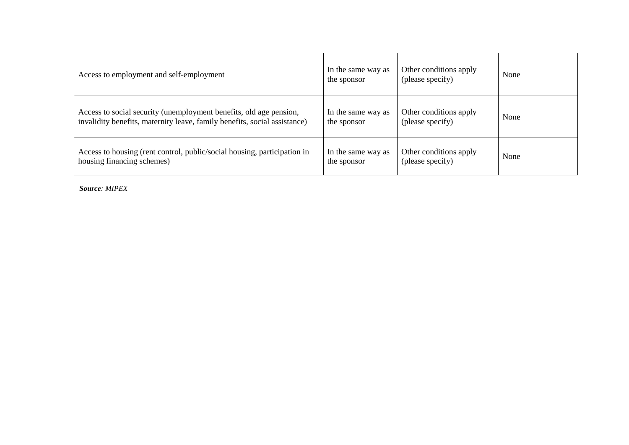| Access to employment and self-employment                                  | In the same way as<br>the sponsor | Other conditions apply<br>(please specify) | None |
|---------------------------------------------------------------------------|-----------------------------------|--------------------------------------------|------|
| Access to social security (unemployment benefits, old age pension,        | In the same way as                | Other conditions apply                     | None |
| invalidity benefits, maternity leave, family benefits, social assistance) | the sponsor                       | (please specify)                           |      |
| Access to housing (rent control, public/social housing, participation in  | In the same way as                | Other conditions apply                     | None |
| housing financing schemes)                                                | the sponsor                       | (please specify)                           |      |

*Source: MIPEX*